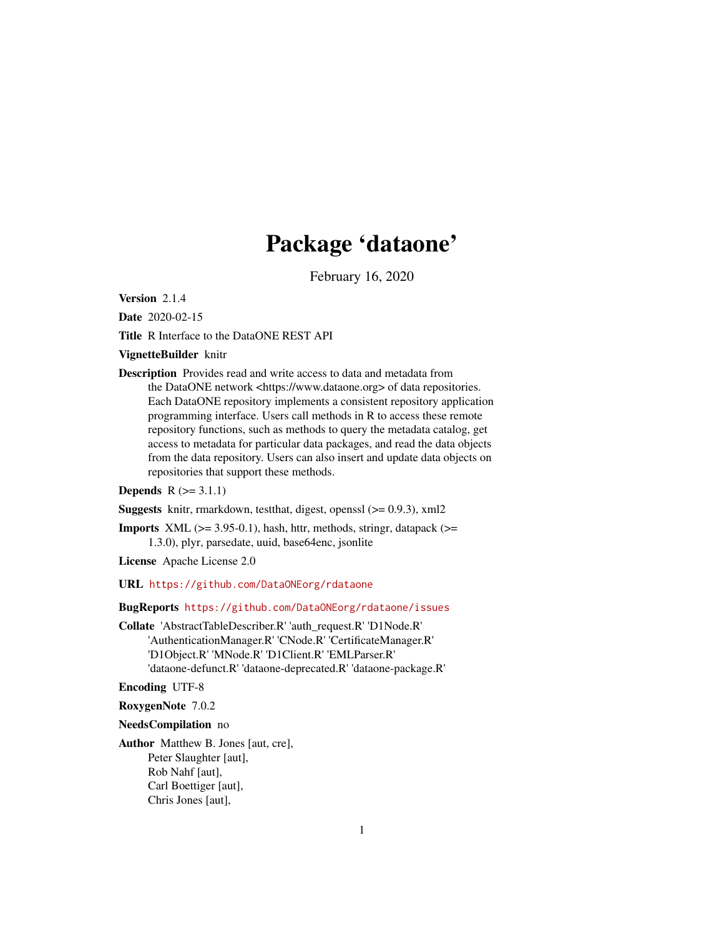# Package 'dataone'

February 16, 2020

<span id="page-0-0"></span>Version 2.1.4

Date 2020-02-15

Title R Interface to the DataONE REST API

#### VignetteBuilder knitr

Description Provides read and write access to data and metadata from the DataONE network <https://www.dataone.org> of data repositories. Each DataONE repository implements a consistent repository application programming interface. Users call methods in R to access these remote repository functions, such as methods to query the metadata catalog, get access to metadata for particular data packages, and read the data objects from the data repository. Users can also insert and update data objects on repositories that support these methods.

#### **Depends**  $R (= 3.1.1)$

**Suggests** knitr, rmarkdown, test that, digest, openssl  $(>= 0.9.3)$ , xml2

**Imports** XML  $(>= 3.95-0.1)$ , hash, httr, methods, stringr, datapack  $(>=$ 1.3.0), plyr, parsedate, uuid, base64enc, jsonlite

License Apache License 2.0

URL <https://github.com/DataONEorg/rdataone>

#### BugReports <https://github.com/DataONEorg/rdataone/issues>

Collate 'AbstractTableDescriber.R' 'auth\_request.R' 'D1Node.R' 'AuthenticationManager.R' 'CNode.R' 'CertificateManager.R' 'D1Object.R' 'MNode.R' 'D1Client.R' 'EMLParser.R' 'dataone-defunct.R' 'dataone-deprecated.R' 'dataone-package.R'

Encoding UTF-8

RoxygenNote 7.0.2

#### NeedsCompilation no

Author Matthew B. Jones [aut, cre], Peter Slaughter [aut], Rob Nahf [aut], Carl Boettiger [aut], Chris Jones [aut],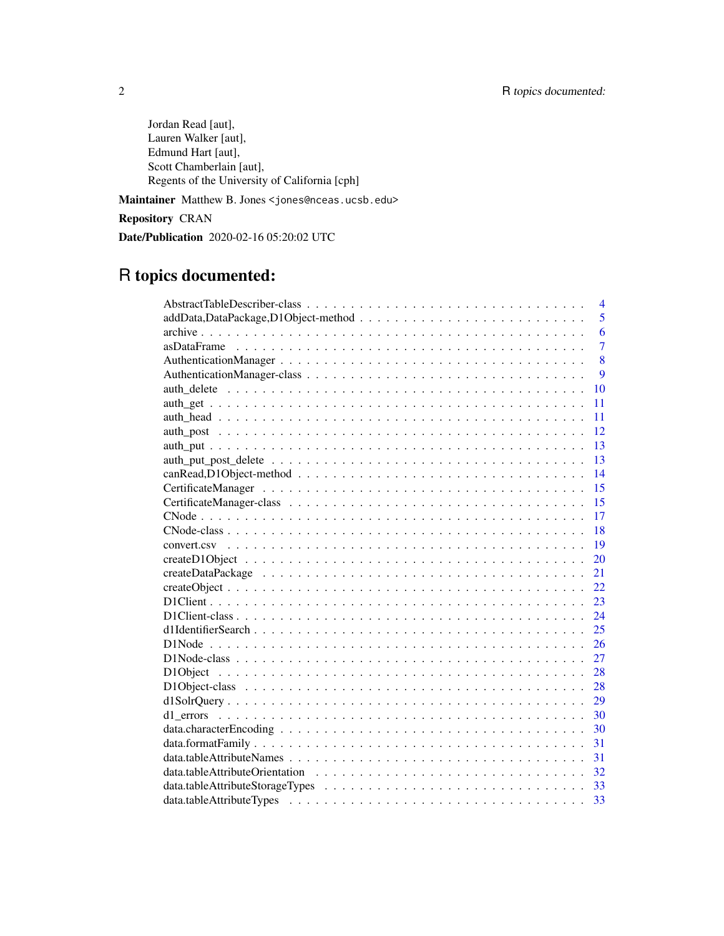Jordan Read [aut], Lauren Walker [aut], Edmund Hart [aut], Scott Chamberlain [aut], Regents of the University of California [cph]

Maintainer Matthew B. Jones <jones@nceas.ucsb.edu>

Repository CRAN

Date/Publication 2020-02-16 05:20:02 UTC

# R topics documented:

| $\overline{4}$                                                                                                       |
|----------------------------------------------------------------------------------------------------------------------|
| 5                                                                                                                    |
| 6                                                                                                                    |
| $\overline{7}$                                                                                                       |
| 8                                                                                                                    |
| $\overline{Q}$                                                                                                       |
| 10                                                                                                                   |
| 11                                                                                                                   |
| 11                                                                                                                   |
| 12                                                                                                                   |
| 13                                                                                                                   |
| 13                                                                                                                   |
| 14                                                                                                                   |
| 15                                                                                                                   |
| 15                                                                                                                   |
| 17                                                                                                                   |
| 18                                                                                                                   |
| 19                                                                                                                   |
| 20                                                                                                                   |
| 21                                                                                                                   |
| 22                                                                                                                   |
| 23                                                                                                                   |
| 24                                                                                                                   |
| 25                                                                                                                   |
| 26                                                                                                                   |
| 27<br>$D1Node-class \dots \dots \dots \dots \dots \dots \dots \dots \dots \dots \dots \dots \dots \dots \dots \dots$ |
| 28                                                                                                                   |
| 28                                                                                                                   |
| 29                                                                                                                   |
| 30                                                                                                                   |
| 30                                                                                                                   |
| 31                                                                                                                   |
| 31                                                                                                                   |
|                                                                                                                      |
|                                                                                                                      |
|                                                                                                                      |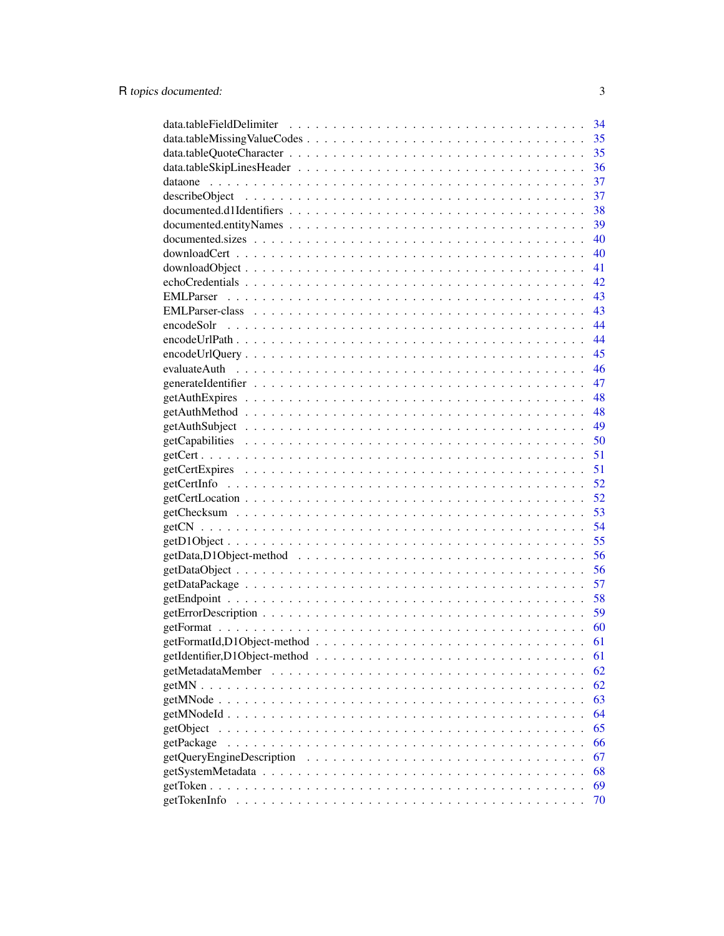|                                                                                                                               | 34 |
|-------------------------------------------------------------------------------------------------------------------------------|----|
|                                                                                                                               | 35 |
|                                                                                                                               | 35 |
|                                                                                                                               | 36 |
|                                                                                                                               | 37 |
|                                                                                                                               | 37 |
|                                                                                                                               | 38 |
|                                                                                                                               | 39 |
|                                                                                                                               | 40 |
|                                                                                                                               | 40 |
|                                                                                                                               | 41 |
|                                                                                                                               | 42 |
|                                                                                                                               | 43 |
|                                                                                                                               | 43 |
|                                                                                                                               | 44 |
|                                                                                                                               | 44 |
|                                                                                                                               | 45 |
|                                                                                                                               | 46 |
|                                                                                                                               | 47 |
|                                                                                                                               | 48 |
|                                                                                                                               | 48 |
|                                                                                                                               | 49 |
|                                                                                                                               |    |
|                                                                                                                               | 51 |
|                                                                                                                               | 51 |
|                                                                                                                               | 52 |
|                                                                                                                               | 52 |
|                                                                                                                               | 53 |
|                                                                                                                               | 54 |
|                                                                                                                               | 55 |
|                                                                                                                               | 56 |
|                                                                                                                               | 56 |
|                                                                                                                               | 57 |
|                                                                                                                               | 58 |
|                                                                                                                               | 59 |
|                                                                                                                               | 60 |
|                                                                                                                               | 61 |
|                                                                                                                               | 61 |
|                                                                                                                               | 62 |
|                                                                                                                               | 62 |
|                                                                                                                               | 63 |
|                                                                                                                               | 64 |
| getObject<br>a constitution de la constitution de la constitution de la constitution de la constitution de la constitution    | 65 |
| getPackage                                                                                                                    | 66 |
| getQueryEngineDescription                                                                                                     | 67 |
|                                                                                                                               | 68 |
|                                                                                                                               | 69 |
| getTokenInfo<br>a constitution de la constitución de la constitución de la constitución de la constitución de la constitución | 70 |
|                                                                                                                               |    |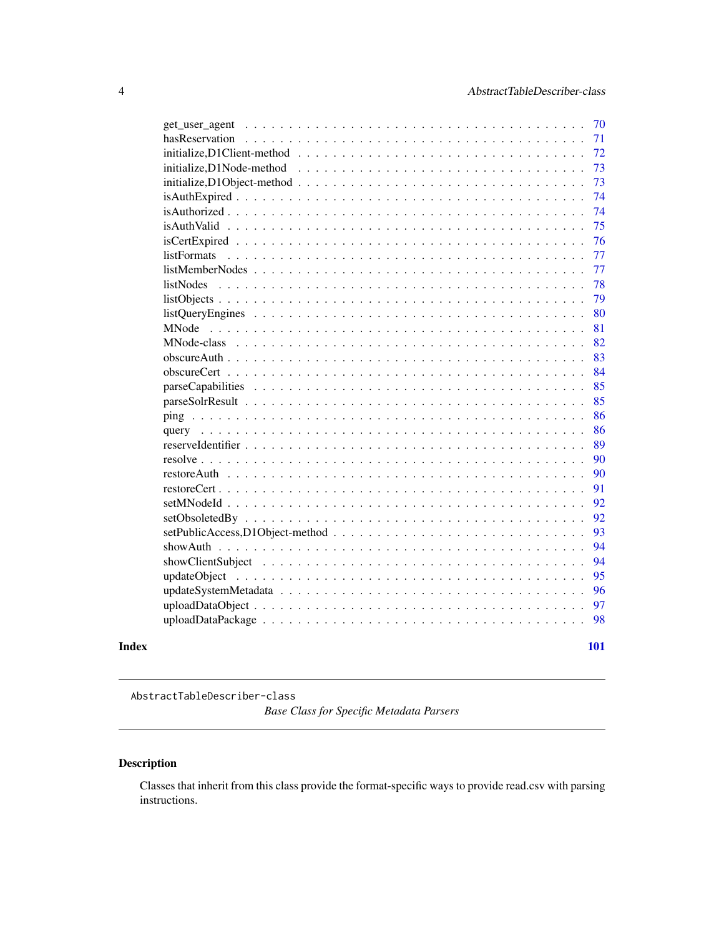<span id="page-3-0"></span>

|       | 70                                                                                                                          |  |
|-------|-----------------------------------------------------------------------------------------------------------------------------|--|
|       | hasReservation<br>71                                                                                                        |  |
|       | 72                                                                                                                          |  |
|       | 73                                                                                                                          |  |
|       | 73<br>$initialize, D1Object-method \dots \dots \dots \dots \dots \dots \dots \dots \dots \dots \dots \dots \dots$           |  |
|       | 74                                                                                                                          |  |
|       | 74                                                                                                                          |  |
|       | 75                                                                                                                          |  |
|       | 76                                                                                                                          |  |
|       | 77<br>listFormats                                                                                                           |  |
|       | 77<br>$listMemberNodes \dots \dots \dots \dots \dots \dots \dots \dots \dots \dots \dots \dots \dots \dots \dots \dots$     |  |
|       | 78<br><i>listNodes</i>                                                                                                      |  |
|       | 79                                                                                                                          |  |
|       | 80<br>$listQuery Engineers \dots \dots \dots \dots \dots \dots \dots \dots \dots \dots \dots \dots \dots \dots \dots \dots$ |  |
|       | 81                                                                                                                          |  |
|       | 82                                                                                                                          |  |
|       | 83                                                                                                                          |  |
|       | 84                                                                                                                          |  |
|       | 85                                                                                                                          |  |
|       | 85                                                                                                                          |  |
|       | 86                                                                                                                          |  |
|       | 86                                                                                                                          |  |
|       | 89                                                                                                                          |  |
|       | 90                                                                                                                          |  |
|       | 90                                                                                                                          |  |
|       | 91                                                                                                                          |  |
|       | 92                                                                                                                          |  |
|       | 92                                                                                                                          |  |
|       | 93                                                                                                                          |  |
|       | 94                                                                                                                          |  |
|       | 94                                                                                                                          |  |
|       | 95                                                                                                                          |  |
|       | 96                                                                                                                          |  |
|       | 97                                                                                                                          |  |
|       | 98                                                                                                                          |  |
| Index | 101                                                                                                                         |  |

AbstractTableDescriber-class

*Base Class for Specific Metadata Parsers*

# Description

Classes that inherit from this class provide the format-specific ways to provide read.csv with parsing instructions.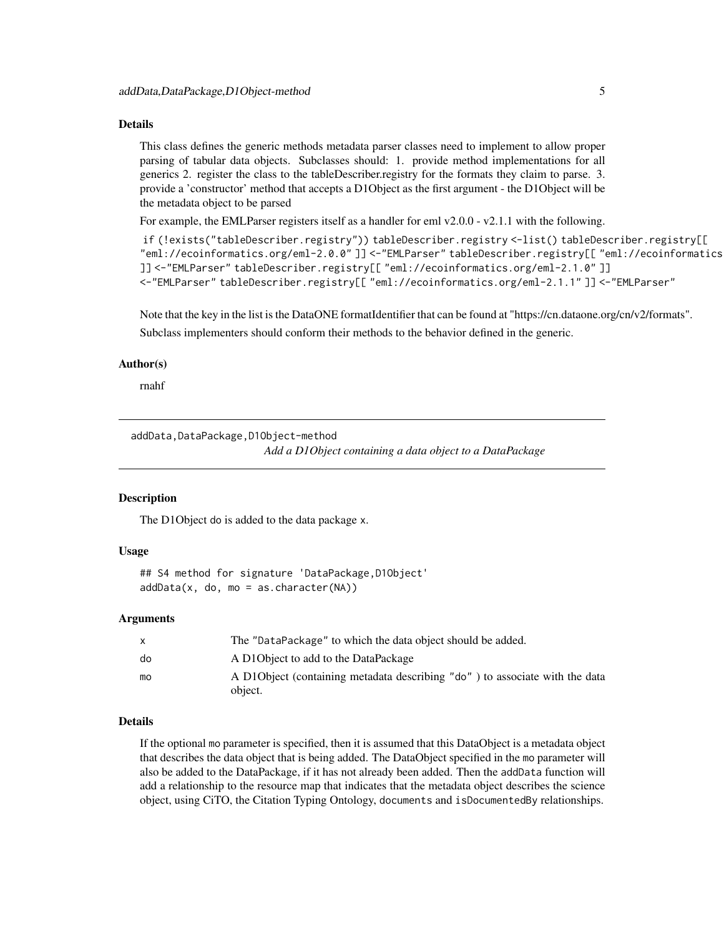#### <span id="page-4-0"></span>Details

This class defines the generic methods metadata parser classes need to implement to allow proper parsing of tabular data objects. Subclasses should: 1. provide method implementations for all generics 2. register the class to the tableDescriber.registry for the formats they claim to parse. 3. provide a 'constructor' method that accepts a D1Object as the first argument - the D1Object will be the metadata object to be parsed

For example, the EMLParser registers itself as a handler for eml v2.0.0 - v2.1.1 with the following.

```
if (!exists("tableDescriber.registry")) tableDescriber.registry <-list() tableDescriber.registry[[
"eml://ecoinformatics.org/eml-2.0.0" ]] <-"EMLParser" tableDescriber.registry[[ "eml://ecoinformatics.org/eml-2.0.1"
]] <-"EMLParser" tableDescriber.registry[[ "eml://ecoinformatics.org/eml-2.1.0" ]]
<-"EMLParser" tableDescriber.registry[[ "eml://ecoinformatics.org/eml-2.1.1" ]] <-"EMLParser"
```
Note that the key in the list is the DataONE formatIdentifier that can be found at "https://cn.dataone.org/cn/v2/formats". Subclass implementers should conform their methods to the behavior defined in the generic.

#### Author(s)

rnahf

addData,DataPackage,D1Object-method *Add a D1Object containing a data object to a DataPackage*

#### Description

The D1Object do is added to the data package x.

# Usage

```
## S4 method for signature 'DataPackage,D1Object'
addData(x, do, mo = as.charAt("NA))
```
#### Arguments

|    | The "DataPackage" to which the data object should be added.                  |
|----|------------------------------------------------------------------------------|
| do | A D10 bject to add to the DataPackage                                        |
| mo | A D1O bject (containing metadata describing "do") to associate with the data |
|    | object.                                                                      |

# Details

If the optional mo parameter is specified, then it is assumed that this DataObject is a metadata object that describes the data object that is being added. The DataObject specified in the mo parameter will also be added to the DataPackage, if it has not already been added. Then the addData function will add a relationship to the resource map that indicates that the metadata object describes the science object, using CiTO, the Citation Typing Ontology, documents and isDocumentedBy relationships.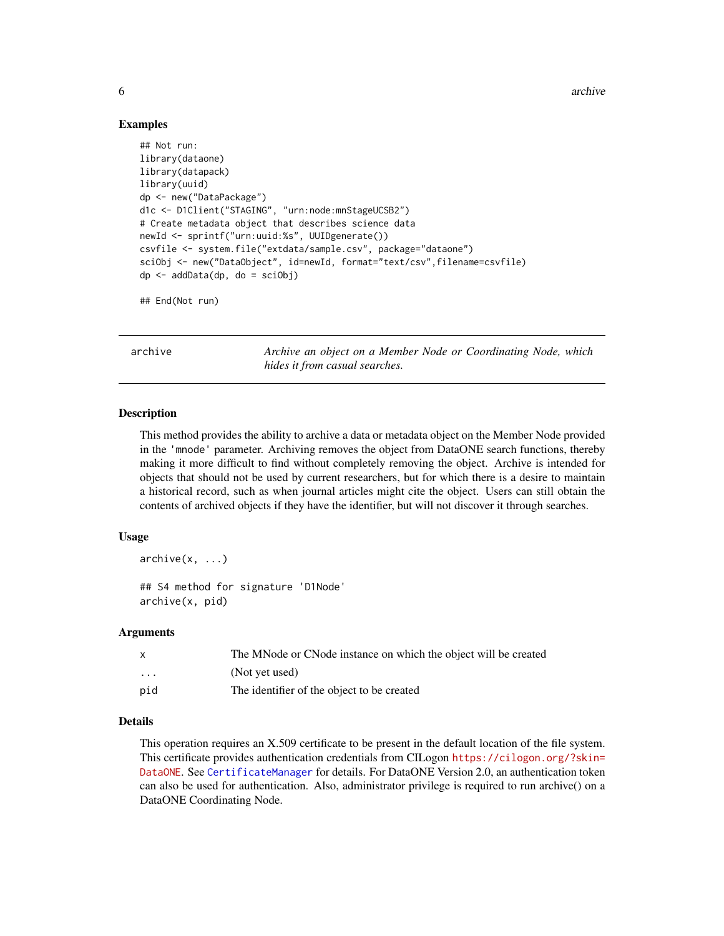6 archives are seen as  $\alpha$  archives archives archives archives archives archives archives archives archives archives archives archives archives archives archives archives archives archives archives archives archives archi

#### Examples

```
## Not run:
library(dataone)
library(datapack)
library(uuid)
dp <- new("DataPackage")
d1c <- D1Client("STAGING", "urn:node:mnStageUCSB2")
# Create metadata object that describes science data
newId <- sprintf("urn:uuid:%s", UUIDgenerate())
csvfile <- system.file("extdata/sample.csv", package="dataone")
sciObj <- new("DataObject", id=newId, format="text/csv",filename=csvfile)
dp \leq - \text{addData}(dp, do = \text{sciObj})
```
## End(Not run)

<span id="page-5-1"></span>archive *Archive an object on a Member Node or Coordinating Node, which hides it from casual searches.*

#### Description

This method provides the ability to archive a data or metadata object on the Member Node provided in the 'mnode' parameter. Archiving removes the object from DataONE search functions, thereby making it more difficult to find without completely removing the object. Archive is intended for objects that should not be used by current researchers, but for which there is a desire to maintain a historical record, such as when journal articles might cite the object. Users can still obtain the contents of archived objects if they have the identifier, but will not discover it through searches.

#### Usage

 $archive(x, \ldots)$ 

## S4 method for signature 'D1Node' archive(x, pid)

#### Arguments

|          | The MNode or CNode instance on which the object will be created |
|----------|-----------------------------------------------------------------|
| $\cdots$ | (Not yet used)                                                  |
| pid      | The identifier of the object to be created                      |

# Details

This operation requires an X.509 certificate to be present in the default location of the file system. This certificate provides authentication credentials from CILogon [https://cilogon.org/?skin=](https://cilogon.org/?skin=DataONE) [DataONE](https://cilogon.org/?skin=DataONE). See [CertificateManager](#page-14-1) for details. For DataONE Version 2.0, an authentication token can also be used for authentication. Also, administrator privilege is required to run archive() on a DataONE Coordinating Node.

<span id="page-5-0"></span>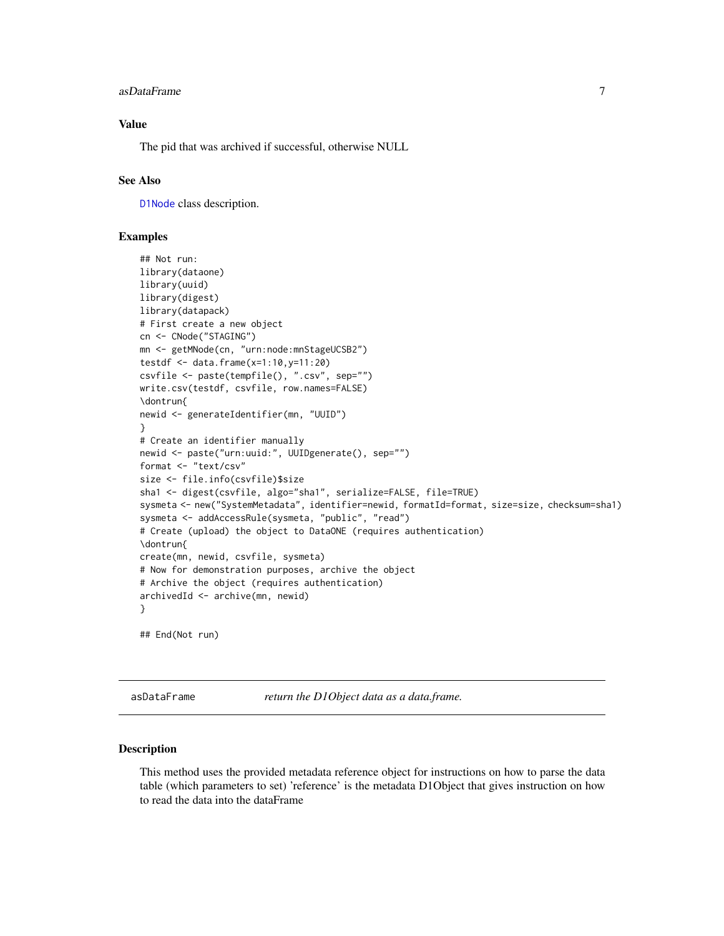#### <span id="page-6-0"></span>asDataFrame 7

# Value

The pid that was archived if successful, otherwise NULL

#### See Also

[D1Node](#page-26-1) class description.

#### Examples

```
## Not run:
library(dataone)
library(uuid)
library(digest)
library(datapack)
# First create a new object
cn <- CNode("STAGING")
mn <- getMNode(cn, "urn:node:mnStageUCSB2")
testdf <- data.frame(x=1:10,y=11:20)
csvfile <- paste(tempfile(), ".csv", sep="")
write.csv(testdf, csvfile, row.names=FALSE)
\dontrun{
newid <- generateIdentifier(mn, "UUID")
}
# Create an identifier manually
newid <- paste("urn:uuid:", UUIDgenerate(), sep="")
format <- "text/csv"
size <- file.info(csvfile)$size
sha1 <- digest(csvfile, algo="sha1", serialize=FALSE, file=TRUE)
sysmeta <- new("SystemMetadata", identifier=newid, formatId=format, size=size, checksum=sha1)
sysmeta <- addAccessRule(sysmeta, "public", "read")
# Create (upload) the object to DataONE (requires authentication)
\dontrun{
create(mn, newid, csvfile, sysmeta)
# Now for demonstration purposes, archive the object
# Archive the object (requires authentication)
archivedId <- archive(mn, newid)
}
## End(Not run)
```
<span id="page-6-1"></span>asDataFrame *return the D1Object data as a data.frame.*

#### **Description**

This method uses the provided metadata reference object for instructions on how to parse the data table (which parameters to set) 'reference' is the metadata D1Object that gives instruction on how to read the data into the dataFrame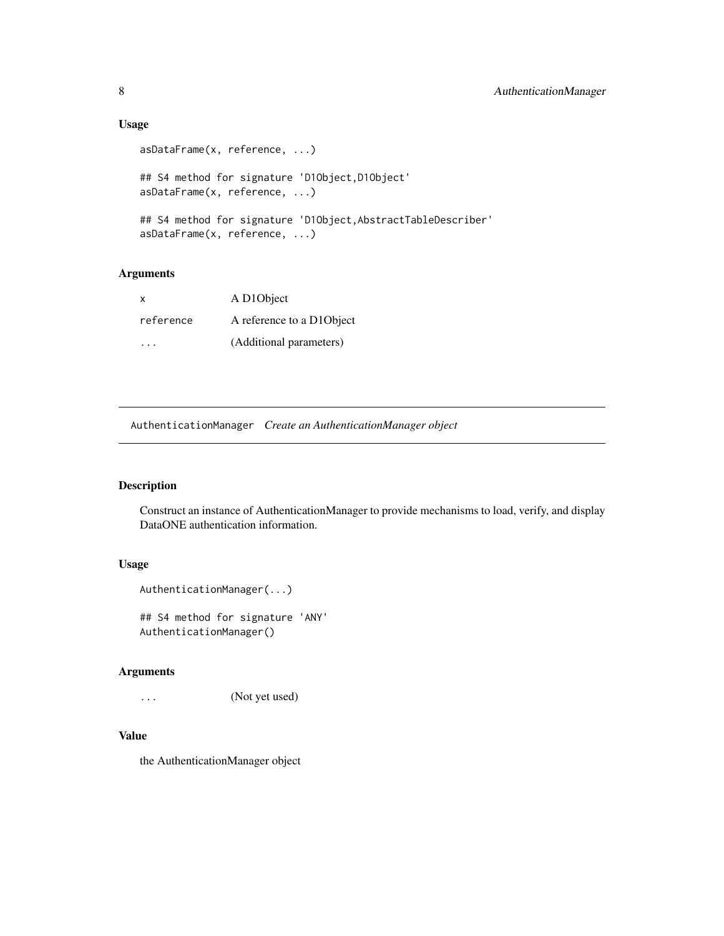# Usage

```
asDataFrame(x, reference, ...)
## S4 method for signature 'D1Object,D1Object'
asDataFrame(x, reference, ...)
## S4 method for signature 'D1Object,AbstractTableDescriber'
asDataFrame(x, reference, ...)
```
# Arguments

| х         | A D10bject                |
|-----------|---------------------------|
| reference | A reference to a D1Object |
| .         | (Additional parameters)   |

<span id="page-7-1"></span>AuthenticationManager *Create an AuthenticationManager object*

# Description

Construct an instance of AuthenticationManager to provide mechanisms to load, verify, and display DataONE authentication information.

# Usage

```
AuthenticationManager(...)
```
## S4 method for signature 'ANY' AuthenticationManager()

# Arguments

```
... (Not yet used)
```
# Value

the AuthenticationManager object

<span id="page-7-0"></span>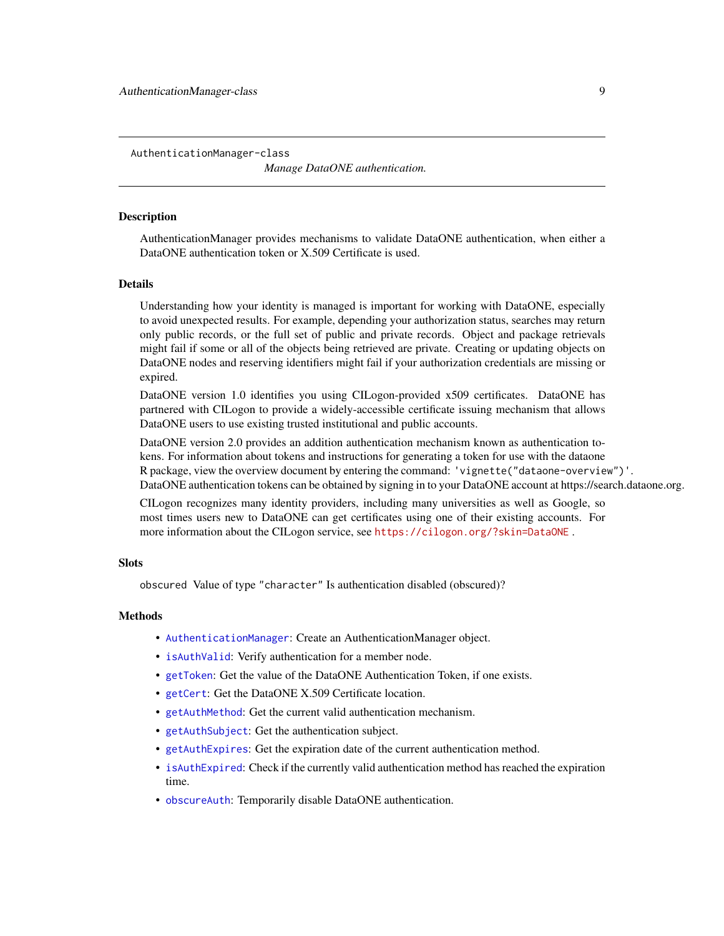<span id="page-8-0"></span>AuthenticationManager-class

*Manage DataONE authentication.*

#### **Description**

AuthenticationManager provides mechanisms to validate DataONE authentication, when either a DataONE authentication token or X.509 Certificate is used.

#### Details

Understanding how your identity is managed is important for working with DataONE, especially to avoid unexpected results. For example, depending your authorization status, searches may return only public records, or the full set of public and private records. Object and package retrievals might fail if some or all of the objects being retrieved are private. Creating or updating objects on DataONE nodes and reserving identifiers might fail if your authorization credentials are missing or expired.

DataONE version 1.0 identifies you using CILogon-provided x509 certificates. DataONE has partnered with CILogon to provide a widely-accessible certificate issuing mechanism that allows DataONE users to use existing trusted institutional and public accounts.

DataONE version 2.0 provides an addition authentication mechanism known as authentication tokens. For information about tokens and instructions for generating a token for use with the dataone R package, view the overview document by entering the command: 'vignette("dataone-overview")'. DataONE authentication tokens can be obtained by signing in to your DataONE account at https://search.dataone.org.

CILogon recognizes many identity providers, including many universities as well as Google, so most times users new to DataONE can get certificates using one of their existing accounts. For more information about the CILogon service, see <https://cilogon.org/?skin=DataONE> .

#### **Slots**

obscured Value of type "character" Is authentication disabled (obscured)?

#### **Methods**

- [AuthenticationManager](#page-7-1): Create an AuthenticationManager object.
- [isAuthValid](#page-74-1): Verify authentication for a member node.
- [getToken](#page-68-1): Get the value of the DataONE Authentication Token, if one exists.
- [getCert](#page-50-1): Get the DataONE X.509 Certificate location.
- [getAuthMethod](#page-47-1): Get the current valid authentication mechanism.
- [getAuthSubject](#page-48-1): Get the authentication subject.
- [getAuthExpires](#page-47-2): Get the expiration date of the current authentication method.
- [isAuthExpired](#page-73-1): Check if the currently valid authentication method has reached the expiration time.
- [obscureAuth](#page-82-1): Temporarily disable DataONE authentication.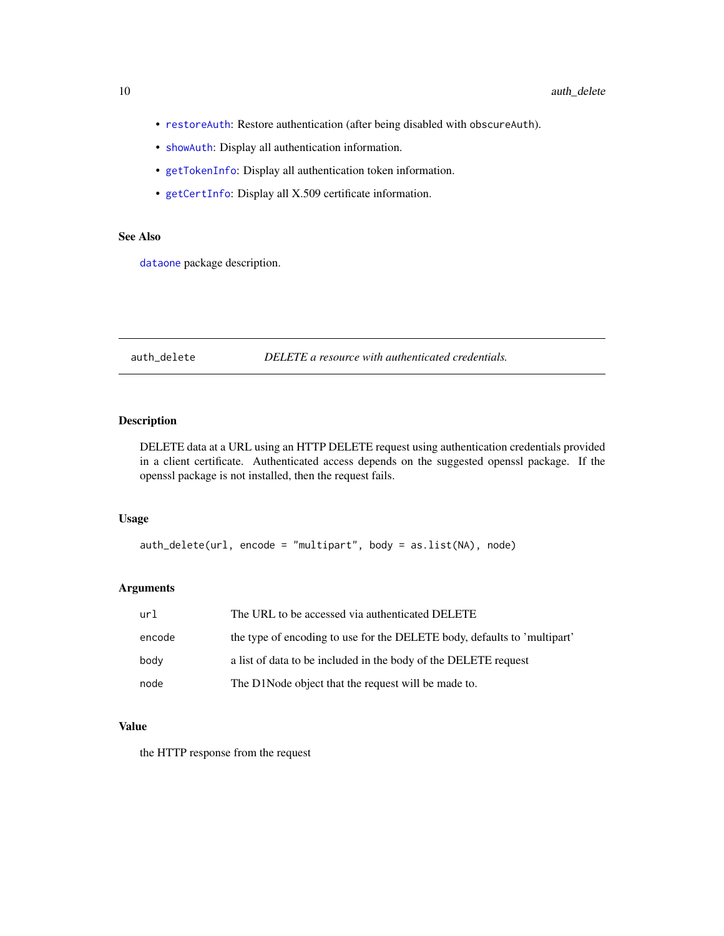- [restoreAuth](#page-89-1): Restore authentication (after being disabled with obscureAuth).
- [showAuth](#page-93-1): Display all authentication information.
- [getTokenInfo](#page-69-1): Display all authentication token information.
- [getCertInfo](#page-51-1): Display all X.509 certificate information.

# See Also

[dataone](#page-36-1) package description.

#### auth\_delete *DELETE a resource with authenticated credentials.*

# Description

DELETE data at a URL using an HTTP DELETE request using authentication credentials provided in a client certificate. Authenticated access depends on the suggested openssl package. If the openssl package is not installed, then the request fails.

#### Usage

auth\_delete(url, encode = "multipart", body = as.list(NA), node)

#### Arguments

| url    | The URL to be accessed via authenticated DELETE                          |
|--------|--------------------------------------------------------------------------|
| encode | the type of encoding to use for the DELETE body, defaults to 'multipart' |
| body   | a list of data to be included in the body of the DELETE request          |
| node   | The D1Node object that the request will be made to.                      |

#### Value

the HTTP response from the request

<span id="page-9-0"></span>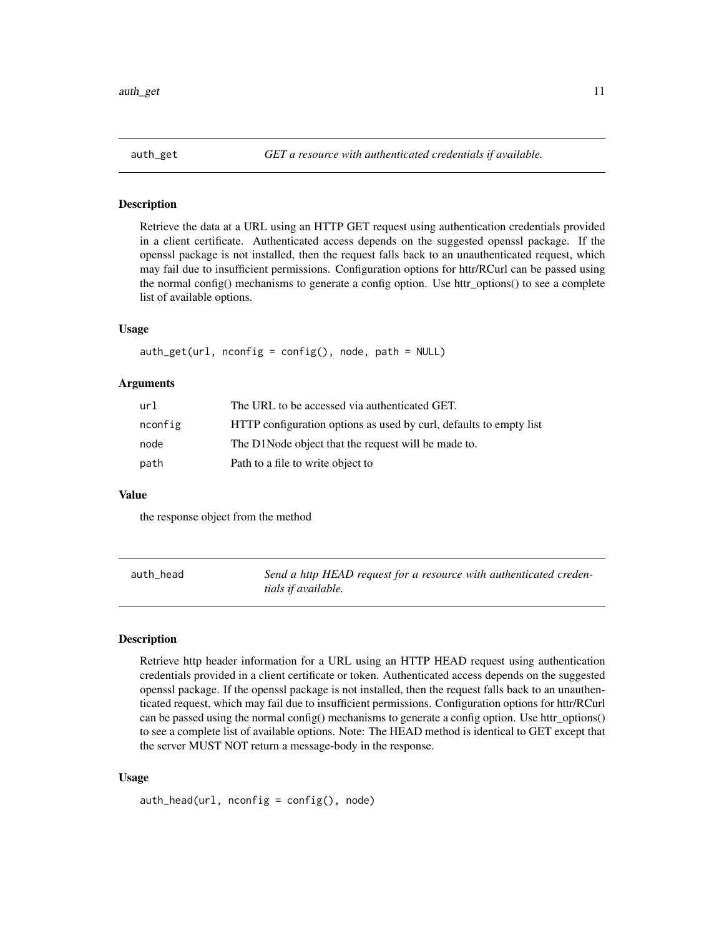<span id="page-10-0"></span>

#### Description

Retrieve the data at a URL using an HTTP GET request using authentication credentials provided in a client certificate. Authenticated access depends on the suggested openssl package. If the openssl package is not installed, then the request falls back to an unauthenticated request, which may fail due to insufficient permissions. Configuration options for httr/RCurl can be passed using the normal config() mechanisms to generate a config option. Use httr\_options() to see a complete list of available options.

#### Usage

 $auth\_get(url, nconfig = config(), node, path = NULL)$ 

#### Arguments

| url     | The URL to be accessed via authenticated GET.                      |
|---------|--------------------------------------------------------------------|
| nconfig | HTTP configuration options as used by curl, defaults to empty list |
| node    | The D1Node object that the request will be made to.                |
| path    | Path to a file to write object to                                  |

#### Value

the response object from the method

| auth head | Send a http HEAD request for a resource with authenticated creden- |
|-----------|--------------------------------------------------------------------|
|           | tials if available.                                                |

#### Description

Retrieve http header information for a URL using an HTTP HEAD request using authentication credentials provided in a client certificate or token. Authenticated access depends on the suggested openssl package. If the openssl package is not installed, then the request falls back to an unauthenticated request, which may fail due to insufficient permissions. Configuration options for httr/RCurl can be passed using the normal config() mechanisms to generate a config option. Use httr\_options() to see a complete list of available options. Note: The HEAD method is identical to GET except that the server MUST NOT return a message-body in the response.

#### Usage

auth\_head(url, nconfig = config(), node)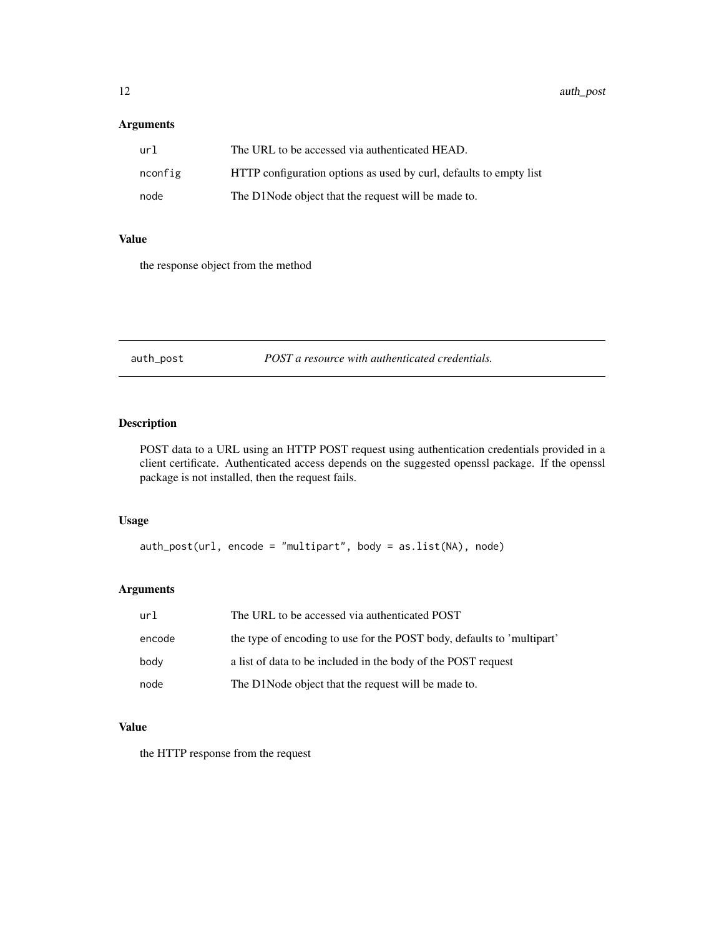# <span id="page-11-0"></span>Arguments

| url     | The URL to be accessed via authenticated HEAD.                     |
|---------|--------------------------------------------------------------------|
| nconfig | HTTP configuration options as used by curl, defaults to empty list |
| node    | The D1Node object that the request will be made to.                |

### Value

the response object from the method

auth\_post *POST a resource with authenticated credentials.*

# Description

POST data to a URL using an HTTP POST request using authentication credentials provided in a client certificate. Authenticated access depends on the suggested openssl package. If the openssl package is not installed, then the request fails.

# Usage

auth\_post(url, encode = "multipart", body = as.list(NA), node)

# Arguments

| url    | The URL to be accessed via authenticated POST                          |
|--------|------------------------------------------------------------------------|
| encode | the type of encoding to use for the POST body, defaults to 'multipart' |
| body   | a list of data to be included in the body of the POST request          |
| node   | The D1Node object that the request will be made to.                    |

# Value

the HTTP response from the request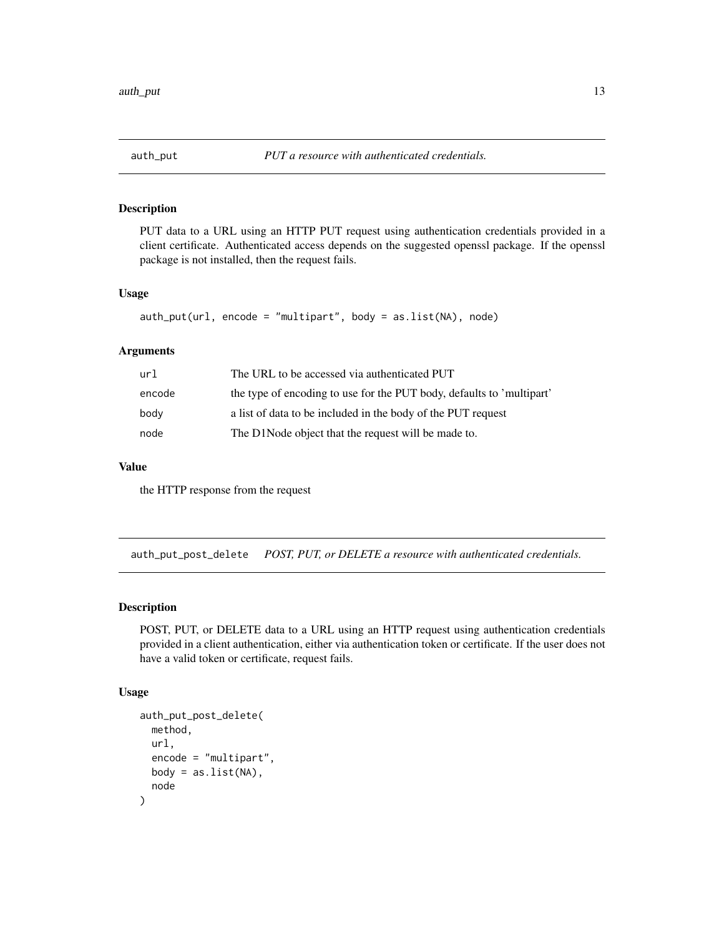<span id="page-12-0"></span>

# Description

PUT data to a URL using an HTTP PUT request using authentication credentials provided in a client certificate. Authenticated access depends on the suggested openssl package. If the openssl package is not installed, then the request fails.

#### Usage

```
auth_put(url, encode = "multipart", body = as.list(NA), node)
```
# Arguments

| url    | The URL to be accessed via authenticated PUT                          |
|--------|-----------------------------------------------------------------------|
| encode | the type of encoding to use for the PUT body, defaults to 'multipart' |
| body   | a list of data to be included in the body of the PUT request          |
| node   | The D1Node object that the request will be made to.                   |

# Value

the HTTP response from the request

auth\_put\_post\_delete *POST, PUT, or DELETE a resource with authenticated credentials.*

#### Description

POST, PUT, or DELETE data to a URL using an HTTP request using authentication credentials provided in a client authentication, either via authentication token or certificate. If the user does not have a valid token or certificate, request fails.

#### Usage

```
auth_put_post_delete(
 method,
 url,
  encode = "multipart",
 body = as.list(NA),node
)
```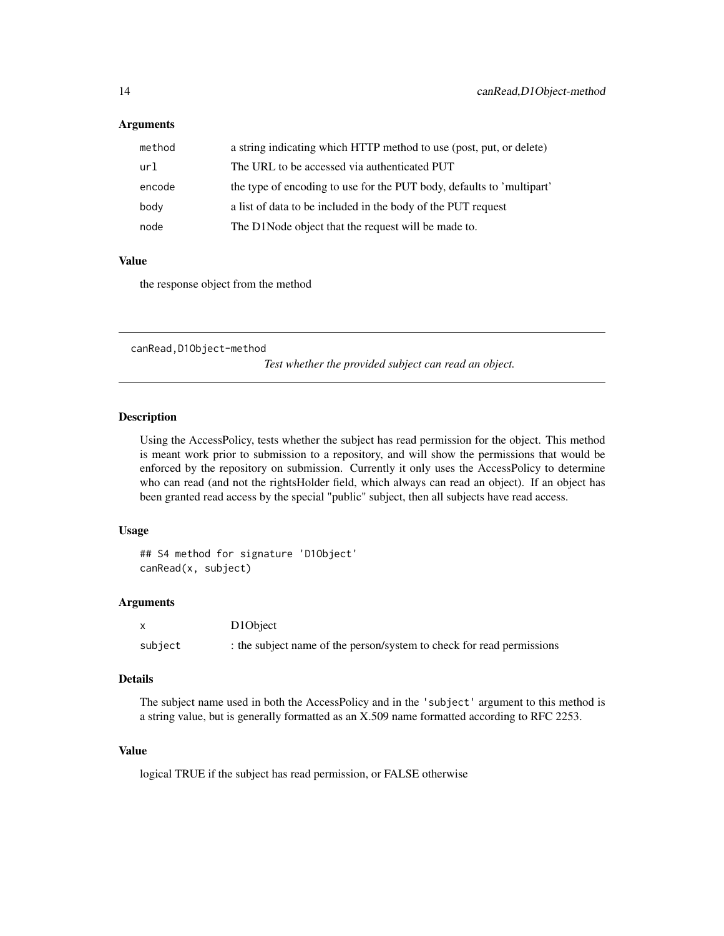#### <span id="page-13-0"></span>Arguments

| method | a string indicating which HTTP method to use (post, put, or delete)   |
|--------|-----------------------------------------------------------------------|
| url    | The URL to be accessed via authenticated PUT                          |
| encode | the type of encoding to use for the PUT body, defaults to 'multipart' |
| body   | a list of data to be included in the body of the PUT request          |
| node   | The D1Node object that the request will be made to.                   |

### Value

the response object from the method

canRead,D1Object-method

*Test whether the provided subject can read an object.*

# Description

Using the AccessPolicy, tests whether the subject has read permission for the object. This method is meant work prior to submission to a repository, and will show the permissions that would be enforced by the repository on submission. Currently it only uses the AccessPolicy to determine who can read (and not the rightsHolder field, which always can read an object). If an object has been granted read access by the special "public" subject, then all subjects have read access.

### Usage

```
## S4 method for signature 'D1Object'
canRead(x, subject)
```
#### Arguments

|         | D10bject                                                              |
|---------|-----------------------------------------------------------------------|
| subject | : the subject name of the person/system to check for read permissions |

#### Details

The subject name used in both the AccessPolicy and in the 'subject' argument to this method is a string value, but is generally formatted as an X.509 name formatted according to RFC 2253.

# Value

logical TRUE if the subject has read permission, or FALSE otherwise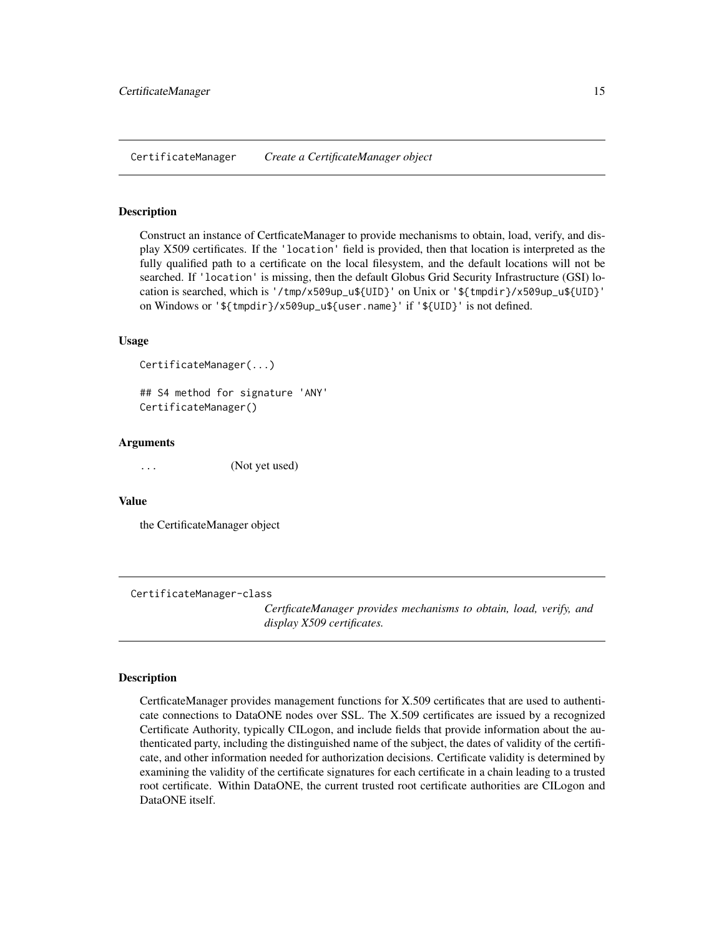<span id="page-14-1"></span><span id="page-14-0"></span>CertificateManager *Create a CertificateManager object*

#### Description

Construct an instance of CertficateManager to provide mechanisms to obtain, load, verify, and display X509 certificates. If the 'location' field is provided, then that location is interpreted as the fully qualified path to a certificate on the local filesystem, and the default locations will not be searched. If 'location' is missing, then the default Globus Grid Security Infrastructure (GSI) location is searched, which is '/tmp/x509up\_u\${UID}' on Unix or '\${tmpdir}/x509up\_u\${UID}' on Windows or '\${tmpdir}/x509up\_u\${user.name}' if '\${UID}' is not defined.

#### Usage

```
CertificateManager(...)
```
## S4 method for signature 'ANY' CertificateManager()

#### Arguments

(Not yet used)

#### Value

the CertificateManager object

CertificateManager-class

*CertficateManager provides mechanisms to obtain, load, verify, and display X509 certificates.*

#### **Description**

CertficateManager provides management functions for X.509 certificates that are used to authenticate connections to DataONE nodes over SSL. The X.509 certificates are issued by a recognized Certificate Authority, typically CILogon, and include fields that provide information about the authenticated party, including the distinguished name of the subject, the dates of validity of the certificate, and other information needed for authorization decisions. Certificate validity is determined by examining the validity of the certificate signatures for each certificate in a chain leading to a trusted root certificate. Within DataONE, the current trusted root certificate authorities are CILogon and DataONE itself.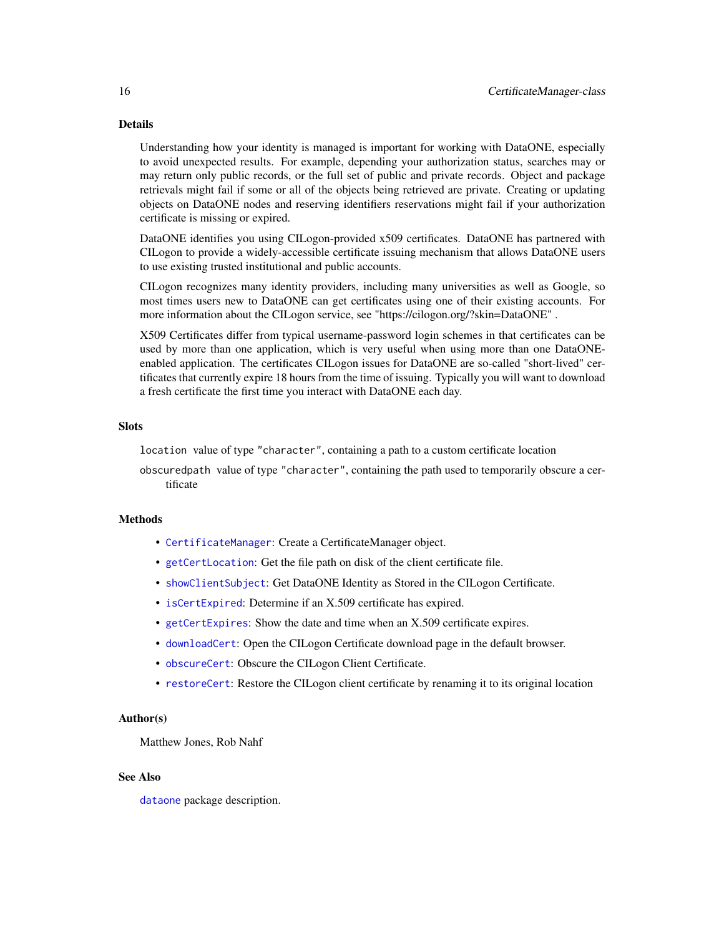#### Details

Understanding how your identity is managed is important for working with DataONE, especially to avoid unexpected results. For example, depending your authorization status, searches may or may return only public records, or the full set of public and private records. Object and package retrievals might fail if some or all of the objects being retrieved are private. Creating or updating objects on DataONE nodes and reserving identifiers reservations might fail if your authorization certificate is missing or expired.

DataONE identifies you using CILogon-provided x509 certificates. DataONE has partnered with CILogon to provide a widely-accessible certificate issuing mechanism that allows DataONE users to use existing trusted institutional and public accounts.

CILogon recognizes many identity providers, including many universities as well as Google, so most times users new to DataONE can get certificates using one of their existing accounts. For more information about the CILogon service, see "https://cilogon.org/?skin=DataONE" .

X509 Certificates differ from typical username-password login schemes in that certificates can be used by more than one application, which is very useful when using more than one DataONEenabled application. The certificates CILogon issues for DataONE are so-called "short-lived" certificates that currently expire 18 hours from the time of issuing. Typically you will want to download a fresh certificate the first time you interact with DataONE each day.

#### Slots

location value of type "character", containing a path to a custom certificate location

obscuredpath value of type "character", containing the path used to temporarily obscure a certificate

#### **Methods**

- [CertificateManager](#page-14-1): Create a CertificateManager object.
- [getCertLocation](#page-51-2): Get the file path on disk of the client certificate file.
- [showClientSubject](#page-93-2): Get DataONE Identity as Stored in the CILogon Certificate.
- [isCertExpired](#page-75-1): Determine if an X.509 certificate has expired.
- [getCertExpires](#page-50-2): Show the date and time when an X.509 certificate expires.
- [downloadCert](#page-39-1): Open the CILogon Certificate download page in the default browser.
- [obscureCert](#page-83-1): Obscure the CILogon Client Certificate.
- [restoreCert](#page-90-1): Restore the CILogon client certificate by renaming it to its original location

#### Author(s)

Matthew Jones, Rob Nahf

#### See Also

[dataone](#page-36-1) package description.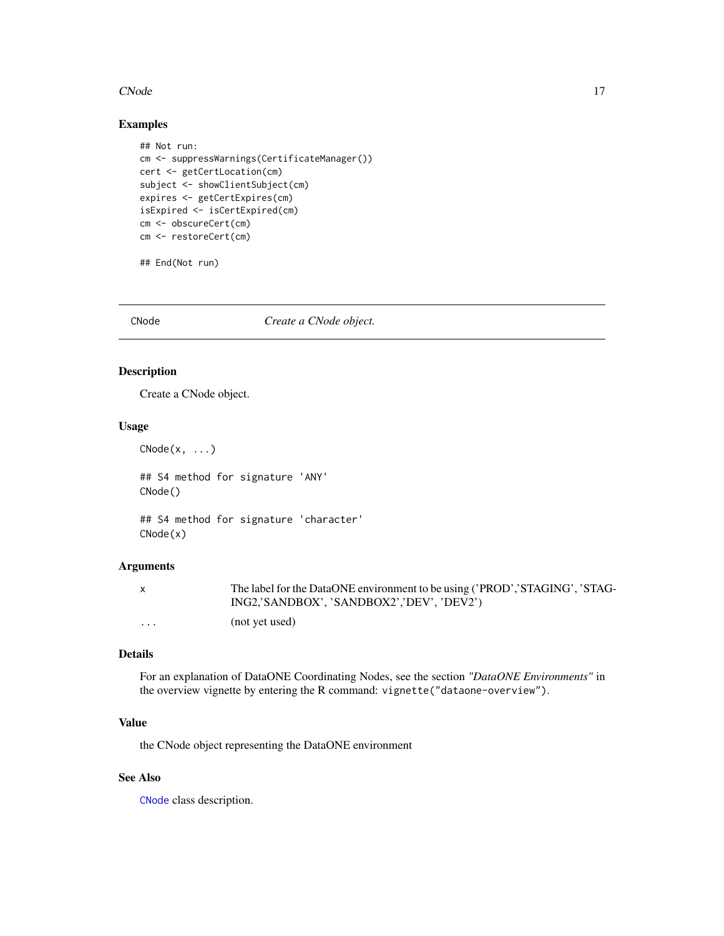#### <span id="page-16-0"></span> $CNode$  17

# Examples

```
## Not run:
cm <- suppressWarnings(CertificateManager())
cert <- getCertLocation(cm)
subject <- showClientSubject(cm)
expires <- getCertExpires(cm)
isExpired <- isCertExpired(cm)
cm <- obscureCert(cm)
cm <- restoreCert(cm)
```
## End(Not run)

<span id="page-16-1"></span>CNode *Create a CNode object.*

# Description

Create a CNode object.

#### Usage

 $CNode(x, \ldots)$ 

## S4 method for signature 'ANY' CNode()

## S4 method for signature 'character' CNode(x)

# Arguments

|   | The label for the DataONE environment to be using ('PROD','STAGING', 'STAG- |
|---|-----------------------------------------------------------------------------|
|   | ING2,'SANDBOX', 'SANDBOX2','DEV', 'DEV2')                                   |
| . | (not yet used)                                                              |

# Details

For an explanation of DataONE Coordinating Nodes, see the section *"DataONE Environments"* in the overview vignette by entering the R command: vignette("dataone-overview").

## Value

the CNode object representing the DataONE environment

# See Also

[CNode](#page-17-1) class description.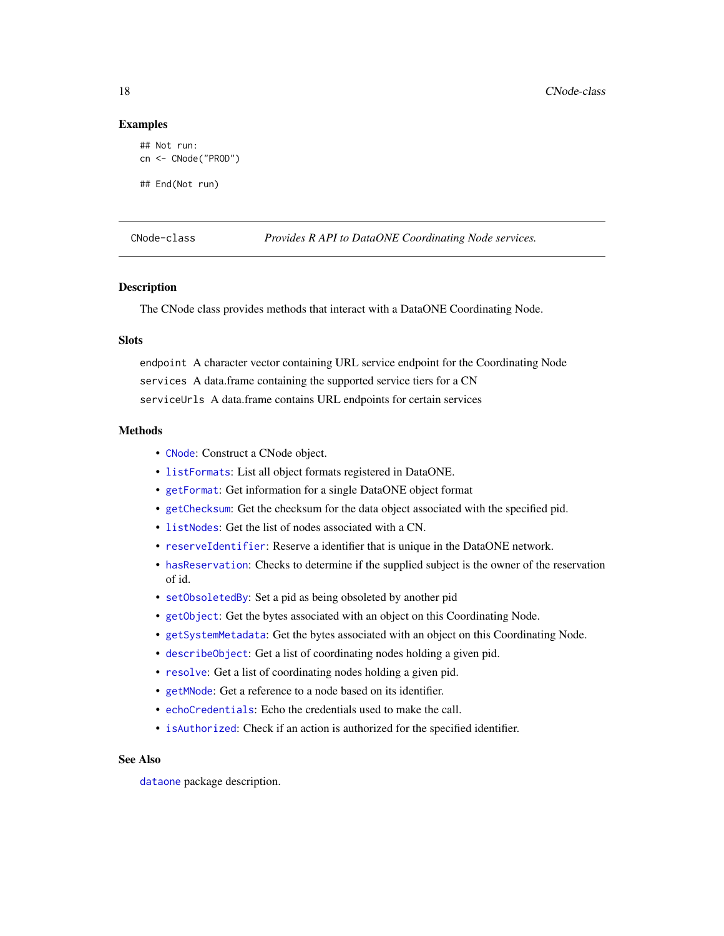#### Examples

```
## Not run:
cn <- CNode("PROD")
## End(Not run)
```
<span id="page-17-1"></span>CNode-class *Provides R API to DataONE Coordinating Node services.*

#### Description

The CNode class provides methods that interact with a DataONE Coordinating Node.

#### **Slots**

endpoint A character vector containing URL service endpoint for the Coordinating Node services A data.frame containing the supported service tiers for a CN serviceUrls A data.frame contains URL endpoints for certain services

#### Methods

- [CNode](#page-16-1): Construct a CNode object.
- [listFormats](#page-76-1): List all object formats registered in DataONE.
- [getFormat](#page-59-1): Get information for a single DataONE object format
- [getChecksum](#page-52-1): Get the checksum for the data object associated with the specified pid.
- [listNodes](#page-77-1): Get the list of nodes associated with a CN.
- [reserveIdentifier](#page-88-1): Reserve a identifier that is unique in the DataONE network.
- [hasReservation](#page-70-1): Checks to determine if the supplied subject is the owner of the reservation of id.
- [setObsoletedBy](#page-91-1): Set a pid as being obsoleted by another pid
- [getObject](#page-64-1): Get the bytes associated with an object on this Coordinating Node.
- [getSystemMetadata](#page-67-1): Get the bytes associated with an object on this Coordinating Node.
- [describeObject](#page-36-2): Get a list of coordinating nodes holding a given pid.
- [resolve](#page-89-2): Get a list of coordinating nodes holding a given pid.
- [getMNode](#page-62-1): Get a reference to a node based on its identifier.
- [echoCredentials](#page-41-1): Echo the credentials used to make the call.
- [isAuthorized](#page-73-2): Check if an action is authorized for the specified identifier.

# See Also

[dataone](#page-36-1) package description.

<span id="page-17-0"></span>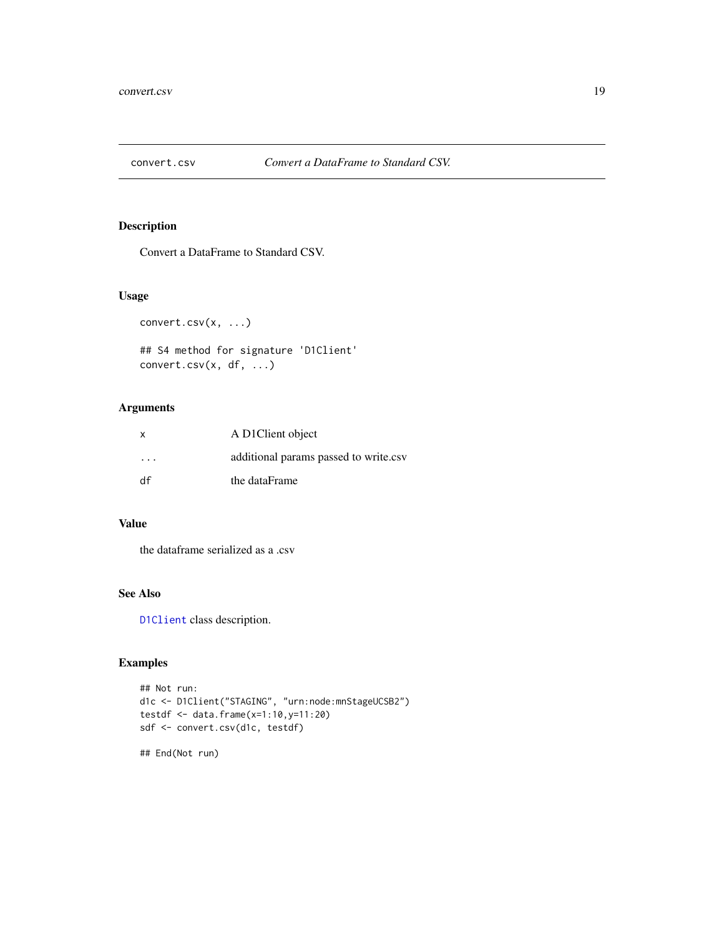<span id="page-18-1"></span><span id="page-18-0"></span>

# Description

Convert a DataFrame to Standard CSV.

#### Usage

convert.csv(x, ...)

## S4 method for signature 'D1Client' convert.csv(x, df, ...)

# Arguments

| $\mathsf{x}$ | A D1Client object                     |
|--------------|---------------------------------------|
| .            | additional params passed to write.csv |
| df           | the dataFrame                         |

# Value

the dataframe serialized as a .csv

# See Also

[D1Client](#page-23-1) class description.

# Examples

```
## Not run:
d1c <- D1Client("STAGING", "urn:node:mnStageUCSB2")
testdf <- data.frame(x=1:10,y=11:20)
sdf <- convert.csv(d1c, testdf)
```
## End(Not run)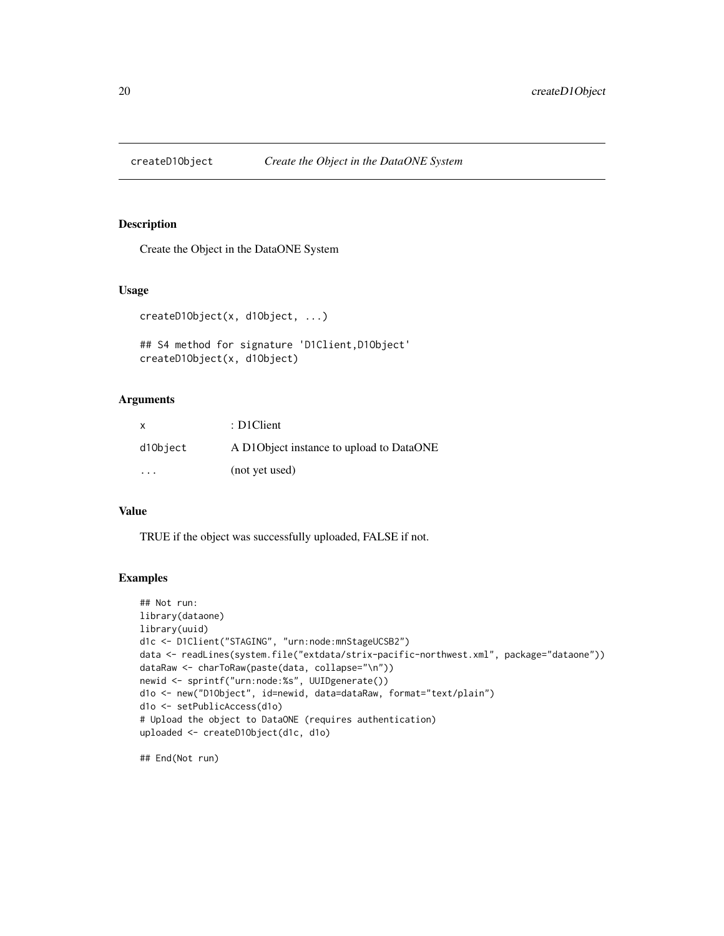<span id="page-19-0"></span>

#### Description

Create the Object in the DataONE System

#### Usage

```
createD1Object(x, d1Object, ...)
```

```
## S4 method for signature 'D1Client,D1Object'
createD1Object(x, d1Object)
```
#### Arguments

| $\mathsf{x}$ | : D1Client                                |
|--------------|-------------------------------------------|
| d10bject     | A D10 bject instance to upload to DataONE |
| $\cdot$      | (not yet used)                            |

#### Value

TRUE if the object was successfully uploaded, FALSE if not.

# Examples

```
## Not run:
library(dataone)
library(uuid)
d1c <- D1Client("STAGING", "urn:node:mnStageUCSB2")
data <- readLines(system.file("extdata/strix-pacific-northwest.xml", package="dataone"))
dataRaw <- charToRaw(paste(data, collapse="\n"))
newid <- sprintf("urn:node:%s", UUIDgenerate())
d1o <- new("D1Object", id=newid, data=dataRaw, format="text/plain")
d1o <- setPublicAccess(d1o)
# Upload the object to DataONE (requires authentication)
uploaded <- createD1Object(d1c, d1o)
```
## End(Not run)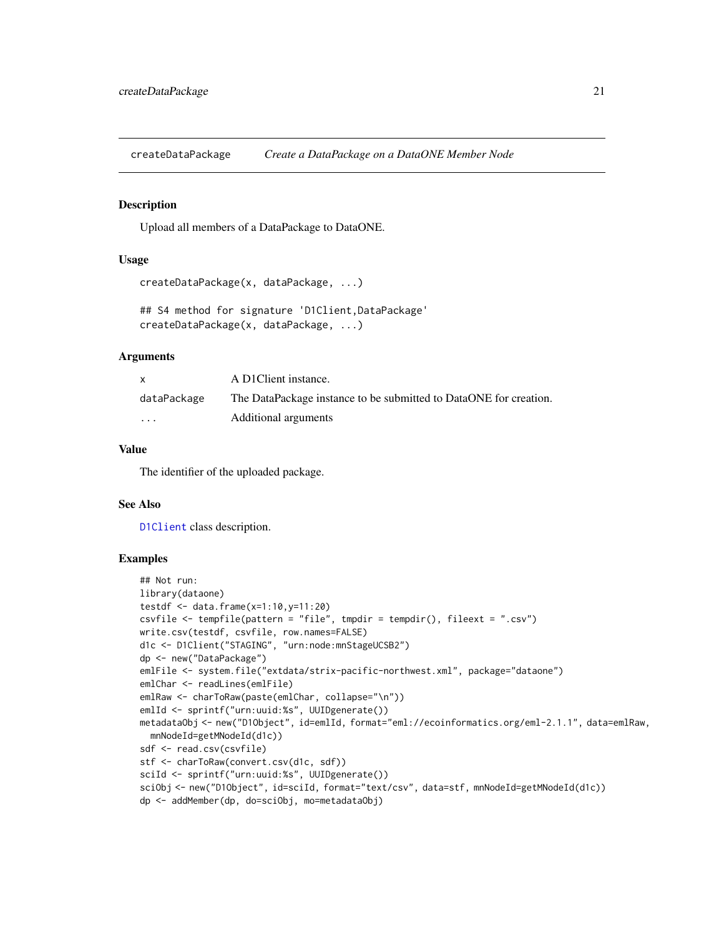<span id="page-20-1"></span><span id="page-20-0"></span>createDataPackage *Create a DataPackage on a DataONE Member Node*

#### Description

Upload all members of a DataPackage to DataONE.

# Usage

```
createDataPackage(x, dataPackage, ...)
```

```
## S4 method for signature 'D1Client,DataPackage'
createDataPackage(x, dataPackage, ...)
```
#### Arguments

| X           | A D1Client instance.                                              |
|-------------|-------------------------------------------------------------------|
| dataPackage | The DataPackage instance to be submitted to DataONE for creation. |
| .           | Additional arguments                                              |

# Value

The identifier of the uploaded package.

#### See Also

[D1Client](#page-23-1) class description.

# Examples

```
## Not run:
library(dataone)
testdf <- data.frame(x=1:10,y=11:20)
csvfile <- tempfile(pattern = "file", tmpdir = tempdir(), fileext = ".csv")
write.csv(testdf, csvfile, row.names=FALSE)
d1c <- D1Client("STAGING", "urn:node:mnStageUCSB2")
dp <- new("DataPackage")
emlFile <- system.file("extdata/strix-pacific-northwest.xml", package="dataone")
emlChar <- readLines(emlFile)
emlRaw <- charToRaw(paste(emlChar, collapse="\n"))
emlId <- sprintf("urn:uuid:%s", UUIDgenerate())
metadataObj <- new("D1Object", id=emlId, format="eml://ecoinformatics.org/eml-2.1.1", data=emlRaw,
  mnNodeId=getMNodeId(d1c))
sdf <- read.csv(csvfile)
stf <- charToRaw(convert.csv(d1c, sdf))
sciId <- sprintf("urn:uuid:%s", UUIDgenerate())
sciObj <- new("D1Object", id=sciId, format="text/csv", data=stf, mnNodeId=getMNodeId(d1c))
dp <- addMember(dp, do=sciObj, mo=metadataObj)
```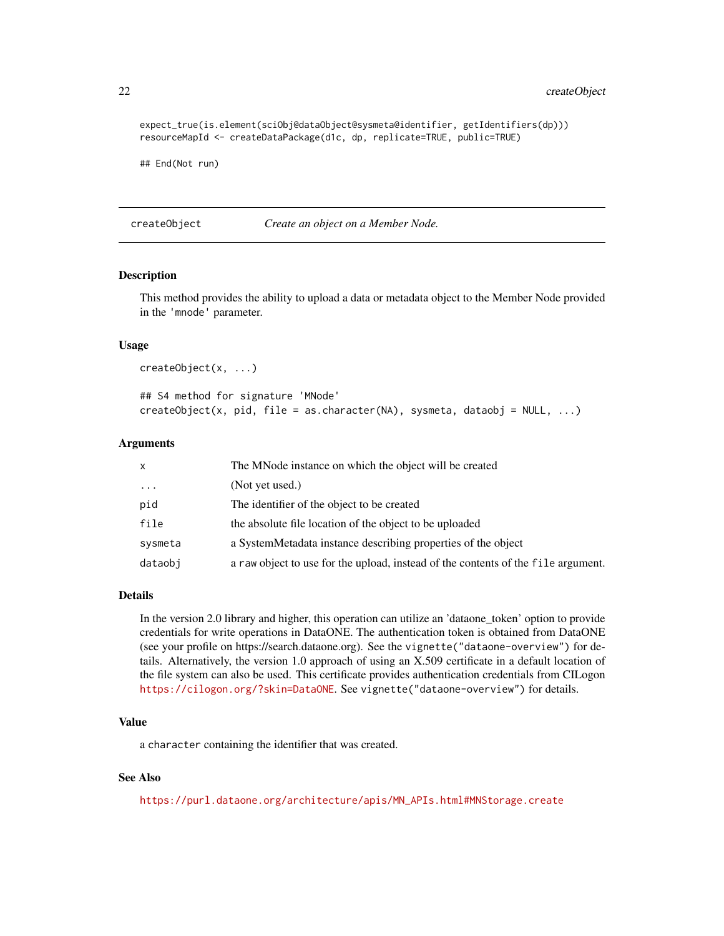```
expect_true(is.element(sciObj@dataObject@sysmeta@identifier, getIdentifiers(dp)))
resourceMapId <- createDataPackage(d1c, dp, replicate=TRUE, public=TRUE)
```
## End(Not run)

createObject *Create an object on a Member Node.*

#### Description

This method provides the ability to upload a data or metadata object to the Member Node provided in the 'mnode' parameter.

#### Usage

```
createObject(x, ...)
```

```
## S4 method for signature 'MNode'
createdObject(x, pid, file = as.charAtacter(NA), systemeta, dataobj = NULL, ...)
```
#### Arguments

| x        | The MNode instance on which the object will be created                            |
|----------|-----------------------------------------------------------------------------------|
| $\cdots$ | (Not yet used.)                                                                   |
| pid      | The identifier of the object to be created                                        |
| file     | the absolute file location of the object to be uploaded                           |
| sysmeta  | a SystemMetadata instance describing properties of the object                     |
| dataobi  | a raw object to use for the upload, instead of the contents of the file argument. |

#### Details

In the version 2.0 library and higher, this operation can utilize an 'dataone\_token' option to provide credentials for write operations in DataONE. The authentication token is obtained from DataONE (see your profile on https://search.dataone.org). See the vignette("dataone-overview") for details. Alternatively, the version 1.0 approach of using an X.509 certificate in a default location of the file system can also be used. This certificate provides authentication credentials from CILogon <https://cilogon.org/?skin=DataONE>. See vignette("dataone-overview") for details.

## Value

a character containing the identifier that was created.

#### See Also

[https://purl.dataone.org/architecture/apis/MN\\_APIs.html#MNStorage.create](https://purl.dataone.org/architecture/apis/MN_APIs.html#MNStorage.create)

<span id="page-21-0"></span>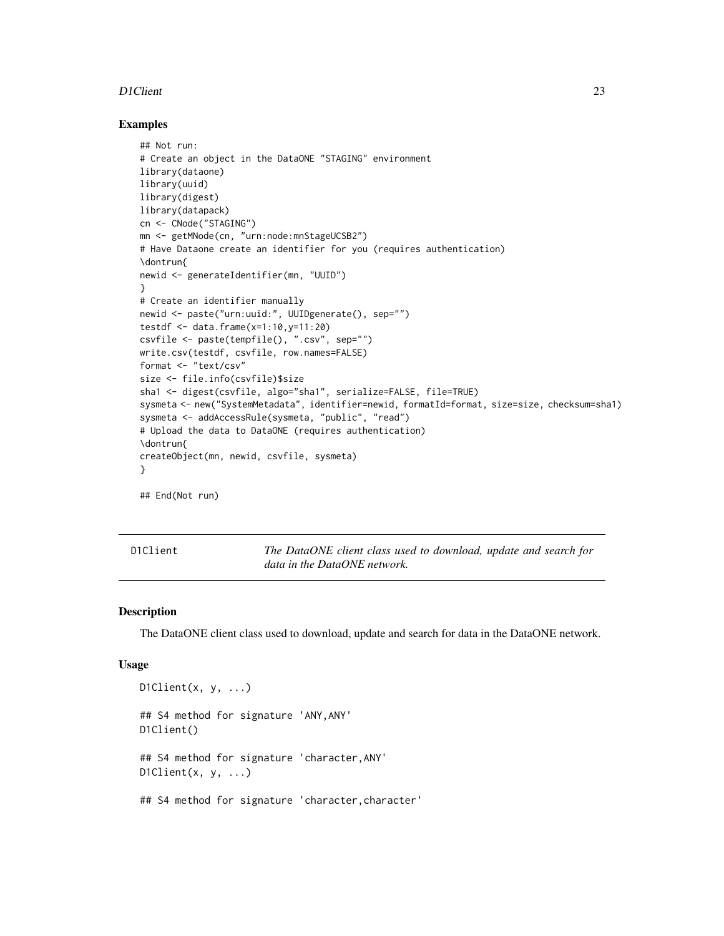#### <span id="page-22-0"></span>D1Client 23

#### Examples

```
## Not run:
# Create an object in the DataONE "STAGING" environment
library(dataone)
library(uuid)
library(digest)
library(datapack)
cn <- CNode("STAGING")
mn <- getMNode(cn, "urn:node:mnStageUCSB2")
# Have Dataone create an identifier for you (requires authentication)
\dontrun{
newid <- generateIdentifier(mn, "UUID")
}
# Create an identifier manually
newid <- paste("urn:uuid:", UUIDgenerate(), sep="")
testdf <- data.frame(x=1:10,y=11:20)
csvfile <- paste(tempfile(), ".csv", sep="")
write.csv(testdf, csvfile, row.names=FALSE)
format <- "text/csv"
size <- file.info(csvfile)$size
sha1 <- digest(csvfile, algo="sha1", serialize=FALSE, file=TRUE)
sysmeta <- new("SystemMetadata", identifier=newid, formatId=format, size=size, checksum=sha1)
sysmeta <- addAccessRule(sysmeta, "public", "read")
# Upload the data to DataONE (requires authentication)
\dontrun{
createObject(mn, newid, csvfile, sysmeta)
}
```
## End(Not run)

<span id="page-22-1"></span>D1Client *The DataONE client class used to download, update and search for data in the DataONE network.*

#### Description

The DataONE client class used to download, update and search for data in the DataONE network.

#### Usage

```
D1Client(x, y, \ldots)## S4 method for signature 'ANY,ANY'
D1Client()
## S4 method for signature 'character,ANY'
D1Client(x, y, \ldots)
```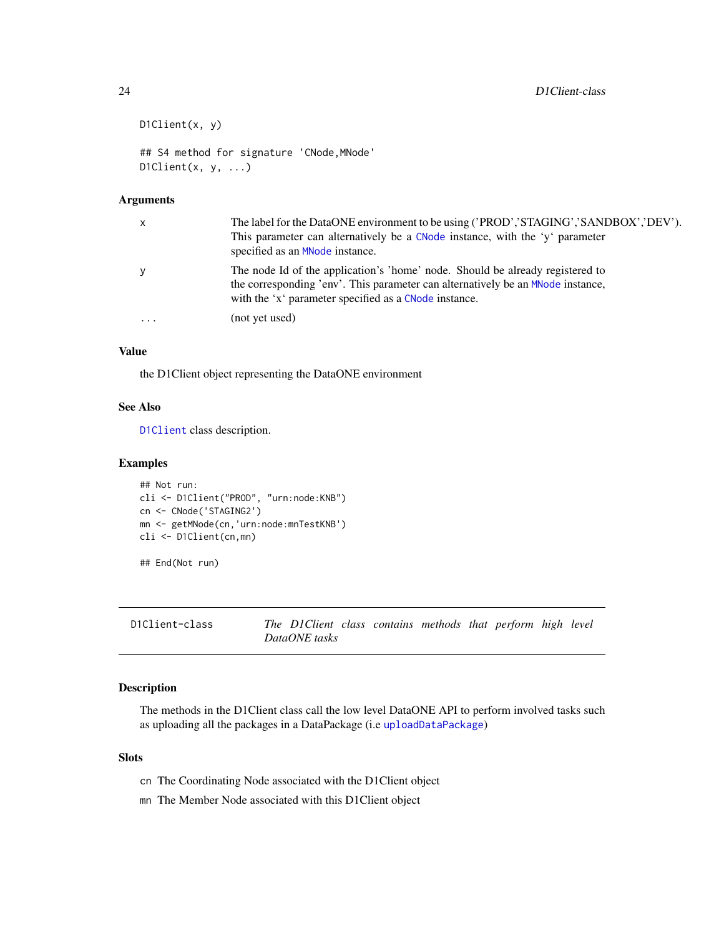```
D1Client(x, y)
## S4 method for signature 'CNode,MNode'
D1Client(x, y, \ldots)
```
#### Arguments

| $\mathsf{X}$ | The label for the DataONE environment to be using ('PROD','STAGING','SANDBOX','DEV').<br>This parameter can alternatively be a CNode instance, with the 'y' parameter<br>specified as an MNode instance.                  |
|--------------|---------------------------------------------------------------------------------------------------------------------------------------------------------------------------------------------------------------------------|
| y            | The node Id of the application's 'home' node. Should be already registered to<br>the corresponding 'env'. This parameter can alternatively be an MNode instance,<br>with the 'x' parameter specified as a CNode instance. |
| $\ddotsc$    | (not yet used)                                                                                                                                                                                                            |

# Value

the D1Client object representing the DataONE environment

# See Also

[D1Client](#page-23-1) class description.

#### Examples

```
## Not run:
cli <- D1Client("PROD", "urn:node:KNB")
cn <- CNode('STAGING2')
mn <- getMNode(cn,'urn:node:mnTestKNB')
cli <- D1Client(cn,mn)
```
## End(Not run)

<span id="page-23-1"></span>D1Client-class *The D1Client class contains methods that perform high level DataONE tasks*

# Description

The methods in the D1Client class call the low level DataONE API to perform involved tasks such as uploading all the packages in a DataPackage (i.e [uploadDataPackage](#page-97-1))

# Slots

- cn The Coordinating Node associated with the D1Client object
- mn The Member Node associated with this D1Client object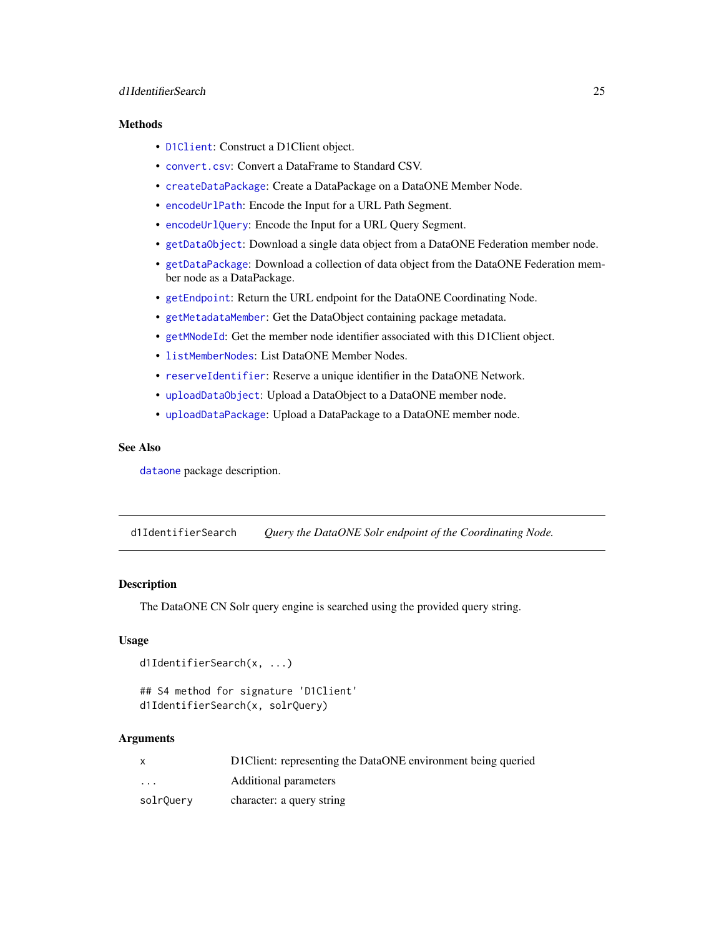# <span id="page-24-0"></span>d1IdentifierSearch 25

#### **Methods**

- [D1Client](#page-22-1): Construct a D1Client object.
- [convert.csv](#page-18-1): Convert a DataFrame to Standard CSV.
- [createDataPackage](#page-20-1): Create a DataPackage on a DataONE Member Node.
- [encodeUrlPath](#page-43-1): Encode the Input for a URL Path Segment.
- [encodeUrlQuery](#page-44-1): Encode the Input for a URL Query Segment.
- [getDataObject](#page-55-1): Download a single data object from a DataONE Federation member node.
- [getDataPackage](#page-56-1): Download a collection of data object from the DataONE Federation member node as a DataPackage.
- [getEndpoint](#page-57-1): Return the URL endpoint for the DataONE Coordinating Node.
- [getMetadataMember](#page-61-1): Get the DataObject containing package metadata.
- [getMNodeId](#page-63-1): Get the member node identifier associated with this D1Client object.
- [listMemberNodes](#page-76-2): List DataONE Member Nodes.
- [reserveIdentifier](#page-88-1): Reserve a unique identifier in the DataONE Network.
- [uploadDataObject](#page-96-1): Upload a DataObject to a DataONE member node.
- [uploadDataPackage](#page-97-1): Upload a DataPackage to a DataONE member node.

# See Also

[dataone](#page-36-1) package description.

d1IdentifierSearch *Query the DataONE Solr endpoint of the Coordinating Node.*

# **Description**

The DataONE CN Solr query engine is searched using the provided query string.

# Usage

```
d1IdentifierSearch(x, ...)
```

```
## S4 method for signature 'D1Client'
d1IdentifierSearch(x, solrQuery)
```
#### Arguments

|           | D1 Client: representing the DataONE environment being queried |
|-----------|---------------------------------------------------------------|
| $\cdots$  | Additional parameters                                         |
| solrQuery | character: a query string                                     |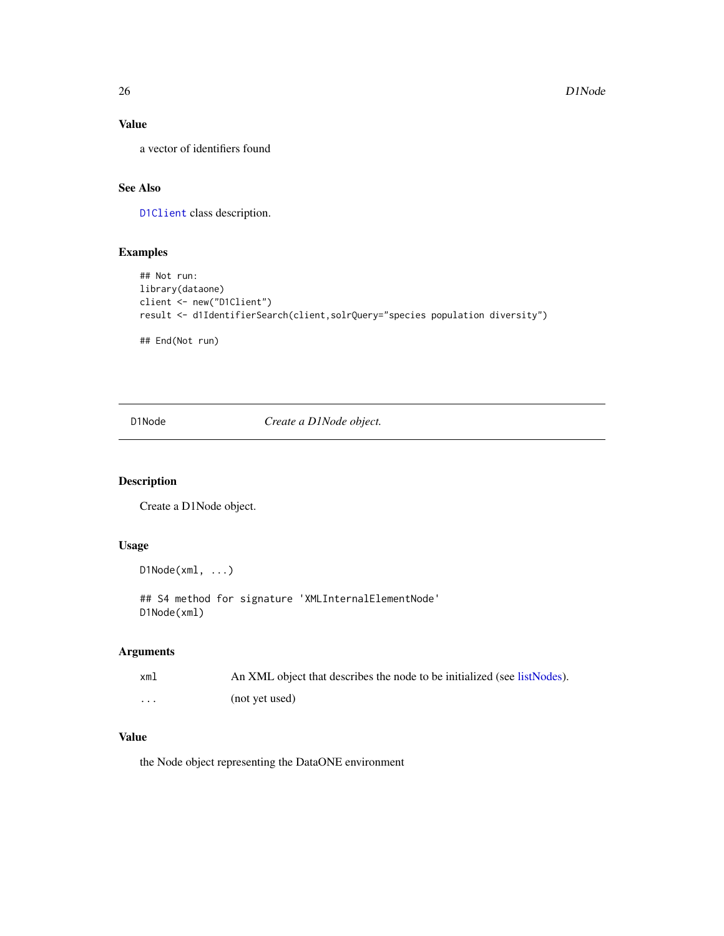# Value

a vector of identifiers found

# See Also

[D1Client](#page-23-1) class description.

# Examples

```
## Not run:
library(dataone)
client <- new("D1Client")
result <- d1IdentifierSearch(client,solrQuery="species population diversity")
## End(Not run)
```
<span id="page-25-1"></span>D1Node *Create a D1Node object.*

# Description

Create a D1Node object.

# Usage

D1Node(xml, ...)

## S4 method for signature 'XMLInternalElementNode' D1Node(xml)

# Arguments

| xml      | An XML object that describes the node to be initialized (see listNodes). |
|----------|--------------------------------------------------------------------------|
| $\cdots$ | (not yet used)                                                           |

#### Value

the Node object representing the DataONE environment

<span id="page-25-0"></span>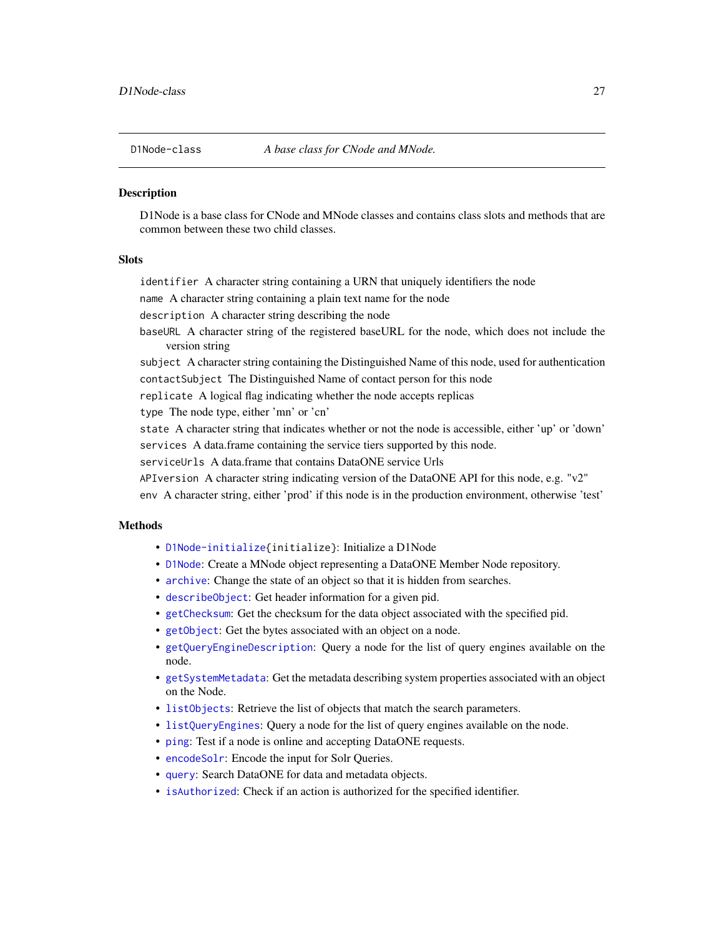<span id="page-26-1"></span><span id="page-26-0"></span>

#### **Description**

D1Node is a base class for CNode and MNode classes and contains class slots and methods that are common between these two child classes.

# **Slots**

identifier A character string containing a URN that uniquely identifiers the node

name A character string containing a plain text name for the node

description A character string describing the node

baseURL A character string of the registered baseURL for the node, which does not include the version string

subject A character string containing the Distinguished Name of this node, used for authentication contactSubject The Distinguished Name of contact person for this node

replicate A logical flag indicating whether the node accepts replicas

type The node type, either 'mn' or 'cn'

state A character string that indicates whether or not the node is accessible, either 'up' or 'down' services A data.frame containing the service tiers supported by this node.

serviceUrls A data.frame that contains DataONE service Urls

APIversion A character string indicating version of the DataONE API for this node, e.g. "v2"

env A character string, either 'prod' if this node is in the production environment, otherwise 'test'

# **Methods**

- [D1Node-initialize{](#page-72-1)initialize}: Initialize a D1Node
- [D1Node](#page-25-1): Create a MNode object representing a DataONE Member Node repository.
- [archive](#page-5-1): Change the state of an object so that it is hidden from searches.
- [describeObject](#page-36-2): Get header information for a given pid.
- [getChecksum](#page-52-1): Get the checksum for the data object associated with the specified pid.
- [getObject](#page-64-1): Get the bytes associated with an object on a node.
- [getQueryEngineDescription](#page-66-1): Query a node for the list of query engines available on the node.
- [getSystemMetadata](#page-67-1): Get the metadata describing system properties associated with an object on the Node.
- [listObjects](#page-78-1): Retrieve the list of objects that match the search parameters.
- [listQueryEngines](#page-79-1): Query a node for the list of query engines available on the node.
- [ping](#page-85-1): Test if a node is online and accepting DataONE requests.
- [encodeSolr](#page-43-2): Encode the input for Solr Queries.
- [query](#page-85-2): Search DataONE for data and metadata objects.
- [isAuthorized](#page-73-2): Check if an action is authorized for the specified identifier.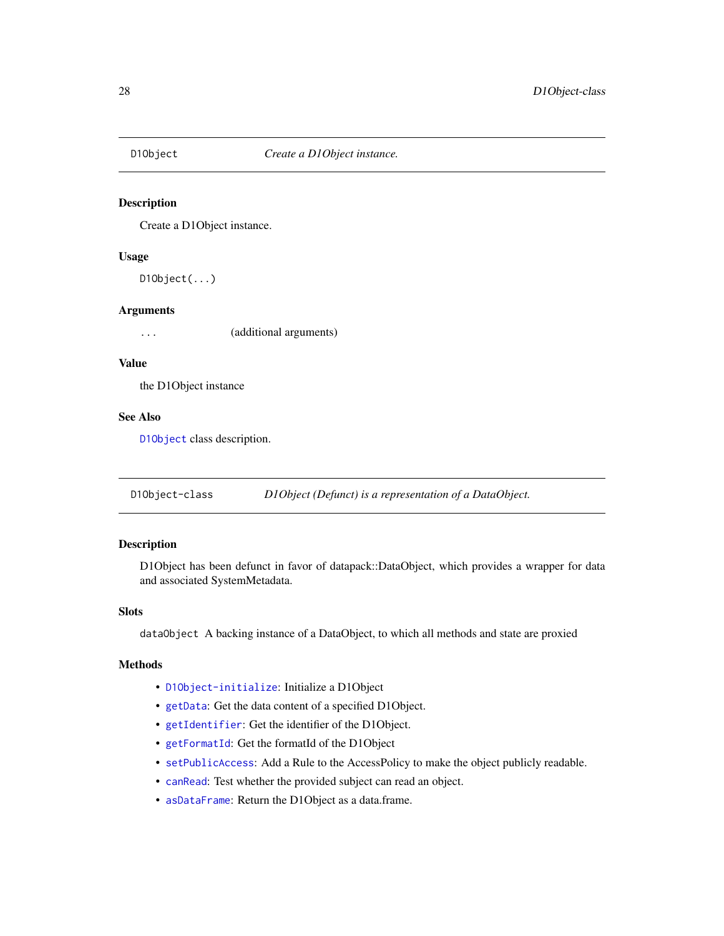<span id="page-27-0"></span>

# Description

Create a D1Object instance.

#### Usage

 $D10bject(...)$ 

#### Arguments

... (additional arguments)

### Value

the D1Object instance

# See Also

[D1Object](#page-27-1) class description.

<span id="page-27-1"></span>D1Object-class *D1Object (Defunct) is a representation of a DataObject.*

#### Description

D1Object has been defunct in favor of datapack::DataObject, which provides a wrapper for data and associated SystemMetadata.

# Slots

dataObject A backing instance of a DataObject, to which all methods and state are proxied

#### Methods

- [D1Object-initialize](#page-72-2): Initialize a D1Object
- [getData](#page-0-0): Get the data content of a specified D1Object.
- [getIdentifier](#page-0-0): Get the identifier of the D1Object.
- [getFormatId](#page-0-0): Get the formatId of the D1Object
- [setPublicAccess](#page-0-0): Add a Rule to the AccessPolicy to make the object publicly readable.
- [canRead](#page-0-0): Test whether the provided subject can read an object.
- [asDataFrame](#page-6-1): Return the D1Object as a data.frame.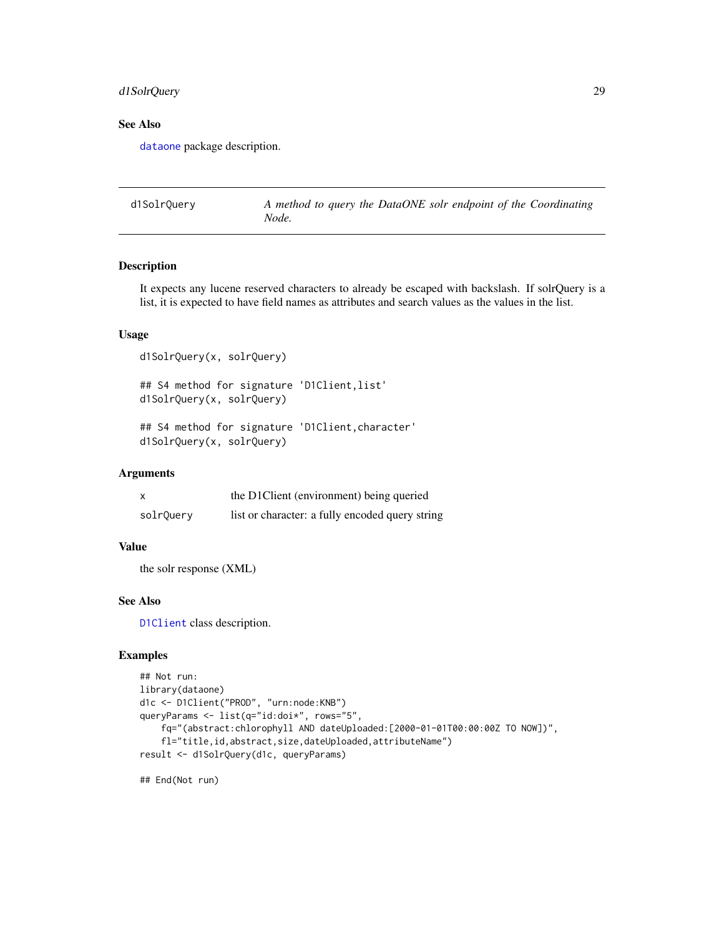# <span id="page-28-0"></span>d1SolrQuery 29

# See Also

[dataone](#page-36-1) package description.

d1SolrQuery *A method to query the DataONE solr endpoint of the Coordinating Node.*

# Description

It expects any lucene reserved characters to already be escaped with backslash. If solrQuery is a list, it is expected to have field names as attributes and search values as the values in the list.

# Usage

```
d1SolrQuery(x, solrQuery)
## S4 method for signature 'D1Client,list'
d1SolrQuery(x, solrQuery)
## S4 method for signature 'D1Client, character'
d1SolrQuery(x, solrQuery)
```
#### **Arguments**

| X         | the D1Client (environment) being queried        |
|-----------|-------------------------------------------------|
| solrQuery | list or character: a fully encoded query string |

## Value

the solr response (XML)

# See Also

[D1Client](#page-23-1) class description.

#### Examples

```
## Not run:
library(dataone)
d1c <- D1Client("PROD", "urn:node:KNB")
queryParams <- list(q="id:doi*", rows="5",
    fq="(abstract:chlorophyll AND dateUploaded:[2000-01-01T00:00:00Z TO NOW])",
    fl="title,id,abstract,size,dateUploaded,attributeName")
result <- d1SolrQuery(d1c, queryParams)
```
## End(Not run)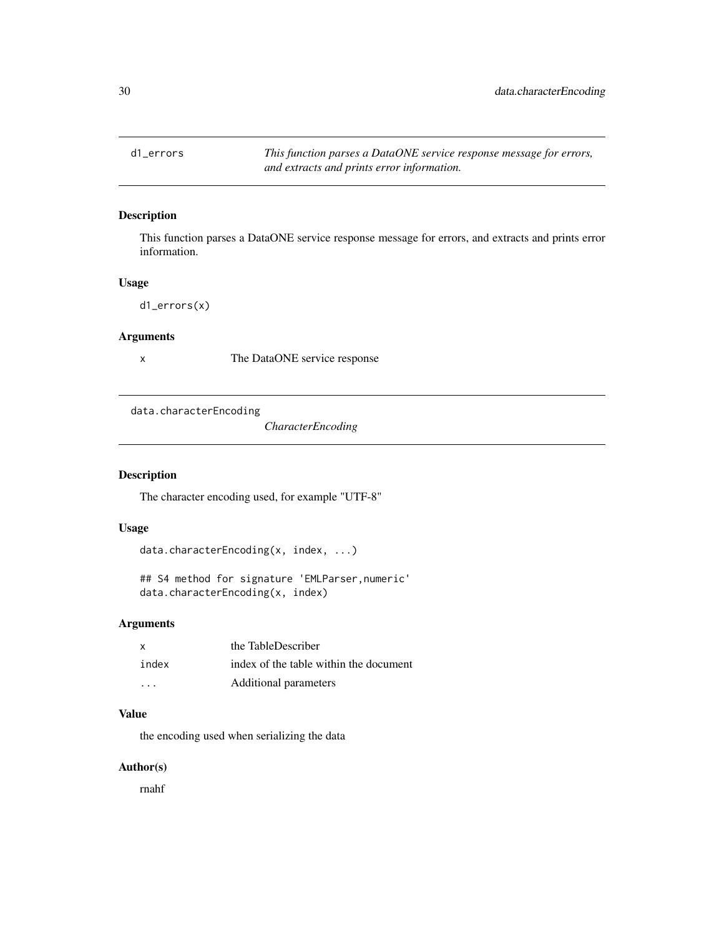<span id="page-29-0"></span>d1\_errors *This function parses a DataONE service response message for errors, and extracts and prints error information.*

# Description

This function parses a DataONE service response message for errors, and extracts and prints error information.

#### Usage

d1\_errors(x)

#### Arguments

x The DataONE service response

data.characterEncoding

*CharacterEncoding*

# Description

The character encoding used, for example "UTF-8"

# Usage

```
data.characterEncoding(x, index, ...)
```

```
## S4 method for signature 'EMLParser,numeric'
data.characterEncoding(x, index)
```
# Arguments

| $\mathsf{x}$            | the TableDescriber                     |
|-------------------------|----------------------------------------|
| index                   | index of the table within the document |
| $\cdot$ $\cdot$ $\cdot$ | Additional parameters                  |

# Value

the encoding used when serializing the data

# Author(s)

rnahf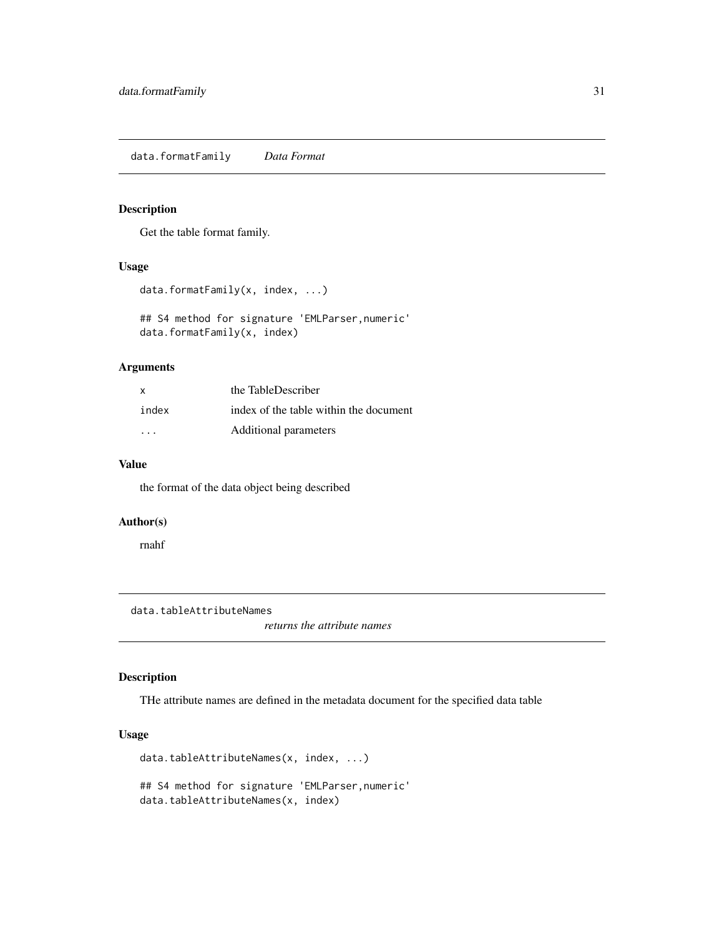<span id="page-30-0"></span>data.formatFamily *Data Format*

#### Description

Get the table format family.

# Usage

```
data.formatFamily(x, index, ...)
```
## S4 method for signature 'EMLParser,numeric' data.formatFamily(x, index)

# Arguments

| $\mathsf{x}$            | the TableDescriber                     |
|-------------------------|----------------------------------------|
| index                   | index of the table within the document |
| $\cdot$ $\cdot$ $\cdot$ | Additional parameters                  |

#### Value

the format of the data object being described

# Author(s)

rnahf

data.tableAttributeNames

*returns the attribute names*

# Description

THe attribute names are defined in the metadata document for the specified data table

# Usage

```
data.tableAttributeNames(x, index, ...)
## S4 method for signature 'EMLParser,numeric'
data.tableAttributeNames(x, index)
```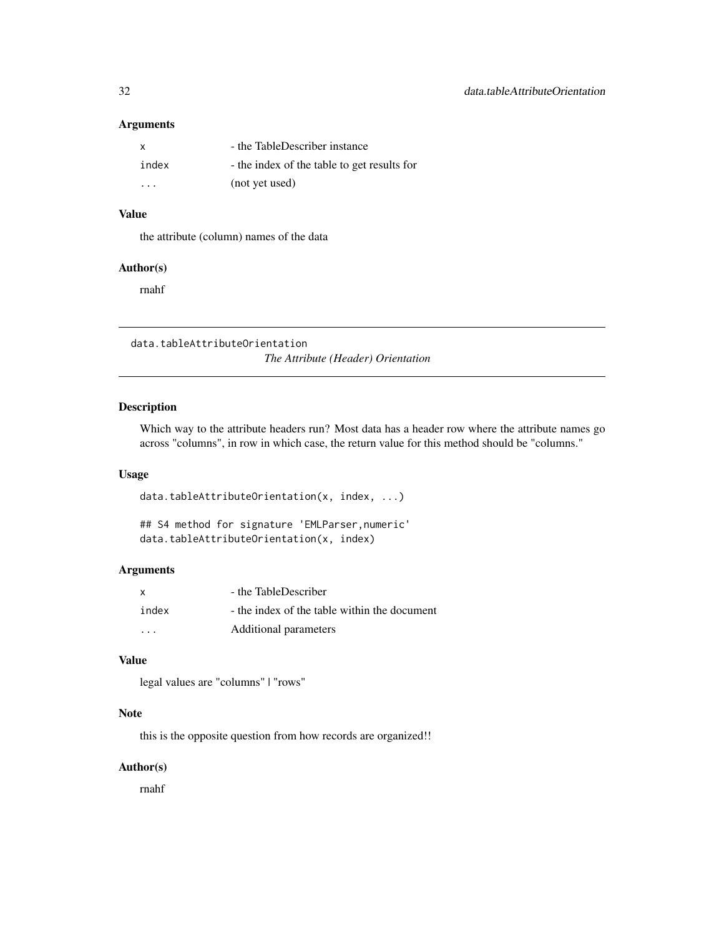# <span id="page-31-0"></span>Arguments

| X     | - the TableDescriber instance               |
|-------|---------------------------------------------|
| index | - the index of the table to get results for |
| .     | (not yet used)                              |

# Value

the attribute (column) names of the data

# Author(s)

rnahf

data.tableAttributeOrientation *The Attribute (Header) Orientation*

# Description

Which way to the attribute headers run? Most data has a header row where the attribute names go across "columns", in row in which case, the return value for this method should be "columns."

## Usage

data.tableAttributeOrientation(x, index, ...)

```
## S4 method for signature 'EMLParser,numeric'
data.tableAttributeOrientation(x, index)
```
#### Arguments

| $\mathsf{x}$ | - the TableDescriber                         |
|--------------|----------------------------------------------|
| index        | - the index of the table within the document |
| .            | Additional parameters                        |

#### Value

legal values are "columns" | "rows"

#### Note

this is the opposite question from how records are organized!!

# Author(s)

rnahf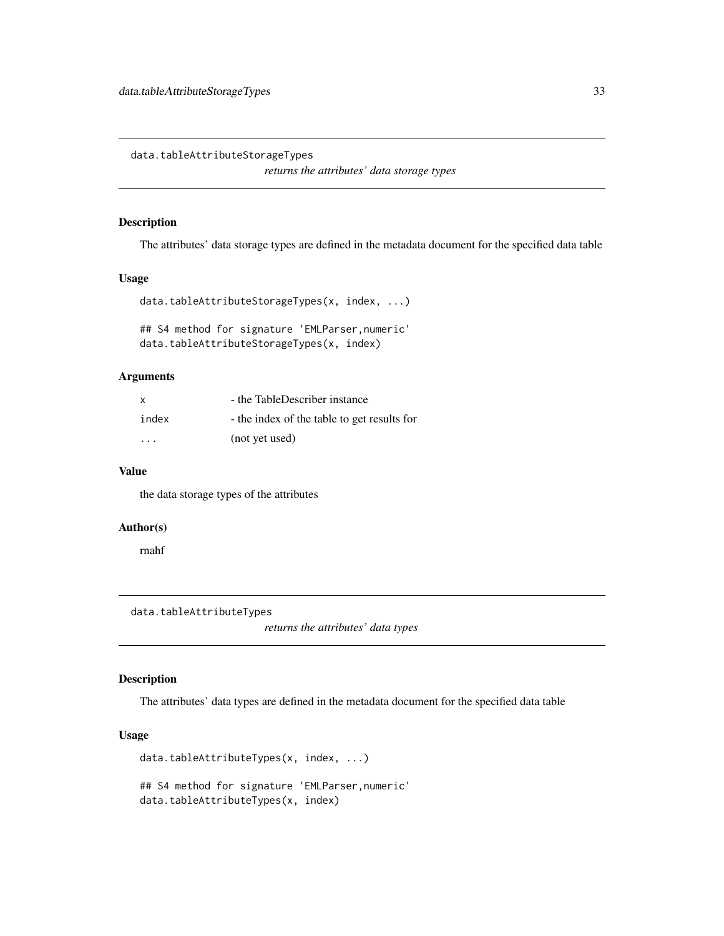<span id="page-32-0"></span>data.tableAttributeStorageTypes

*returns the attributes' data storage types*

# Description

The attributes' data storage types are defined in the metadata document for the specified data table

#### Usage

```
data.tableAttributeStorageTypes(x, index, ...)
```
## S4 method for signature 'EMLParser,numeric' data.tableAttributeStorageTypes(x, index)

#### Arguments

| X     | - the TableDescriber instance               |
|-------|---------------------------------------------|
| index | - the index of the table to get results for |
| .     | (not yet used)                              |

#### Value

the data storage types of the attributes

# Author(s)

rnahf

data.tableAttributeTypes

*returns the attributes' data types*

# Description

The attributes' data types are defined in the metadata document for the specified data table

# Usage

```
data.tableAttributeTypes(x, index, ...)
## S4 method for signature 'EMLParser,numeric'
data.tableAttributeTypes(x, index)
```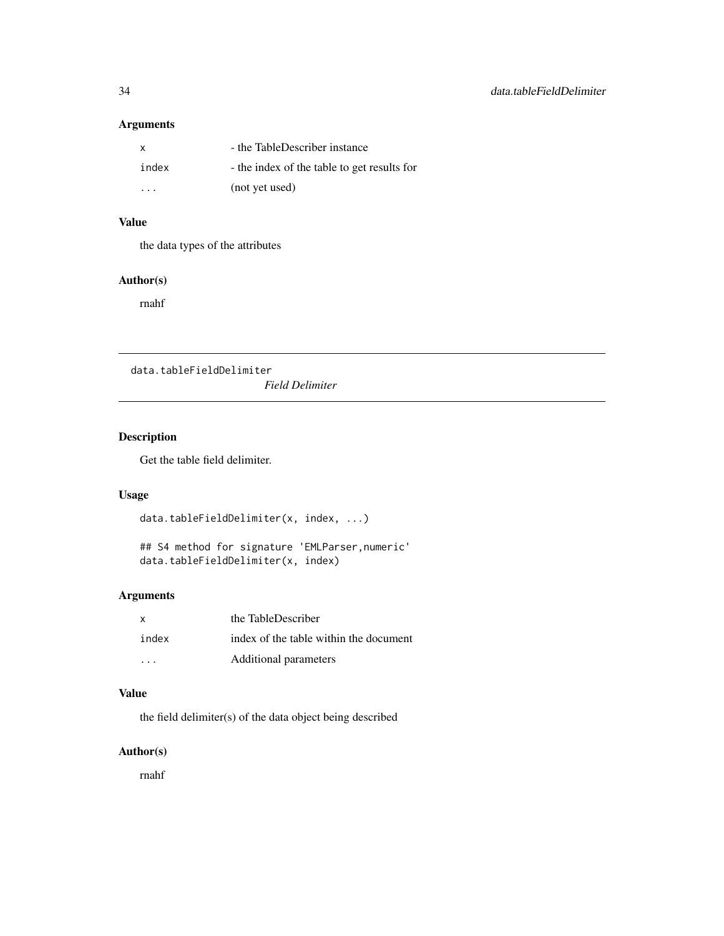# <span id="page-33-0"></span>Arguments

| $\mathsf{x}$ | - the TableDescriber instance               |
|--------------|---------------------------------------------|
| index        | - the index of the table to get results for |
| .            | (not yet used)                              |

# Value

the data types of the attributes

#### Author(s)

rnahf

data.tableFieldDelimiter

*Field Delimiter*

# Description

Get the table field delimiter.

# Usage

```
data.tableFieldDelimiter(x, index, ...)
```

```
## S4 method for signature 'EMLParser,numeric'
data.tableFieldDelimiter(x, index)
```
# Arguments

| <b>X</b> | the TableDescriber                     |
|----------|----------------------------------------|
| index    | index of the table within the document |
| .        | Additional parameters                  |

# Value

the field delimiter(s) of the data object being described

# Author(s)

rnahf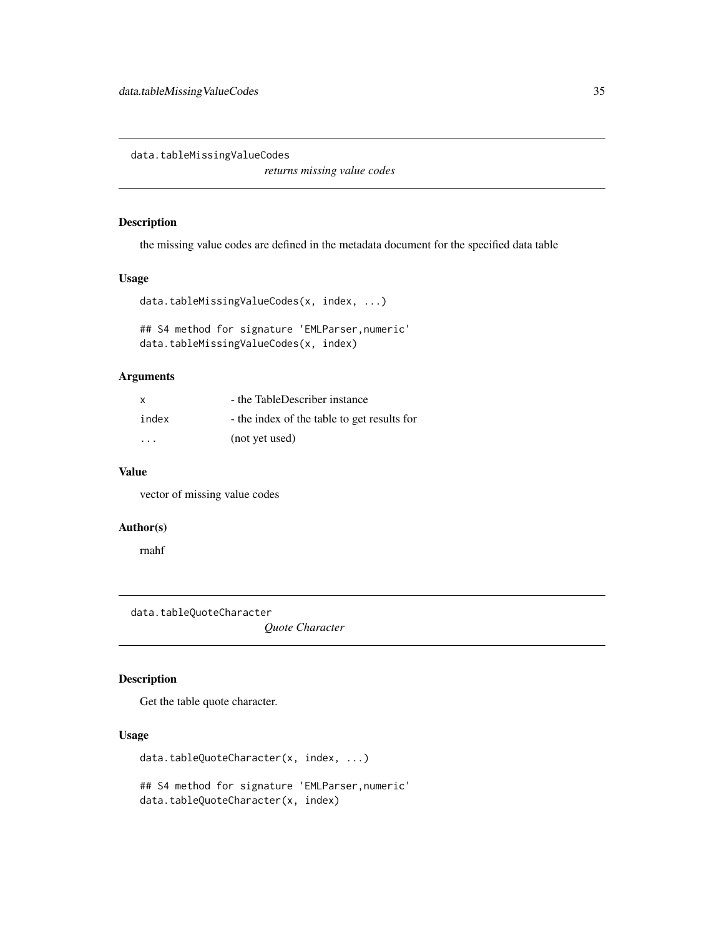<span id="page-34-0"></span>data.tableMissingValueCodes

*returns missing value codes*

#### Description

the missing value codes are defined in the metadata document for the specified data table

#### Usage

```
data.tableMissingValueCodes(x, index, ...)
```
## S4 method for signature 'EMLParser,numeric' data.tableMissingValueCodes(x, index)

# Arguments

| $\mathsf{x}$ | - the TableDescriber instance               |
|--------------|---------------------------------------------|
| index        | - the index of the table to get results for |
| .            | (not yet used)                              |

#### Value

vector of missing value codes

# Author(s)

rnahf

data.tableQuoteCharacter

*Quote Character*

#### Description

Get the table quote character.

# Usage

```
data.tableQuoteCharacter(x, index, ...)
## S4 method for signature 'EMLParser,numeric'
data.tableQuoteCharacter(x, index)
```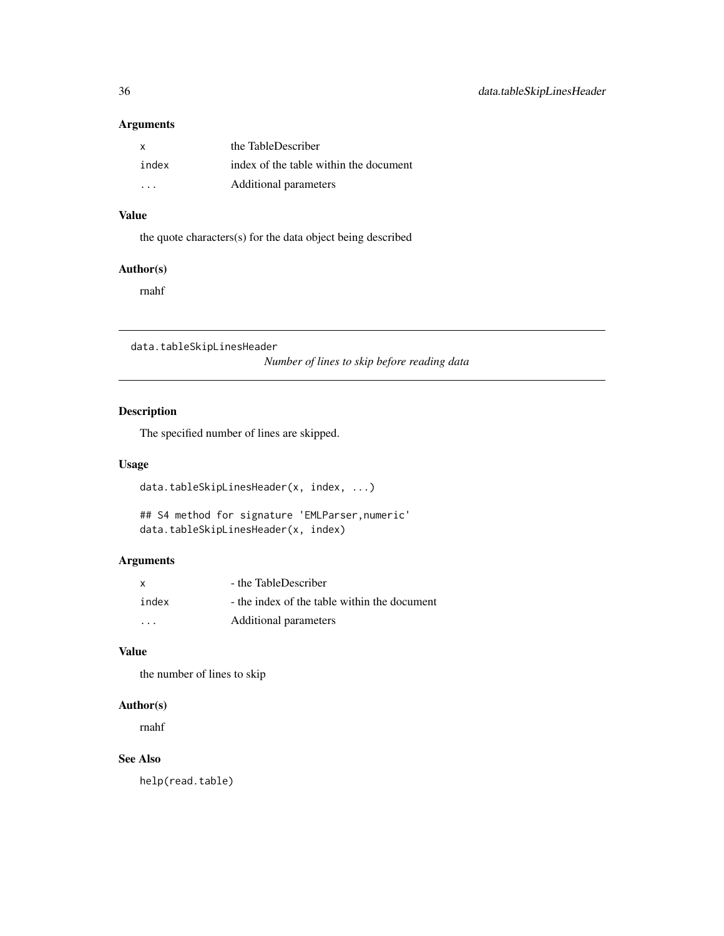# <span id="page-35-0"></span>Arguments

| X                       | the TableDescriber                     |
|-------------------------|----------------------------------------|
| index                   | index of the table within the document |
| $\cdot$ $\cdot$ $\cdot$ | Additional parameters                  |

# Value

the quote characters(s) for the data object being described

# Author(s)

rnahf

data.tableSkipLinesHeader

*Number of lines to skip before reading data*

# Description

The specified number of lines are skipped.

#### Usage

```
data.tableSkipLinesHeader(x, index, ...)
```

```
## S4 method for signature 'EMLParser,numeric'
data.tableSkipLinesHeader(x, index)
```
### Arguments

| x                       | - the TableDescriber                         |
|-------------------------|----------------------------------------------|
| index                   | - the index of the table within the document |
| $\cdot$ $\cdot$ $\cdot$ | Additional parameters                        |

# Value

the number of lines to skip

# Author(s)

rnahf

# See Also

help(read.table)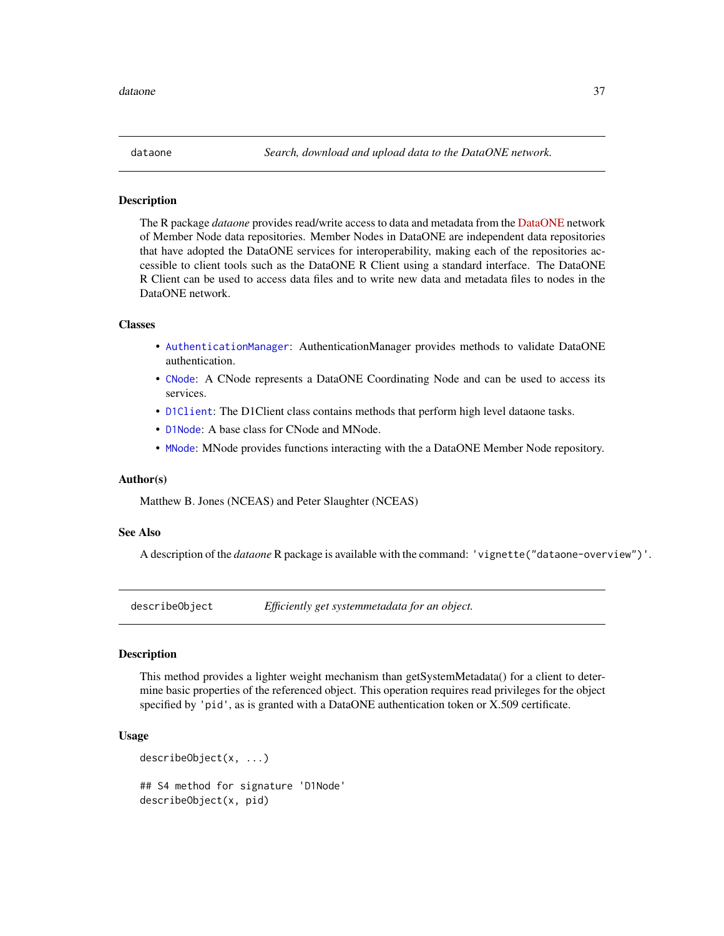The R package *dataone* provides read/write access to data and metadata from the [DataONE](https://www.dataone.org/) network of Member Node data repositories. Member Nodes in DataONE are independent data repositories that have adopted the DataONE services for interoperability, making each of the repositories accessible to client tools such as the DataONE R Client using a standard interface. The DataONE R Client can be used to access data files and to write new data and metadata files to nodes in the DataONE network.

# Classes

- [AuthenticationManager](#page-8-0): AuthenticationManager provides methods to validate DataONE authentication.
- [CNode](#page-17-0): A CNode represents a DataONE Coordinating Node and can be used to access its services.
- [D1Client](#page-23-0): The D1Client class contains methods that perform high level dataone tasks.
- [D1Node](#page-26-0): A base class for CNode and MNode.
- [MNode](#page-81-0): MNode provides functions interacting with the a DataONE Member Node repository.

#### Author(s)

Matthew B. Jones (NCEAS) and Peter Slaughter (NCEAS)

# See Also

A description of the *dataone* R package is available with the command: 'vignette("dataone-overview")'.

describeObject *Efficiently get systemmetadata for an object.*

#### Description

This method provides a lighter weight mechanism than getSystemMetadata() for a client to determine basic properties of the referenced object. This operation requires read privileges for the object specified by 'pid', as is granted with a DataONE authentication token or X.509 certificate.

#### Usage

describeObject(x, ...)

## S4 method for signature 'D1Node' describeObject(x, pid)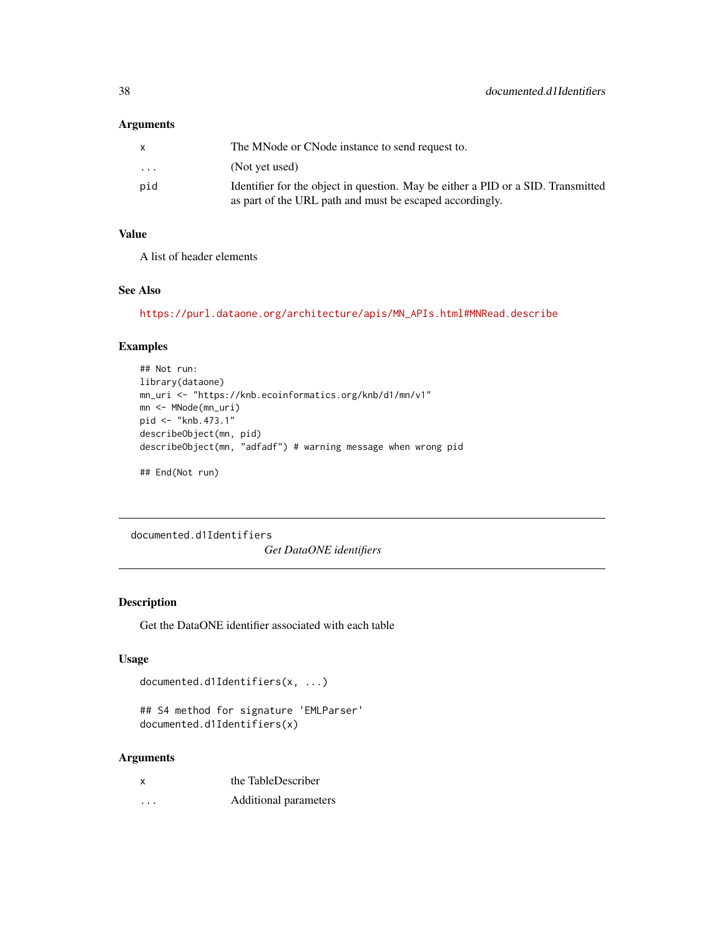## Arguments

|                         | The MNode or CNode instance to send request to.                                  |
|-------------------------|----------------------------------------------------------------------------------|
| $\cdot$ $\cdot$ $\cdot$ | (Not yet used)                                                                   |
| pid                     | Identifier for the object in question. May be either a PID or a SID. Transmitted |
|                         | as part of the URL path and must be escaped accordingly.                         |

# Value

A list of header elements

### See Also

[https://purl.dataone.org/architecture/apis/MN\\_APIs.html#MNRead.describe](https://purl.dataone.org/architecture/apis/MN_APIs.html#MNRead.describe)

# Examples

```
## Not run:
library(dataone)
mn_uri <- "https://knb.ecoinformatics.org/knb/d1/mn/v1"
mn <- MNode(mn_uri)
pid <- "knb.473.1"
describeObject(mn, pid)
describeObject(mn, "adfadf") # warning message when wrong pid
```
## End(Not run)

documented.d1Identifiers

*Get DataONE identifiers*

# Description

Get the DataONE identifier associated with each table

# Usage

```
documented.d1Identifiers(x, ...)
```

```
## S4 method for signature 'EMLParser'
documented.d1Identifiers(x)
```
#### Arguments

| x        | the TableDescriber    |
|----------|-----------------------|
| $\cdots$ | Additional parameters |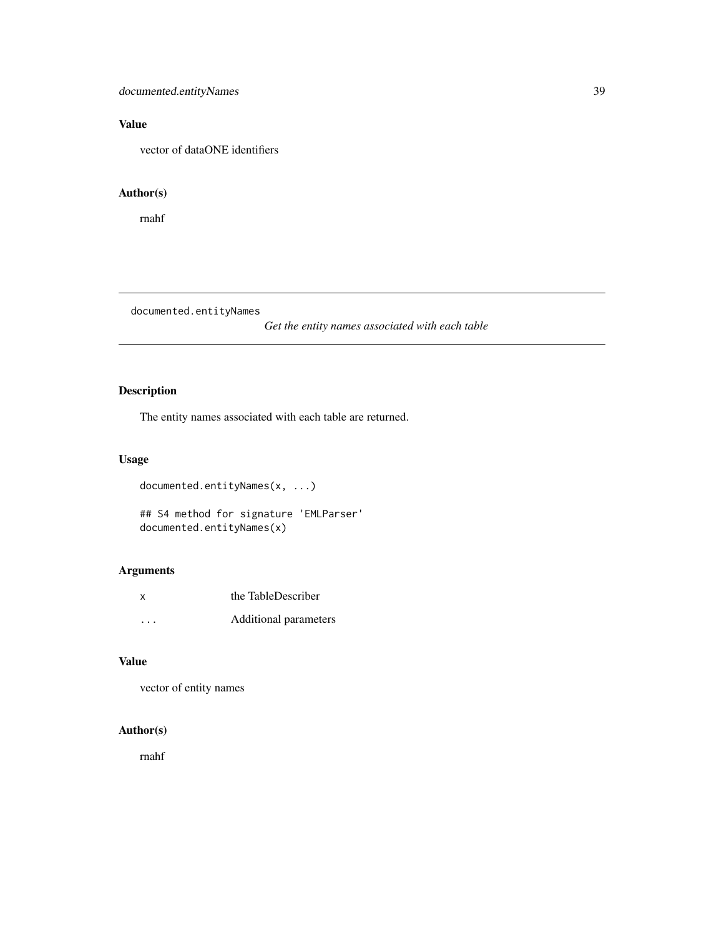# Value

vector of dataONE identifiers

### Author(s)

rnahf

documented.entityNames

*Get the entity names associated with each table*

# Description

The entity names associated with each table are returned.

# Usage

documented.entityNames(x, ...)

```
## S4 method for signature 'EMLParser'
documented.entityNames(x)
```
# Arguments

| x                    | the TableDescriber    |
|----------------------|-----------------------|
| $\ddot{\phantom{0}}$ | Additional parameters |

### Value

vector of entity names

### Author(s)

rnahf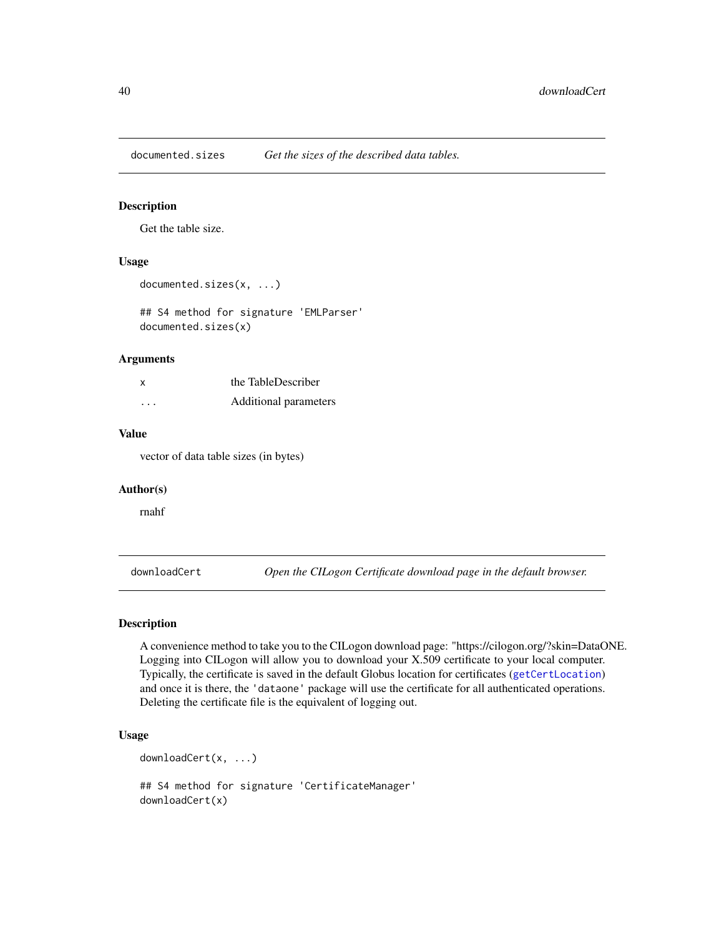documented.sizes *Get the sizes of the described data tables.*

#### Description

Get the table size.

# Usage

```
documented.sizes(x, ...)
```
## S4 method for signature 'EMLParser' documented.sizes(x)

#### Arguments

| $\mathsf{X}$ | the TableDescriber    |
|--------------|-----------------------|
| .            | Additional parameters |

#### Value

vector of data table sizes (in bytes)

#### Author(s)

rnahf

downloadCert *Open the CILogon Certificate download page in the default browser.*

# Description

A convenience method to take you to the CILogon download page: "https://cilogon.org/?skin=DataONE. Logging into CILogon will allow you to download your X.509 certificate to your local computer. Typically, the certificate is saved in the default Globus location for certificates ([getCertLocation](#page-51-0)) and once it is there, the 'dataone' package will use the certificate for all authenticated operations. Deleting the certificate file is the equivalent of logging out.

# Usage

downloadCert(x, ...)

## S4 method for signature 'CertificateManager' downloadCert(x)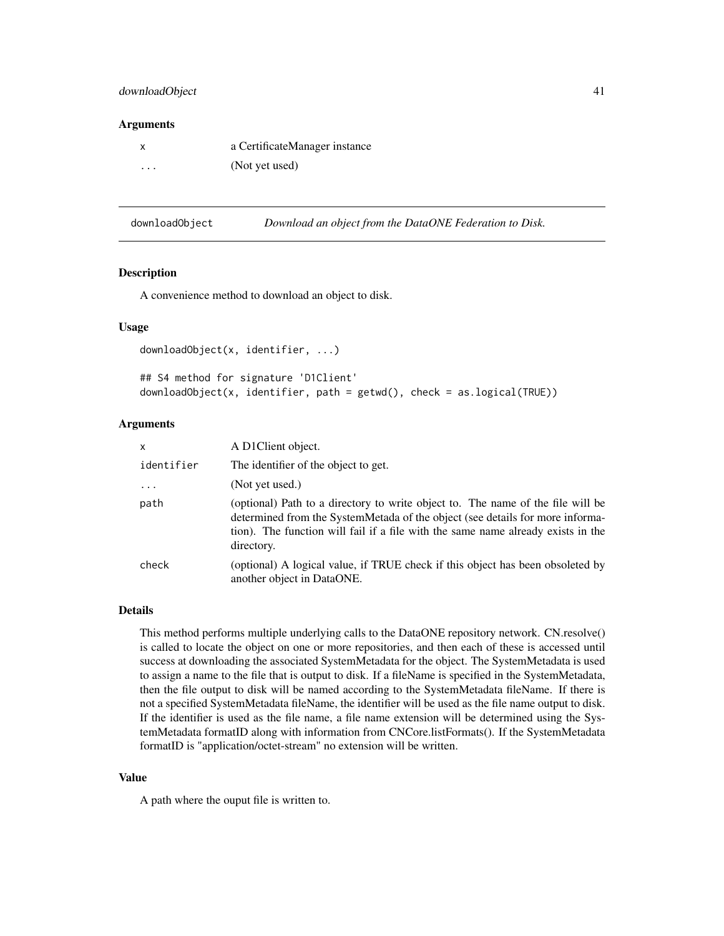## downloadObject 41

#### **Arguments**

| x | a CertificateManager instance |
|---|-------------------------------|
| . | (Not yet used)                |

| downloadObject | Download an object from the DataONE Federation to Disk. |  |
|----------------|---------------------------------------------------------|--|
|                |                                                         |  |

#### Description

A convenience method to download an object to disk.

### Usage

```
downloadObject(x, identifier, ...)
## S4 method for signature 'D1Client'
downloadObject(x, identifier, path = getwd(), check = as.logical(TRUE))
```
#### Arguments

| x          | A D1Client object.                                                                                                                                                                                                                                                 |
|------------|--------------------------------------------------------------------------------------------------------------------------------------------------------------------------------------------------------------------------------------------------------------------|
| identifier | The identifier of the object to get.                                                                                                                                                                                                                               |
| $\cdots$   | (Not yet used.)                                                                                                                                                                                                                                                    |
| path       | (optional) Path to a directory to write object to. The name of the file will be<br>determined from the SystemMetada of the object (see details for more informa-<br>tion). The function will fail if a file with the same name already exists in the<br>directory. |
| check      | (optional) A logical value, if TRUE check if this object has been obsoleted by<br>another object in DataONE.                                                                                                                                                       |

### Details

This method performs multiple underlying calls to the DataONE repository network. CN.resolve() is called to locate the object on one or more repositories, and then each of these is accessed until success at downloading the associated SystemMetadata for the object. The SystemMetadata is used to assign a name to the file that is output to disk. If a fileName is specified in the SystemMetadata, then the file output to disk will be named according to the SystemMetadata fileName. If there is not a specified SystemMetadata fileName, the identifier will be used as the file name output to disk. If the identifier is used as the file name, a file name extension will be determined using the SystemMetadata formatID along with information from CNCore.listFormats(). If the SystemMetadata formatID is "application/octet-stream" no extension will be written.

#### Value

A path where the ouput file is written to.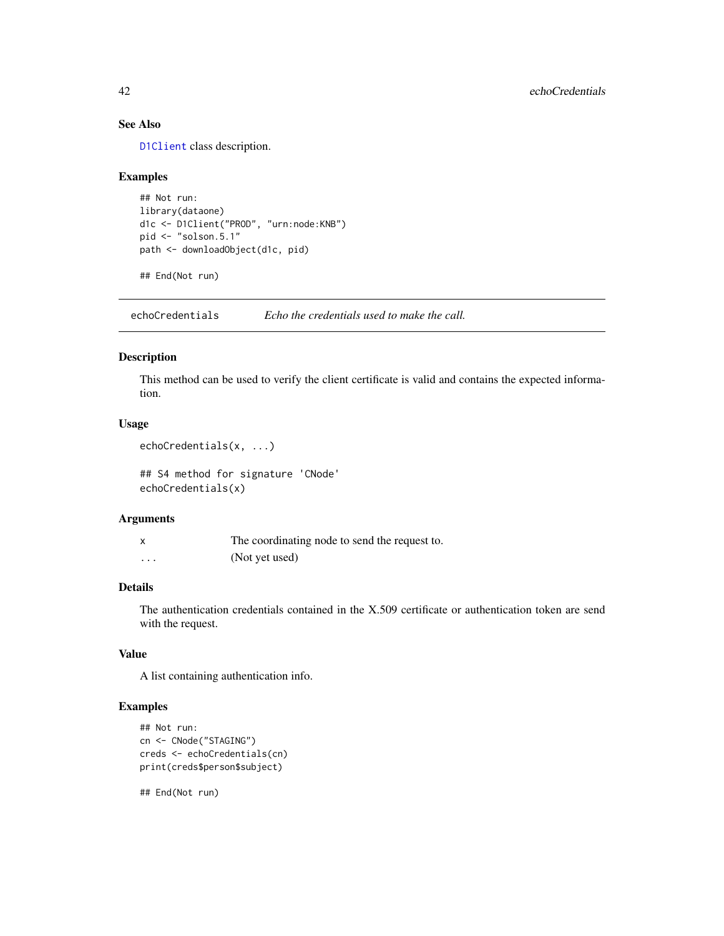# See Also

[D1Client](#page-23-0) class description.

#### Examples

```
## Not run:
library(dataone)
d1c <- D1Client("PROD", "urn:node:KNB")
pid <- "solson.5.1"
path <- downloadObject(d1c, pid)
```
## End(Not run)

echoCredentials *Echo the credentials used to make the call.*

# Description

This method can be used to verify the client certificate is valid and contains the expected information.

# Usage

```
echoCredentials(x, ...)
```
## S4 method for signature 'CNode' echoCredentials(x)

#### Arguments

|          | The coordinating node to send the request to. |
|----------|-----------------------------------------------|
| $\cdots$ | (Not yet used)                                |

# Details

The authentication credentials contained in the X.509 certificate or authentication token are send with the request.

# Value

A list containing authentication info.

# Examples

```
## Not run:
cn <- CNode("STAGING")
creds <- echoCredentials(cn)
print(creds$person$subject)
```
## End(Not run)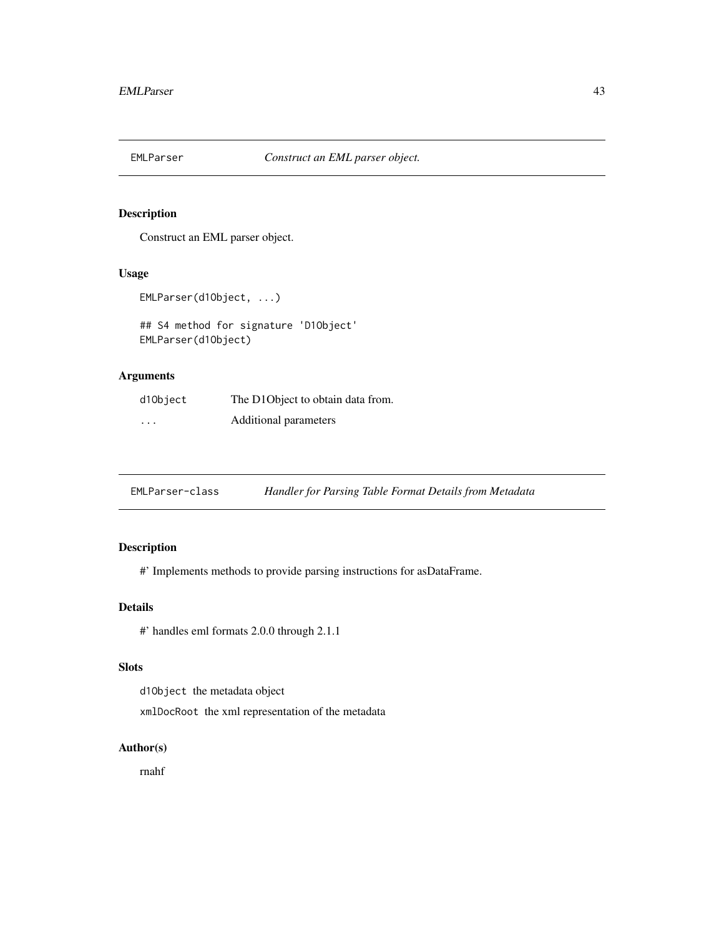Construct an EML parser object.

### Usage

EMLParser(d1Object, ...)

## S4 method for signature 'D1Object' EMLParser(d1Object)

# Arguments

| d1Object | The D1Object to obtain data from. |
|----------|-----------------------------------|
| .        | Additional parameters             |

EMLParser-class *Handler for Parsing Table Format Details from Metadata*

# Description

#' Implements methods to provide parsing instructions for asDataFrame.

# Details

#' handles eml formats 2.0.0 through 2.1.1

### Slots

d1Object the metadata object

xmlDocRoot the xml representation of the metadata

## Author(s)

rnahf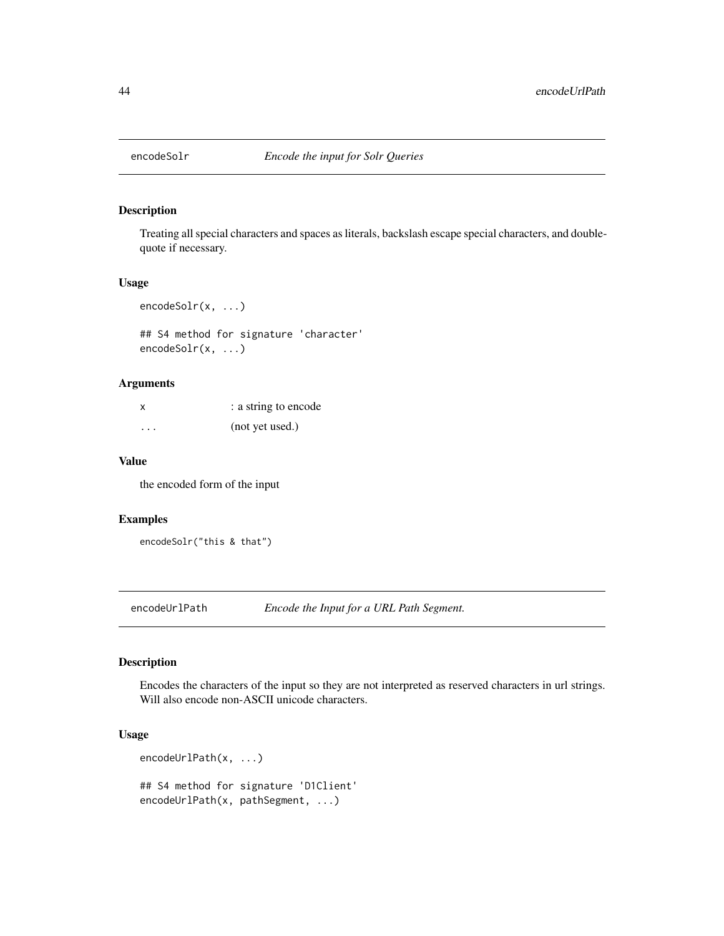Treating all special characters and spaces as literals, backslash escape special characters, and doublequote if necessary.

### Usage

encodeSolr(x, ...)

## S4 method for signature 'character' encodeSolr(x, ...)

# Arguments

| x                    | : a string to encode |
|----------------------|----------------------|
| $\ddot{\phantom{0}}$ | (not yet used.)      |

## Value

the encoded form of the input

# Examples

```
encodeSolr("this & that")
```
encodeUrlPath *Encode the Input for a URL Path Segment.*

# Description

Encodes the characters of the input so they are not interpreted as reserved characters in url strings. Will also encode non-ASCII unicode characters.

# Usage

```
encodeUrlPath(x, ...)
## S4 method for signature 'D1Client'
encodeUrlPath(x, pathSegment, ...)
```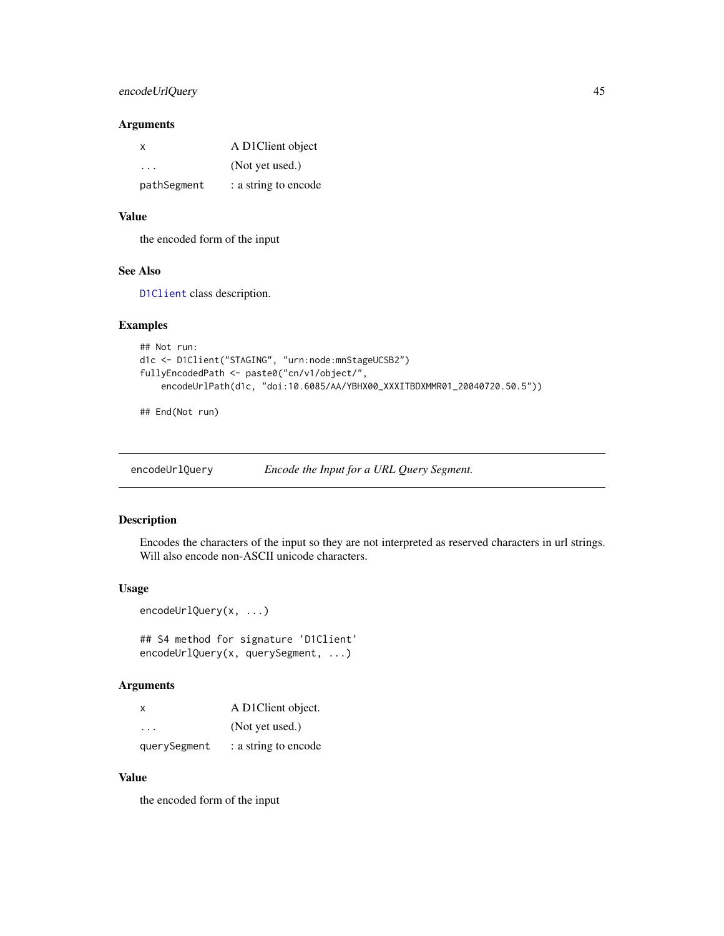#### Arguments

| X           | A D1Client object    |
|-------------|----------------------|
| .           | (Not yet used.)      |
| pathSegment | : a string to encode |

### Value

the encoded form of the input

#### See Also

[D1Client](#page-23-0) class description.

### Examples

```
## Not run:
d1c <- D1Client("STAGING", "urn:node:mnStageUCSB2")
fullyEncodedPath <- paste0("cn/v1/object/",
    encodeUrlPath(d1c, "doi:10.6085/AA/YBHX00_XXXITBDXMMR01_20040720.50.5"))
```
## End(Not run)

encodeUrlQuery *Encode the Input for a URL Query Segment.*

# Description

Encodes the characters of the input so they are not interpreted as reserved characters in url strings. Will also encode non-ASCII unicode characters.

#### Usage

```
encodeUrlQuery(x, ...)
```
## S4 method for signature 'D1Client' encodeUrlQuery(x, querySegment, ...)

### Arguments

| х            | A D1Client object.   |
|--------------|----------------------|
| .            | (Not yet used.)      |
| querySegment | : a string to encode |

# Value

the encoded form of the input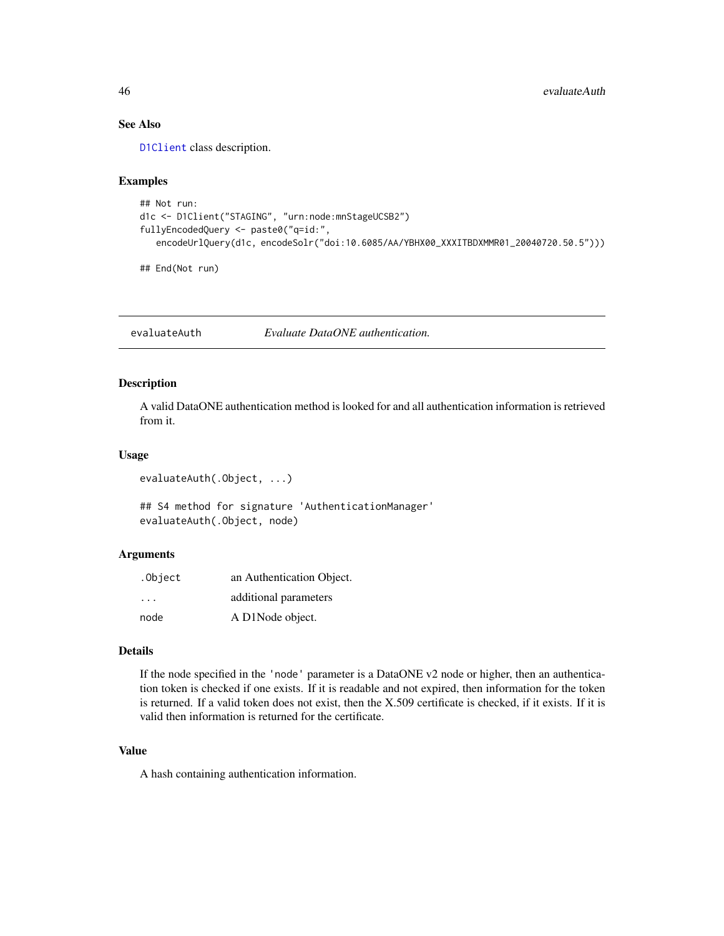# See Also

[D1Client](#page-23-0) class description.

### Examples

```
## Not run:
d1c <- D1Client("STAGING", "urn:node:mnStageUCSB2")
fullyEncodedQuery <- paste0("q=id:",
   encodeUrlQuery(d1c, encodeSolr("doi:10.6085/AA/YBHX00_XXXITBDXMMR01_20040720.50.5")))
```
## End(Not run)

evaluateAuth *Evaluate DataONE authentication.*

# Description

A valid DataONE authentication method is looked for and all authentication information is retrieved from it.

#### Usage

evaluateAuth(.Object, ...)

## S4 method for signature 'AuthenticationManager' evaluateAuth(.Object, node)

#### Arguments

| .Object | an Authentication Object. |  |
|---------|---------------------------|--|
| .       | additional parameters     |  |
| node    | A D1Node object.          |  |

# Details

If the node specified in the 'node' parameter is a DataONE v2 node or higher, then an authentication token is checked if one exists. If it is readable and not expired, then information for the token is returned. If a valid token does not exist, then the X.509 certificate is checked, if it exists. If it is valid then information is returned for the certificate.

#### Value

A hash containing authentication information.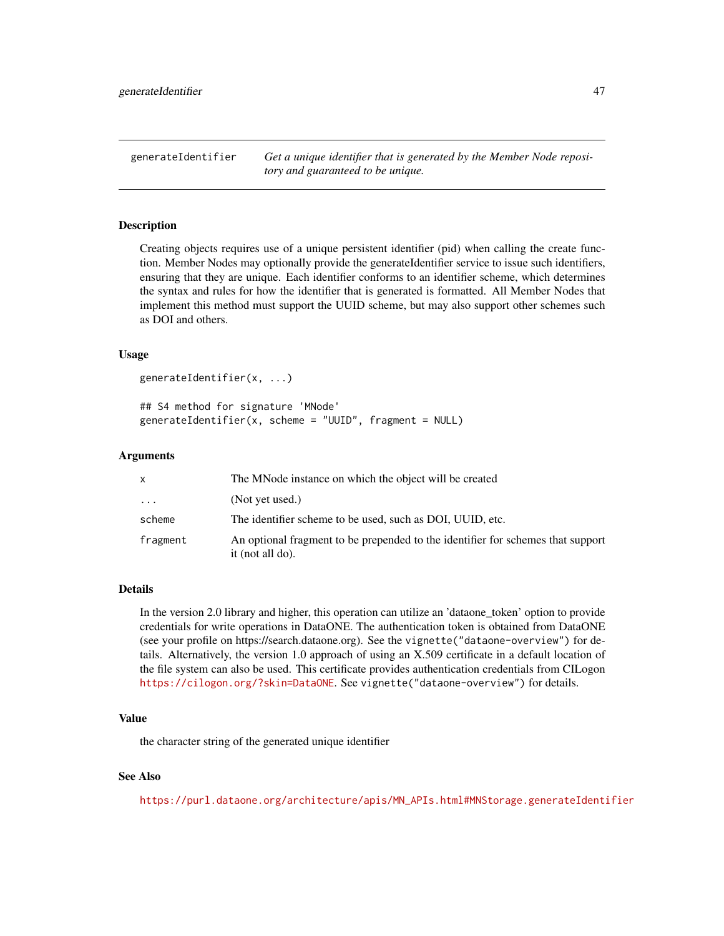generateIdentifier *Get a unique identifier that is generated by the Member Node repository and guaranteed to be unique.*

### Description

Creating objects requires use of a unique persistent identifier (pid) when calling the create function. Member Nodes may optionally provide the generateIdentifier service to issue such identifiers, ensuring that they are unique. Each identifier conforms to an identifier scheme, which determines the syntax and rules for how the identifier that is generated is formatted. All Member Nodes that implement this method must support the UUID scheme, but may also support other schemes such as DOI and others.

#### Usage

```
generateIdentifier(x, ...)
```

```
## S4 method for signature 'MNode'
generateIdentifier(x, scheme = "UUID", fragment = NULL)
```
#### Arguments

| x        | The MNode instance on which the object will be created                                              |
|----------|-----------------------------------------------------------------------------------------------------|
| $\cdots$ | (Not yet used.)                                                                                     |
| scheme   | The identifier scheme to be used, such as DOI, UUID, etc.                                           |
| fragment | An optional fragment to be prepended to the identifier for schemes that support<br>it (not all do). |

#### Details

In the version 2.0 library and higher, this operation can utilize an 'dataone\_token' option to provide credentials for write operations in DataONE. The authentication token is obtained from DataONE (see your profile on https://search.dataone.org). See the vignette("dataone-overview") for details. Alternatively, the version 1.0 approach of using an X.509 certificate in a default location of the file system can also be used. This certificate provides authentication credentials from CILogon <https://cilogon.org/?skin=DataONE>. See vignette("dataone-overview") for details.

#### Value

the character string of the generated unique identifier

### See Also

[https://purl.dataone.org/architecture/apis/MN\\_APIs.html#MNStorage.generateIdentifier](https://purl.dataone.org/architecture/apis/MN_APIs.html#MNStorage.generateIdentifier)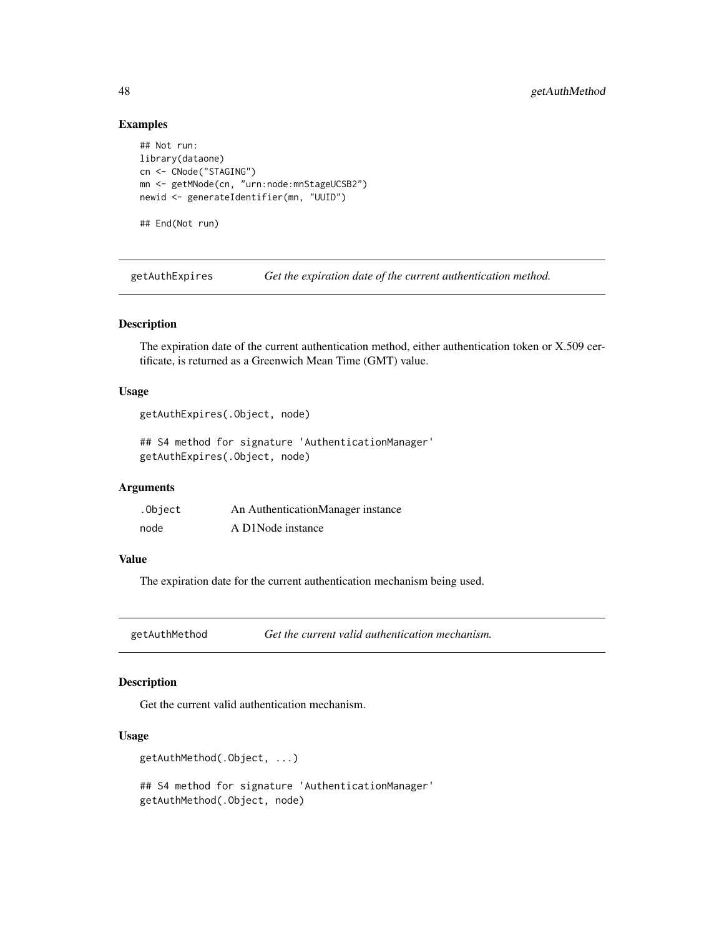### Examples

```
## Not run:
library(dataone)
cn <- CNode("STAGING")
mn <- getMNode(cn, "urn:node:mnStageUCSB2")
newid <- generateIdentifier(mn, "UUID")
## End(Not run)
```
getAuthExpires *Get the expiration date of the current authentication method.*

# Description

The expiration date of the current authentication method, either authentication token or X.509 certificate, is returned as a Greenwich Mean Time (GMT) value.

# Usage

```
getAuthExpires(.Object, node)
```
## S4 method for signature 'AuthenticationManager' getAuthExpires(.Object, node)

# Arguments

| .Object | An AuthenticationManager instance |
|---------|-----------------------------------|
| node    | A D1Node instance                 |

# Value

The expiration date for the current authentication mechanism being used.

getAuthMethod *Get the current valid authentication mechanism.*

# Description

Get the current valid authentication mechanism.

#### Usage

```
getAuthMethod(.Object, ...)
```
## S4 method for signature 'AuthenticationManager' getAuthMethod(.Object, node)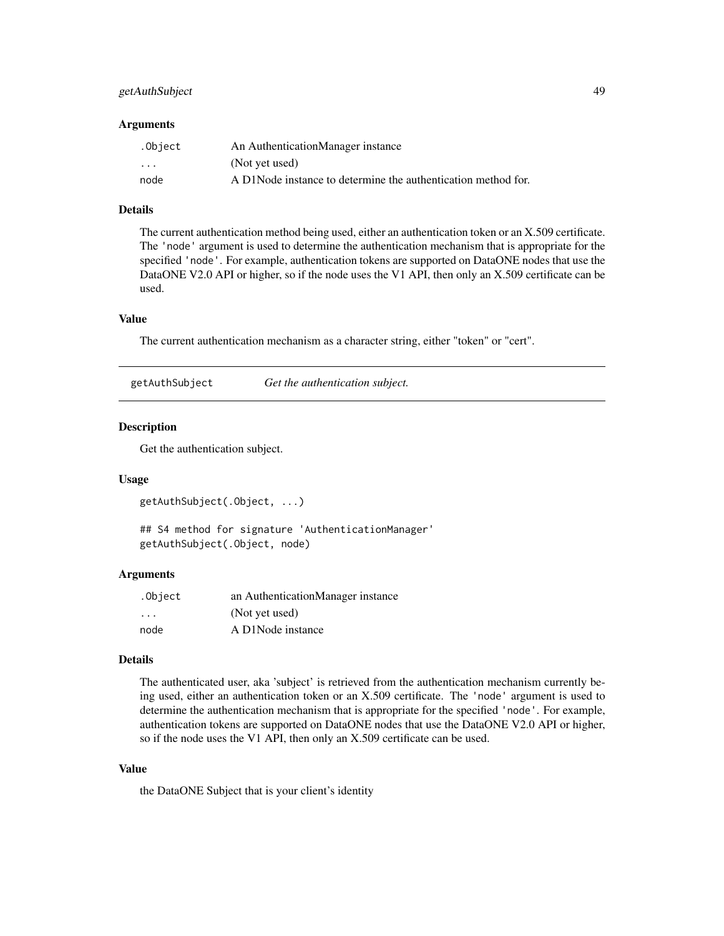# getAuthSubject 49

#### **Arguments**

| .Object  | An AuthenticationManager instance                             |
|----------|---------------------------------------------------------------|
| $\cdots$ | (Not yet used)                                                |
| node     | A D1Node instance to determine the authentication method for. |

### Details

The current authentication method being used, either an authentication token or an X.509 certificate. The 'node' argument is used to determine the authentication mechanism that is appropriate for the specified 'node'. For example, authentication tokens are supported on DataONE nodes that use the DataONE V2.0 API or higher, so if the node uses the V1 API, then only an X.509 certificate can be used.

### Value

The current authentication mechanism as a character string, either "token" or "cert".

| getAuthSubject | Get the authentication subject. |  |
|----------------|---------------------------------|--|
|                |                                 |  |

#### Description

Get the authentication subject.

#### Usage

```
getAuthSubject(.Object, ...)
```
## S4 method for signature 'AuthenticationManager' getAuthSubject(.Object, node)

#### Arguments

| .Object           | an AuthenticationManager instance |
|-------------------|-----------------------------------|
| $\cdot\cdot\cdot$ | (Not yet used)                    |
| node              | A D1Node instance                 |

### Details

The authenticated user, aka 'subject' is retrieved from the authentication mechanism currently being used, either an authentication token or an X.509 certificate. The 'node' argument is used to determine the authentication mechanism that is appropriate for the specified 'node'. For example, authentication tokens are supported on DataONE nodes that use the DataONE V2.0 API or higher, so if the node uses the V1 API, then only an X.509 certificate can be used.

#### Value

the DataONE Subject that is your client's identity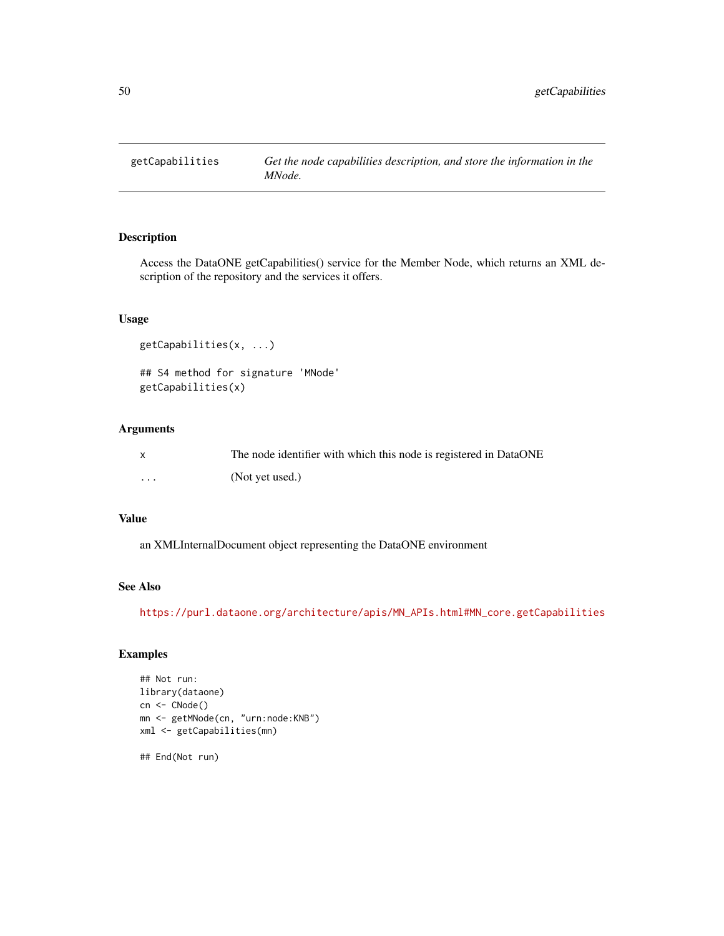Access the DataONE getCapabilities() service for the Member Node, which returns an XML description of the repository and the services it offers.

# Usage

```
getCapabilities(x, ...)
## S4 method for signature 'MNode'
getCapabilities(x)
```
# Arguments

| $\mathsf{x}$      | The node identifier with which this node is registered in DataONE |
|-------------------|-------------------------------------------------------------------|
| $\cdot\cdot\cdot$ | (Not yet used.)                                                   |

### Value

an XMLInternalDocument object representing the DataONE environment

### See Also

[https://purl.dataone.org/architecture/apis/MN\\_APIs.html#MN\\_core.getCapabilities](https://purl.dataone.org/architecture/apis/MN_APIs.html#MN_core.getCapabilities)

# Examples

```
## Not run:
library(dataone)
cn <- CNode()
mn <- getMNode(cn, "urn:node:KNB")
xml <- getCapabilities(mn)
```
## End(Not run)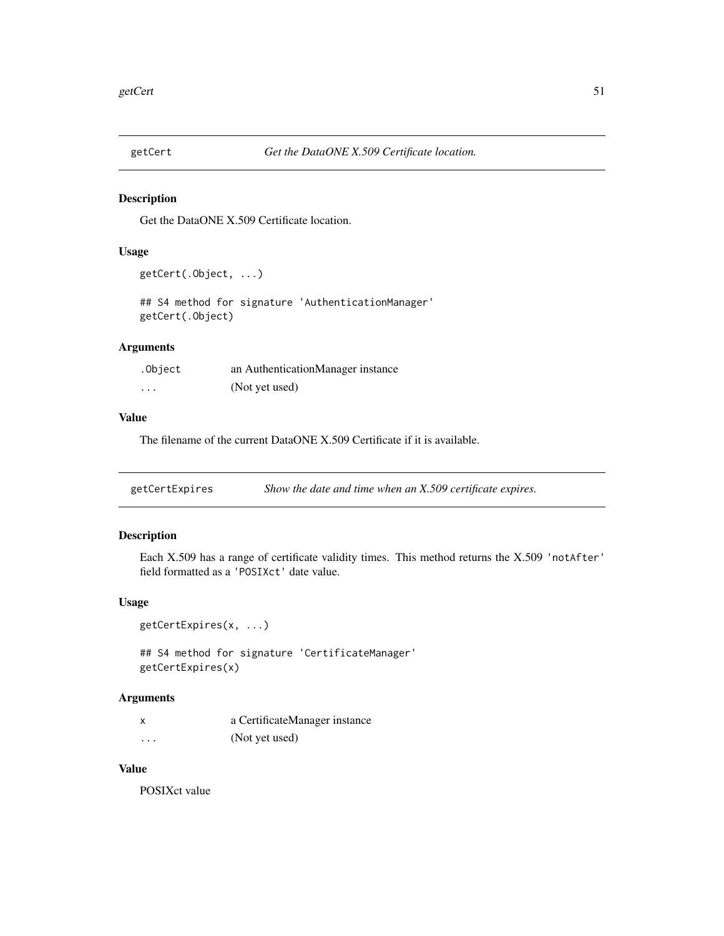Get the DataONE X.509 Certificate location.

#### Usage

```
getCert(.Object, ...)
```

```
## S4 method for signature 'AuthenticationManager'
getCert(.Object)
```
# Arguments

| .Object  | an AuthenticationManager instance |
|----------|-----------------------------------|
| $\cdots$ | (Not yet used)                    |

#### Value

The filename of the current DataONE X.509 Certificate if it is available.

| getCertExpires | Show the date and time when an X.509 certificate expires. |  |
|----------------|-----------------------------------------------------------|--|
|----------------|-----------------------------------------------------------|--|

# Description

Each X.509 has a range of certificate validity times. This method returns the X.509 'notAfter' field formatted as a 'POSIXct' date value.

### Usage

```
getCertExpires(x, ...)
```
## S4 method for signature 'CertificateManager' getCertExpires(x)

### Arguments

|          | a CertificateManager instance |
|----------|-------------------------------|
| $\cdots$ | (Not yet used)                |

# Value

POSIXct value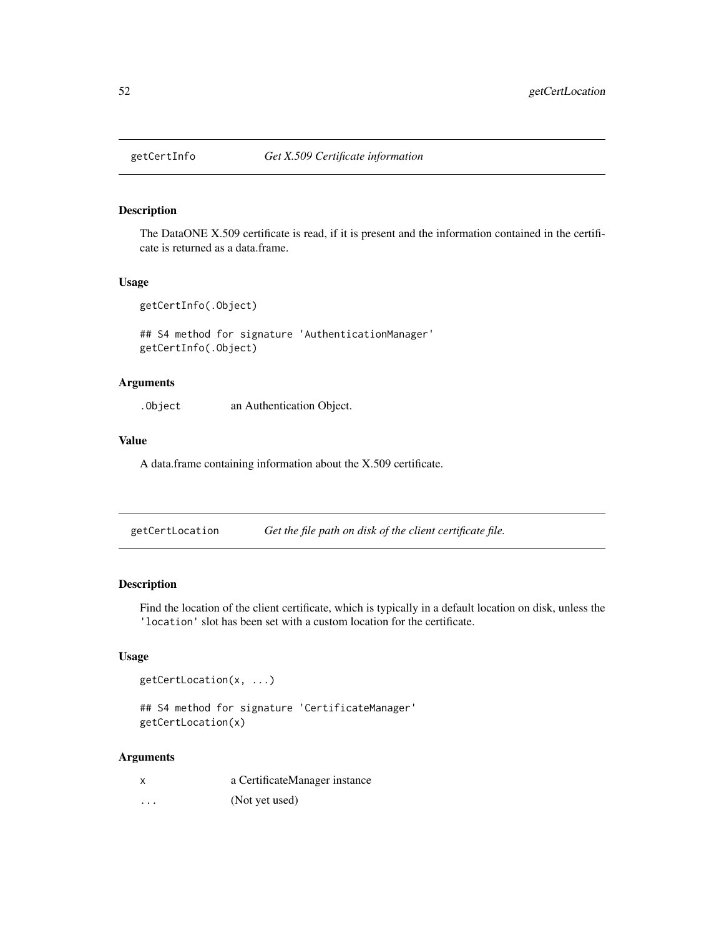The DataONE X.509 certificate is read, if it is present and the information contained in the certificate is returned as a data.frame.

### Usage

getCertInfo(.Object)

## S4 method for signature 'AuthenticationManager' getCertInfo(.Object)

# Arguments

.Object an Authentication Object.

#### Value

A data.frame containing information about the X.509 certificate.

<span id="page-51-0"></span>

| getCertLocation |  | Get the file path on disk of the client certificate file. |
|-----------------|--|-----------------------------------------------------------|
|                 |  |                                                           |

# Description

Find the location of the client certificate, which is typically in a default location on disk, unless the 'location' slot has been set with a custom location for the certificate.

# Usage

```
getCertLocation(x, ...)
```
## S4 method for signature 'CertificateManager' getCertLocation(x)

#### Arguments

| a CertificateManager instance |  |
|-------------------------------|--|
|-------------------------------|--|

... (Not yet used)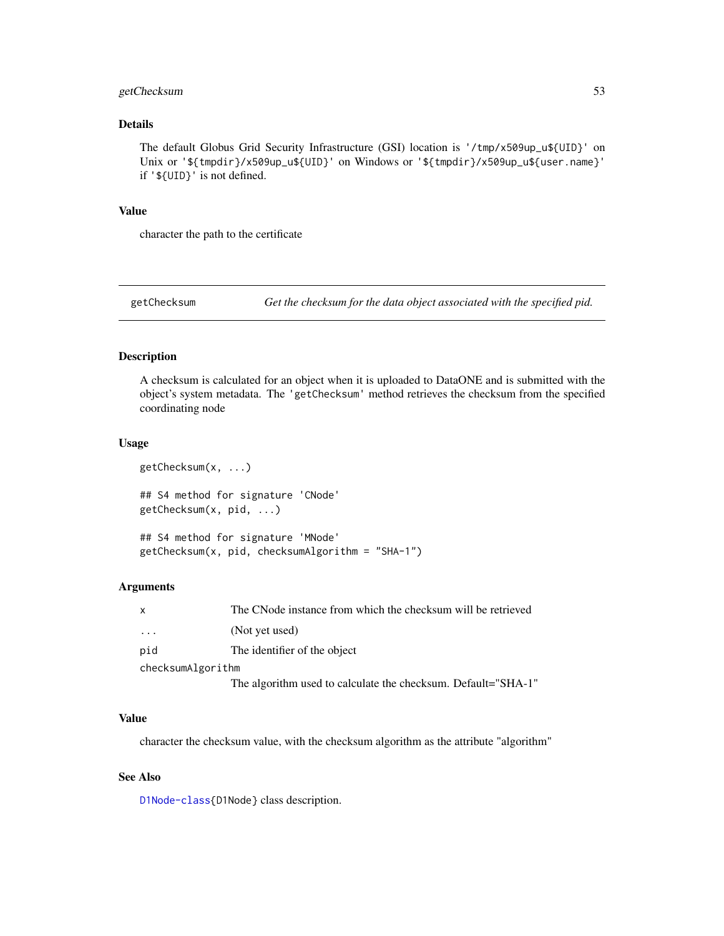# getChecksum 53

### Details

The default Globus Grid Security Infrastructure (GSI) location is '/tmp/x509up\_u\${UID}' on Unix or '\${tmpdir}/x509up\_u\${UID}' on Windows or '\${tmpdir}/x509up\_u\${user.name}' if '\${UID}' is not defined.

### Value

character the path to the certificate

getChecksum *Get the checksum for the data object associated with the specified pid.*

# Description

A checksum is calculated for an object when it is uploaded to DataONE and is submitted with the object's system metadata. The 'getChecksum' method retrieves the checksum from the specified coordinating node

#### Usage

```
getChecksum(x, ...)
## S4 method for signature 'CNode'
getChecksum(x, pid, ...)
## S4 method for signature 'MNode'
getChecksum(x, pid, checksumAlgorithm = "SHA-1")
```
### Arguments

| $\boldsymbol{\mathsf{x}}$ | The CNode instance from which the checksum will be retrieved  |
|---------------------------|---------------------------------------------------------------|
| $\cdot$ $\cdot$ $\cdot$   | (Not yet used)                                                |
| pid                       | The identifier of the object                                  |
| checksumAlgorithm         |                                                               |
|                           | The algorithm used to calculate the checksum. Default="SHA-1" |

### Value

character the checksum value, with the checksum algorithm as the attribute "algorithm"

### See Also

[D1Node-class{](#page-26-0)D1Node} class description.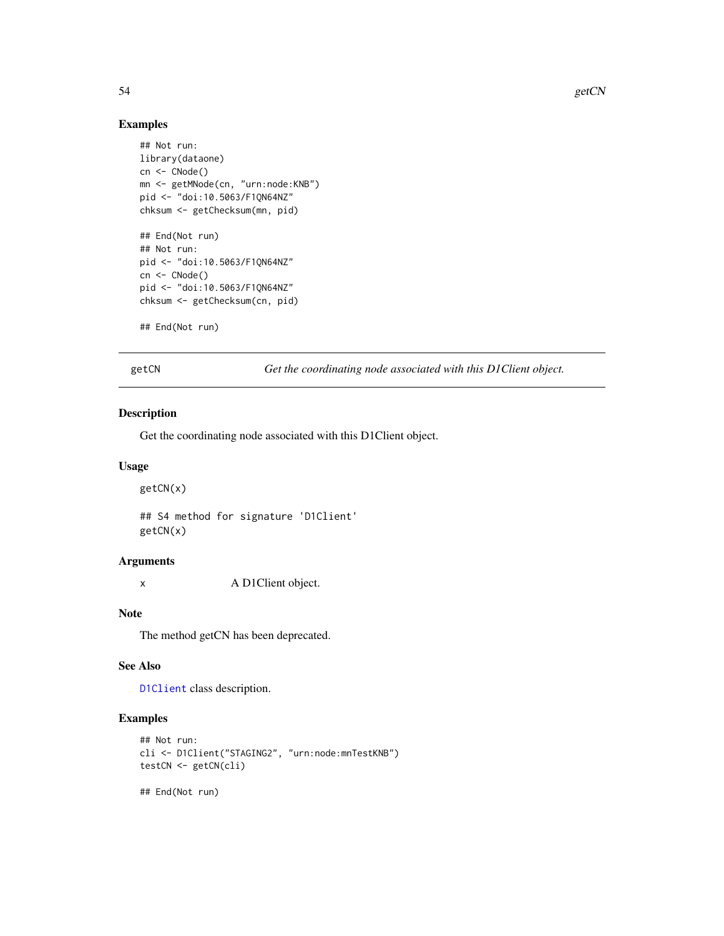# Examples

```
## Not run:
library(dataone)
cn <- CNode()
mn <- getMNode(cn, "urn:node:KNB")
pid <- "doi:10.5063/F1QN64NZ"
chksum <- getChecksum(mn, pid)
## End(Not run)
## Not run:
pid <- "doi:10.5063/F1QN64NZ"
cn <- CNode()
pid <- "doi:10.5063/F1QN64NZ"
chksum <- getChecksum(cn, pid)
```

```
## End(Not run)
```
getCN *Get the coordinating node associated with this D1Client object.*

#### Description

Get the coordinating node associated with this D1Client object.

#### Usage

getCN(x)

## S4 method for signature 'D1Client' getCN(x)

#### Arguments

x A D1Client object.

#### Note

The method getCN has been deprecated.

### See Also

[D1Client](#page-23-0) class description.

# Examples

```
## Not run:
cli <- D1Client("STAGING2", "urn:node:mnTestKNB")
testCN <- getCN(cli)
```
## End(Not run)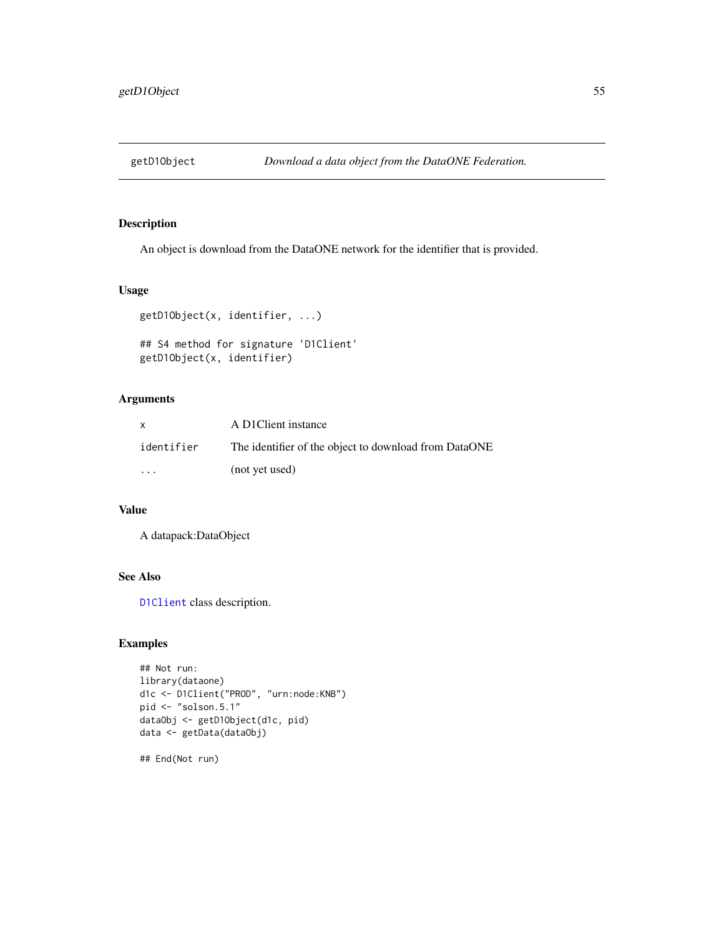An object is download from the DataONE network for the identifier that is provided.

#### Usage

```
getD1Object(x, identifier, ...)
## S4 method for signature 'D1Client'
getD1Object(x, identifier)
```
### Arguments

| x          | A D1Client instance                                   |
|------------|-------------------------------------------------------|
| identifier | The identifier of the object to download from DataONE |
| $\cdot$    | (not yet used)                                        |

# Value

A datapack:DataObject

### See Also

[D1Client](#page-23-0) class description.

# Examples

```
## Not run:
library(dataone)
d1c <- D1Client("PROD", "urn:node:KNB")
pid <- "solson.5.1"
dataObj <- getD1Object(d1c, pid)
data <- getData(dataObj)
```
## End(Not run)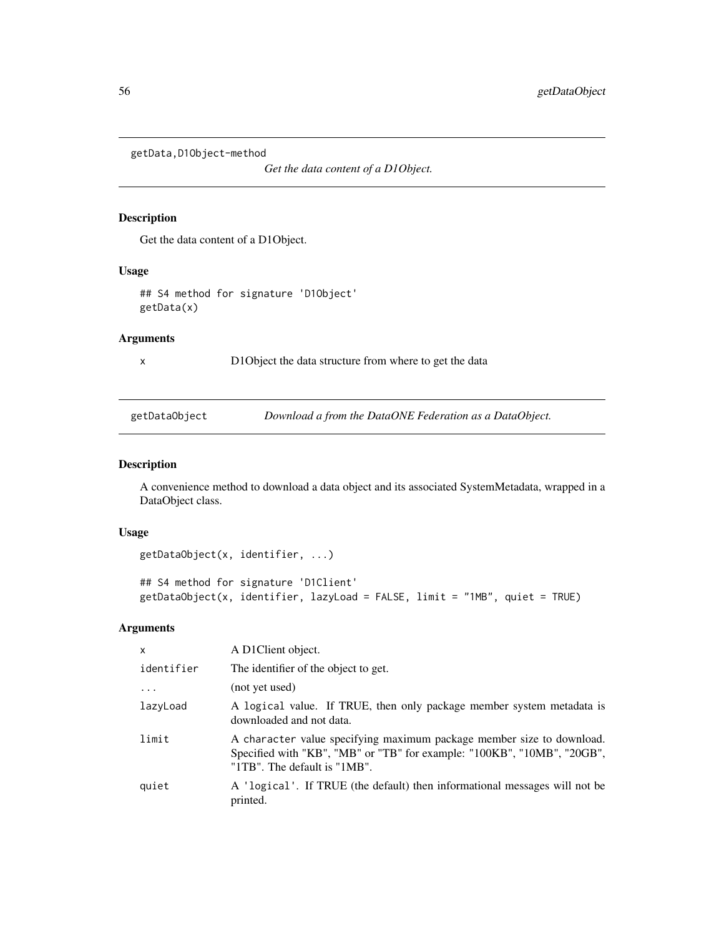getData,D1Object-method

*Get the data content of a D1Object.*

### Description

Get the data content of a D1Object.

#### Usage

## S4 method for signature 'D1Object' getData(x)

# Arguments

x D1Object the data structure from where to get the data

getDataObject *Download a from the DataONE Federation as a DataObject.*

# Description

A convenience method to download a data object and its associated SystemMetadata, wrapped in a DataObject class.

# Usage

```
getDataObject(x, identifier, ...)
```
## S4 method for signature 'D1Client' getDataObject(x, identifier, lazyLoad = FALSE, limit = "1MB", quiet = TRUE)

# Arguments

| $\mathsf{x}$ | A D1Client object.                                                                                                                                                               |
|--------------|----------------------------------------------------------------------------------------------------------------------------------------------------------------------------------|
| identifier   | The identifier of the object to get.                                                                                                                                             |
| $\cdots$     | (not yet used)                                                                                                                                                                   |
| lazyLoad     | A logical value. If TRUE, then only package member system metadata is<br>downloaded and not data.                                                                                |
| limit        | A character value specifying maximum package member size to download.<br>Specified with "KB", "MB" or "TB" for example: "100KB", "10MB", "20GB",<br>"1TB". The default is "1MB". |
| quiet        | A 'logical'. If TRUE (the default) then informational messages will not be<br>printed.                                                                                           |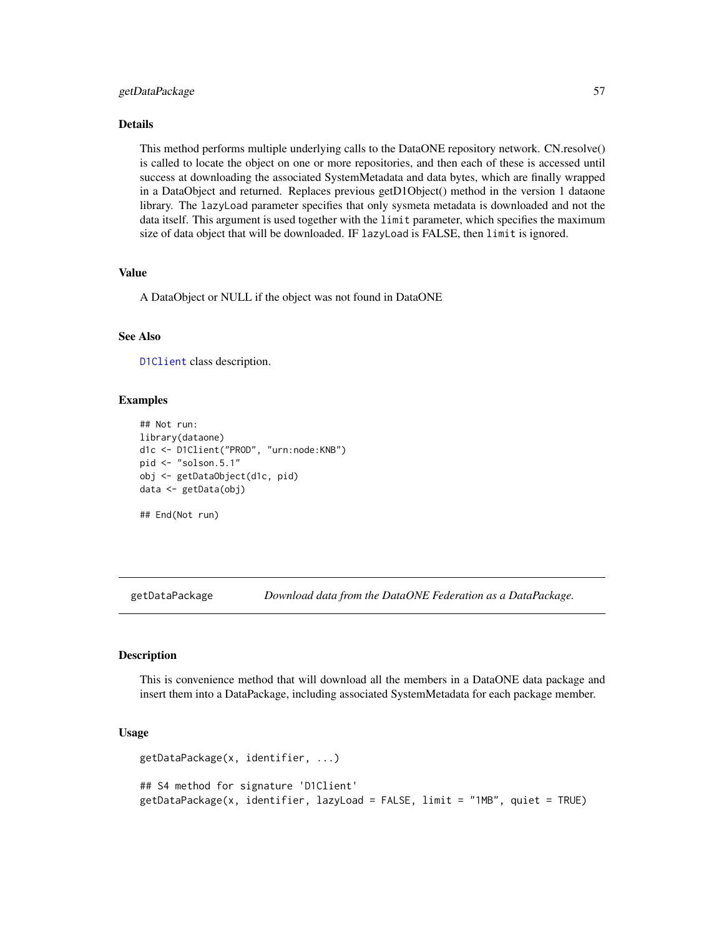#### getDataPackage 57

#### Details

This method performs multiple underlying calls to the DataONE repository network. CN.resolve() is called to locate the object on one or more repositories, and then each of these is accessed until success at downloading the associated SystemMetadata and data bytes, which are finally wrapped in a DataObject and returned. Replaces previous getD1Object() method in the version 1 dataone library. The lazyLoad parameter specifies that only sysmeta metadata is downloaded and not the data itself. This argument is used together with the limit parameter, which specifies the maximum size of data object that will be downloaded. IF lazyLoad is FALSE, then limit is ignored.

## Value

A DataObject or NULL if the object was not found in DataONE

### See Also

[D1Client](#page-23-0) class description.

#### Examples

```
## Not run:
library(dataone)
d1c <- D1Client("PROD", "urn:node:KNB")
pid <- "solson.5.1"
obj <- getDataObject(d1c, pid)
data <- getData(obj)
```
## End(Not run)

getDataPackage *Download data from the DataONE Federation as a DataPackage.*

#### Description

This is convenience method that will download all the members in a DataONE data package and insert them into a DataPackage, including associated SystemMetadata for each package member.

### Usage

```
getDataPackage(x, identifier, ...)
## S4 method for signature 'D1Client'
getDataPackage(x, identifier, lazyLoad = FALSE, limit = "1MB", quiet = TRUE)
```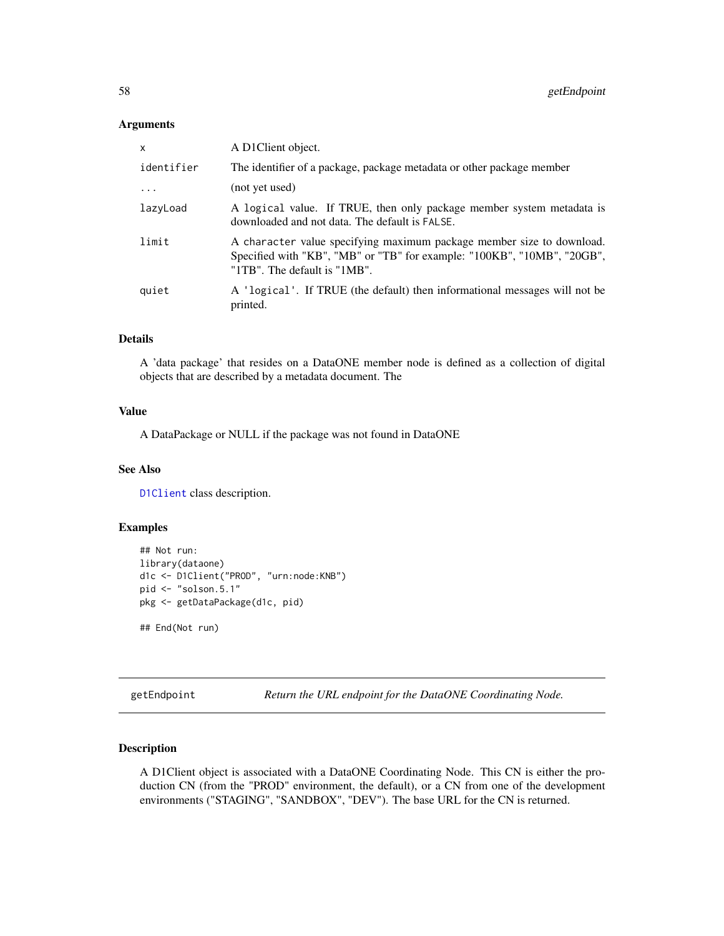#### Arguments

| $\mathsf{x}$ | A D1Client object.                                                                                                                                                               |
|--------------|----------------------------------------------------------------------------------------------------------------------------------------------------------------------------------|
| identifier   | The identifier of a package, package metadata or other package member                                                                                                            |
| .            | (not yet used)                                                                                                                                                                   |
| lazyLoad     | A logical value. If TRUE, then only package member system metadata is<br>downloaded and not data. The default is FALSE.                                                          |
| limit        | A character value specifying maximum package member size to download.<br>Specified with "KB", "MB" or "TB" for example: "100KB", "10MB", "20GB",<br>"1TB". The default is "1MB". |
| quiet        | A 'logical'. If TRUE (the default) then informational messages will not be<br>printed.                                                                                           |

# Details

A 'data package' that resides on a DataONE member node is defined as a collection of digital objects that are described by a metadata document. The

### Value

A DataPackage or NULL if the package was not found in DataONE

### See Also

[D1Client](#page-23-0) class description.

## Examples

```
## Not run:
library(dataone)
d1c <- D1Client("PROD", "urn:node:KNB")
pid <- "solson.5.1"
pkg <- getDataPackage(d1c, pid)
```

```
## End(Not run)
```
getEndpoint *Return the URL endpoint for the DataONE Coordinating Node.*

### Description

A D1Client object is associated with a DataONE Coordinating Node. This CN is either the production CN (from the "PROD" environment, the default), or a CN from one of the development environments ("STAGING", "SANDBOX", "DEV"). The base URL for the CN is returned.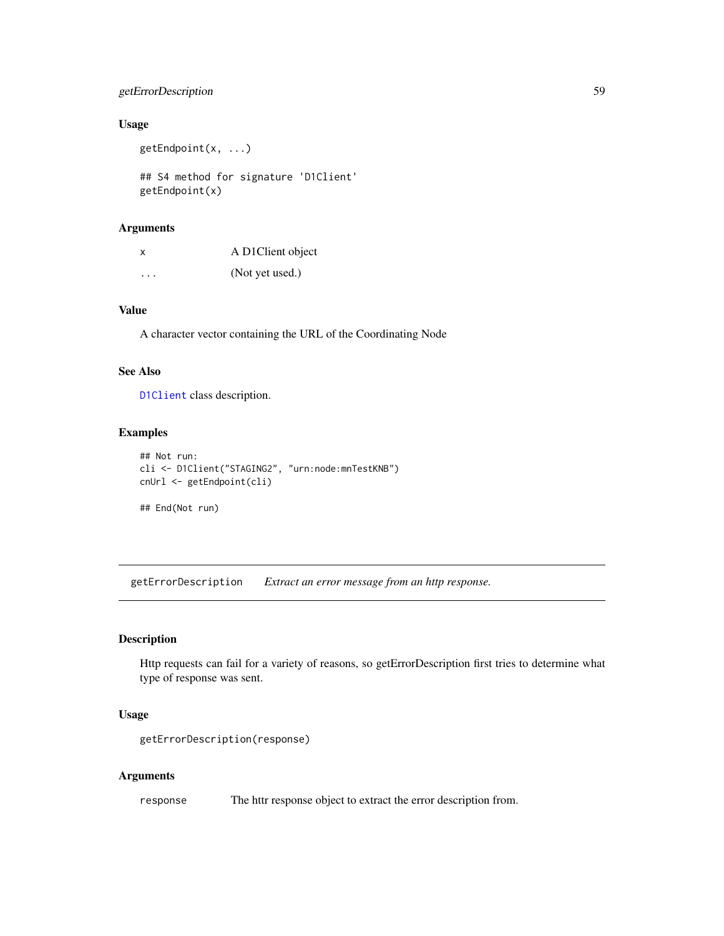# getErrorDescription 59

# Usage

getEndpoint(x, ...)

## S4 method for signature 'D1Client' getEndpoint(x)

# Arguments

| x                    | A D1Client object |
|----------------------|-------------------|
| $\ddot{\phantom{0}}$ | (Not yet used.)   |

# Value

A character vector containing the URL of the Coordinating Node

### See Also

[D1Client](#page-23-0) class description.

## Examples

```
## Not run:
cli <- D1Client("STAGING2", "urn:node:mnTestKNB")
cnUrl <- getEndpoint(cli)
```
## End(Not run)

getErrorDescription *Extract an error message from an http response.*

### Description

Http requests can fail for a variety of reasons, so getErrorDescription first tries to determine what type of response was sent.

### Usage

```
getErrorDescription(response)
```
#### Arguments

response The httr response object to extract the error description from.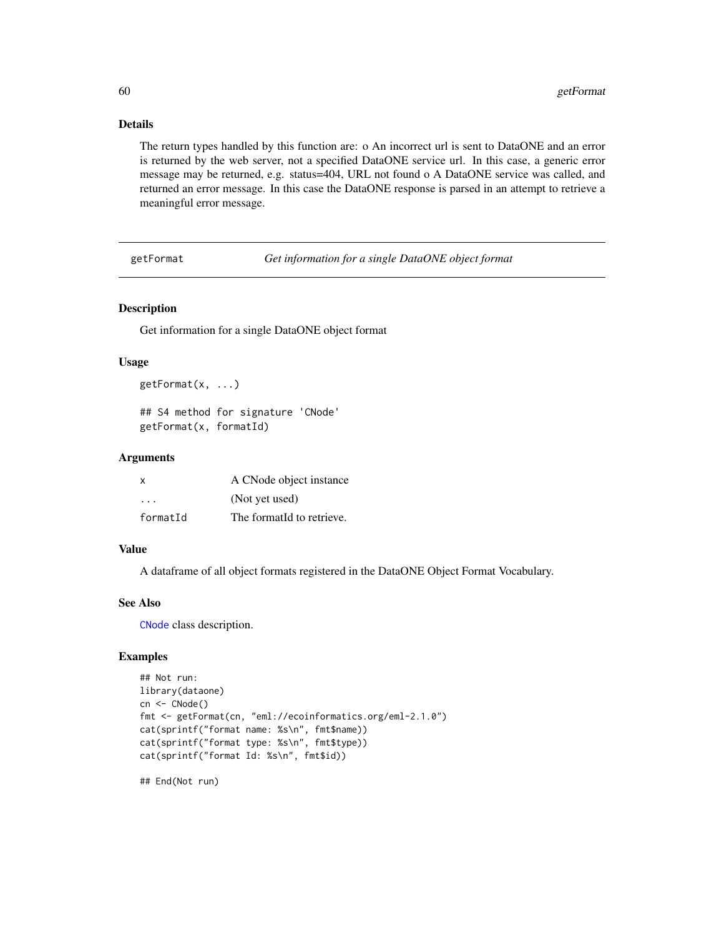# Details

The return types handled by this function are: o An incorrect url is sent to DataONE and an error is returned by the web server, not a specified DataONE service url. In this case, a generic error message may be returned, e.g. status=404, URL not found o A DataONE service was called, and returned an error message. In this case the DataONE response is parsed in an attempt to retrieve a meaningful error message.

getFormat *Get information for a single DataONE object format*

#### Description

Get information for a single DataONE object format

#### Usage

```
getFormat(x, ...)
```
## S4 method for signature 'CNode' getFormat(x, formatId)

#### Arguments

| X        | A CNode object instance   |
|----------|---------------------------|
| .        | (Not yet used)            |
| formatId | The formatId to retrieve. |

#### Value

A dataframe of all object formats registered in the DataONE Object Format Vocabulary.

### See Also

[CNode](#page-17-0) class description.

### Examples

```
## Not run:
library(dataone)
cn <- CNode()
fmt <- getFormat(cn, "eml://ecoinformatics.org/eml-2.1.0")
cat(sprintf("format name: %s\n", fmt$name))
cat(sprintf("format type: %s\n", fmt$type))
cat(sprintf("format Id: %s\n", fmt$id))
```
## End(Not run)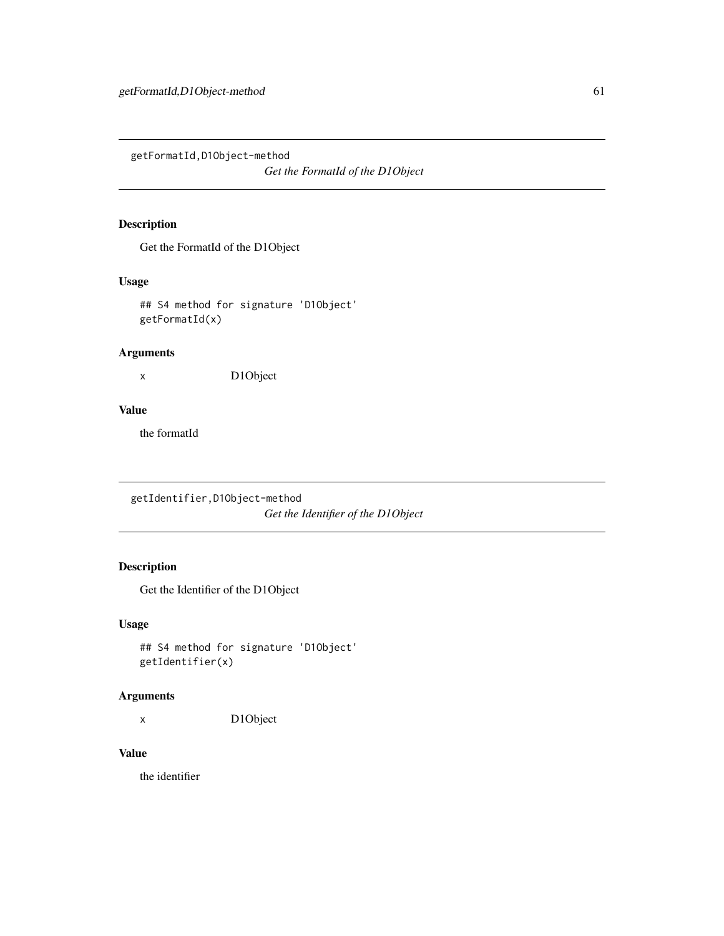getFormatId,D1Object-method

*Get the FormatId of the D1Object*

## Description

Get the FormatId of the D1Object

### Usage

## S4 method for signature 'D1Object' getFormatId(x)

# Arguments

x D1Object

# Value

the formatId

getIdentifier,D1Object-method *Get the Identifier of the D1Object*

# Description

Get the Identifier of the D1Object

### Usage

```
## S4 method for signature 'D1Object'
getIdentifier(x)
```
# Arguments

x D1Object

### Value

the identifier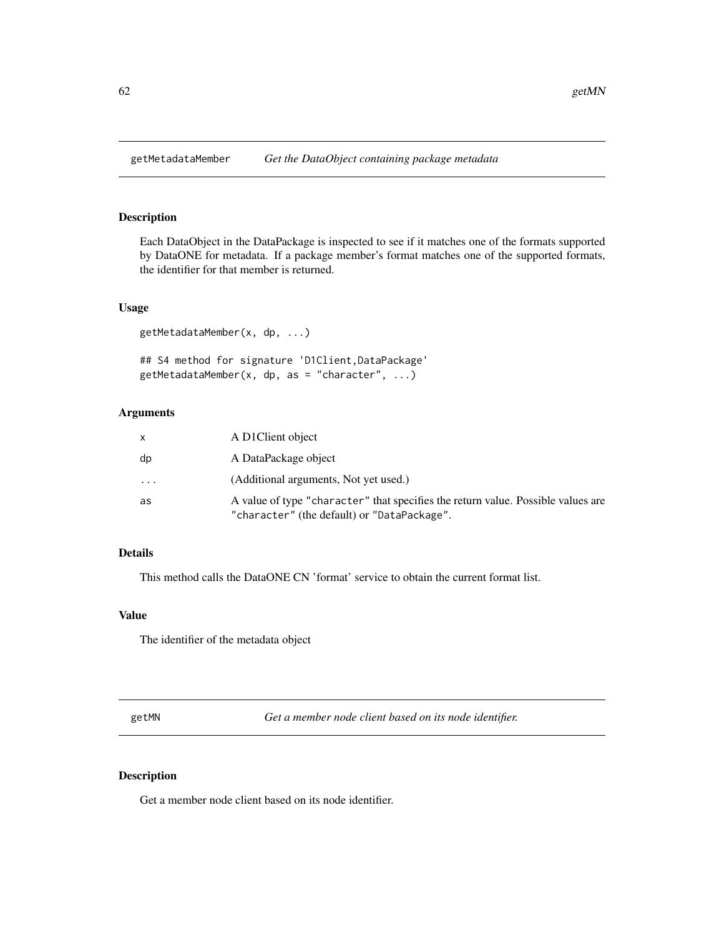Each DataObject in the DataPackage is inspected to see if it matches one of the formats supported by DataONE for metadata. If a package member's format matches one of the supported formats, the identifier for that member is returned.

### Usage

getMetadataMember(x, dp, ...)

## S4 method for signature 'D1Client,DataPackage'  $getMetadataMember(x, dp, as = "character", ...)$ 

# Arguments

|          | A D1Client object                                                                                                               |
|----------|---------------------------------------------------------------------------------------------------------------------------------|
| dp       | A DataPackage object                                                                                                            |
| $\ddots$ | (Additional arguments, Not yet used.)                                                                                           |
| as       | A value of type "character" that specifies the return value. Possible values are<br>"character" (the default) or "DataPackage". |

# Details

This method calls the DataONE CN 'format' service to obtain the current format list.

## Value

The identifier of the metadata object

getMN *Get a member node client based on its node identifier.*

### Description

Get a member node client based on its node identifier.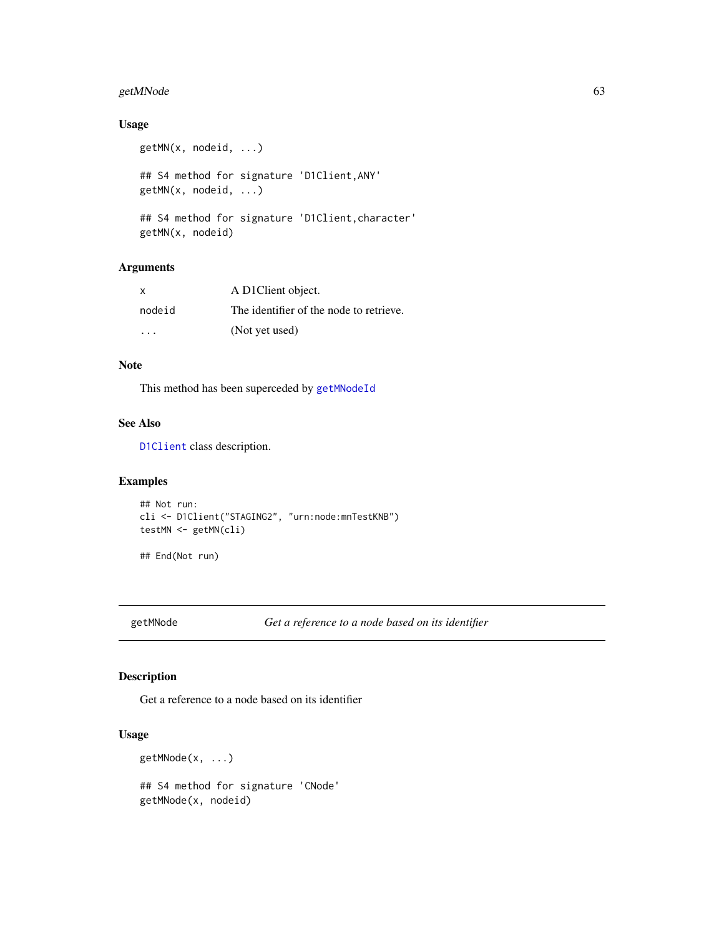# getMNode 63

# Usage

```
getMN(x, nodeid, ...)
## S4 method for signature 'D1Client,ANY'
getMN(x, nodeid, ...)
## S4 method for signature 'D1Client,character'
getMN(x, nodeid)
```
# Arguments

| $\mathsf{X}$ | A D1Client object.                      |
|--------------|-----------------------------------------|
| nodeid       | The identifier of the node to retrieve. |
| $\cdot$      | (Not yet used)                          |

# Note

This method has been superceded by [getMNodeId](#page-63-0)

## See Also

[D1Client](#page-23-0) class description.

# Examples

```
## Not run:
cli <- D1Client("STAGING2", "urn:node:mnTestKNB")
testMN <- getMN(cli)
```
## End(Not run)

getMNode *Get a reference to a node based on its identifier*

# Description

Get a reference to a node based on its identifier

# Usage

getMNode(x, ...)

## S4 method for signature 'CNode' getMNode(x, nodeid)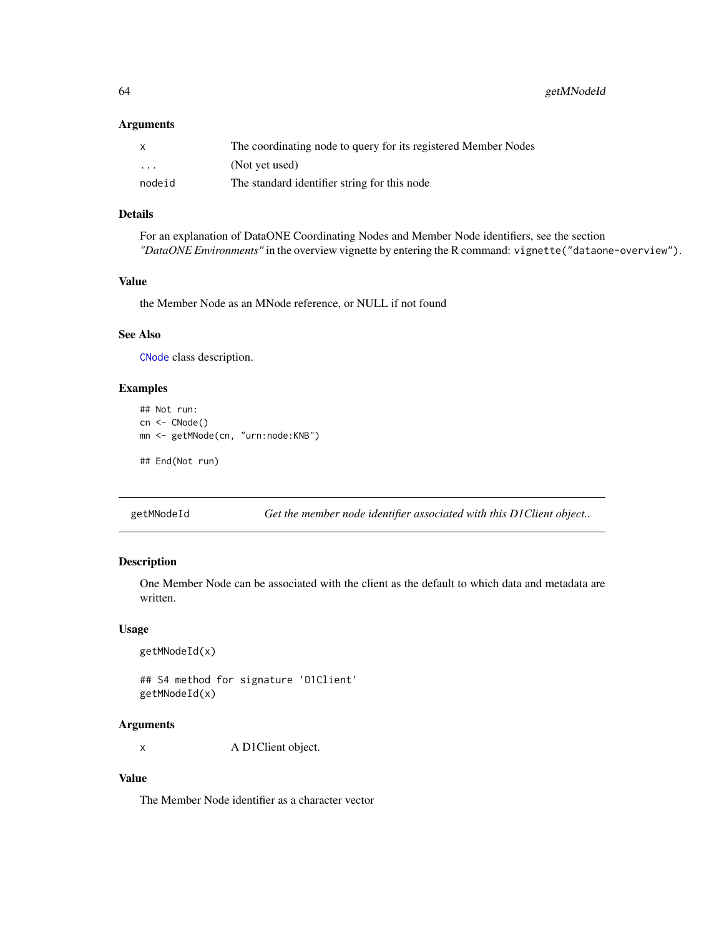64 getMNodeId

#### Arguments

| X                       | The coordinating node to query for its registered Member Nodes |
|-------------------------|----------------------------------------------------------------|
| $\cdot$ $\cdot$ $\cdot$ | (Not yet used)                                                 |
| nodeid                  | The standard identifier string for this node                   |

# Details

For an explanation of DataONE Coordinating Nodes and Member Node identifiers, see the section *"DataONE Environments"* in the overview vignette by entering the R command: vignette("dataone-overview").

# Value

the Member Node as an MNode reference, or NULL if not found

# See Also

[CNode](#page-17-0) class description.

#### Examples

```
## Not run:
cn <- CNode()
mn <- getMNode(cn, "urn:node:KNB")
## End(Not run)
```
<span id="page-63-0"></span>getMNodeId *Get the member node identifier associated with this D1Client object..*

# Description

One Member Node can be associated with the client as the default to which data and metadata are written.

#### Usage

```
getMNodeId(x)
```
## S4 method for signature 'D1Client' getMNodeId(x)

#### Arguments

x A D1Client object.

# Value

The Member Node identifier as a character vector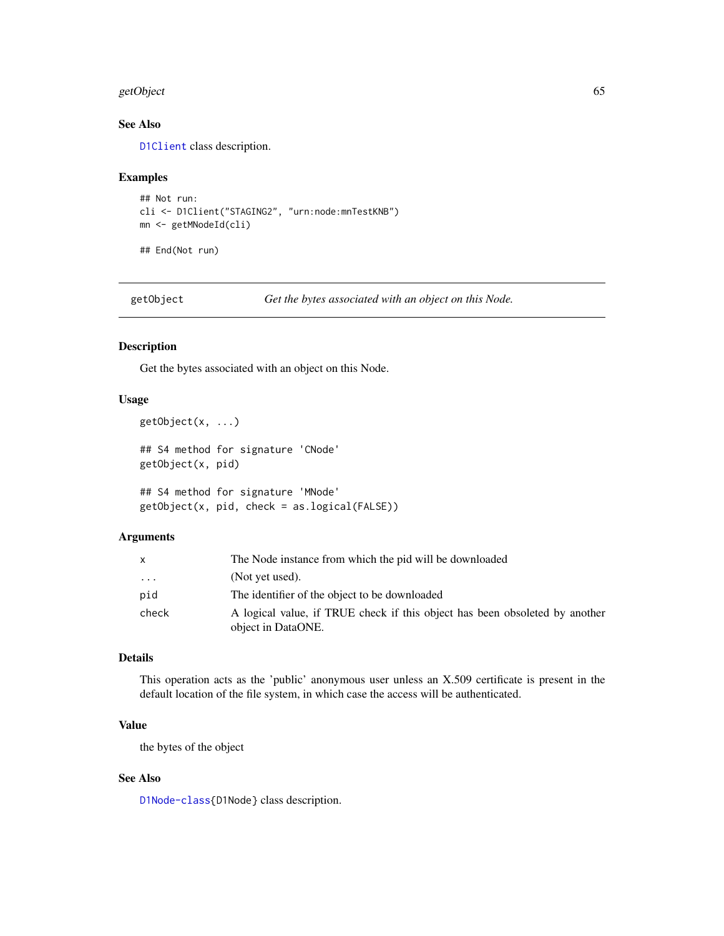#### getObject 65 and 55 and 65 and 65 and 65 and 65 and 65 and 65 and 65 and 65 and 65 and 65 and 65 and 65 and 65

# See Also

[D1Client](#page-23-0) class description.

#### Examples

```
## Not run:
cli <- D1Client("STAGING2", "urn:node:mnTestKNB")
mn <- getMNodeId(cli)
```
## End(Not run)

getObject *Get the bytes associated with an object on this Node.*

#### Description

Get the bytes associated with an object on this Node.

#### Usage

```
getObject(x, ...)
```

```
## S4 method for signature 'CNode'
getObject(x, pid)
```
## S4 method for signature 'MNode' getObject(x, pid, check = as.logical(FALSE))

#### Arguments

|       | The Node instance from which the pid will be downloaded                                           |
|-------|---------------------------------------------------------------------------------------------------|
| .     | (Not yet used).                                                                                   |
| pid   | The identifier of the object to be downloaded                                                     |
| check | A logical value, if TRUE check if this object has been obsoleted by another<br>object in DataONE. |

## Details

This operation acts as the 'public' anonymous user unless an X.509 certificate is present in the default location of the file system, in which case the access will be authenticated.

# Value

the bytes of the object

# See Also

[D1Node-class{](#page-26-0)D1Node} class description.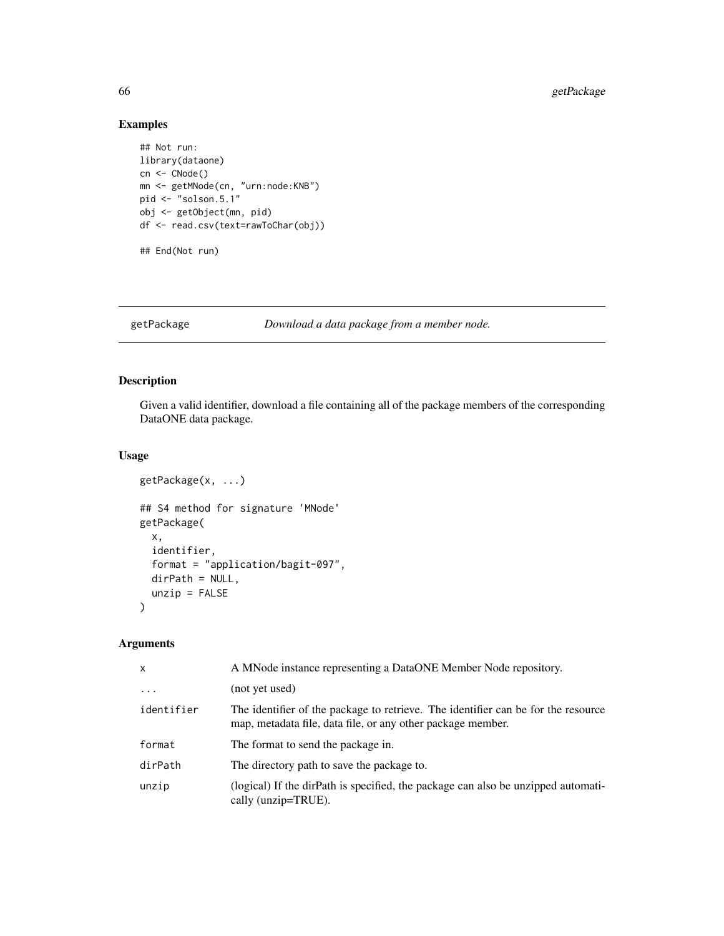# Examples

```
## Not run:
library(dataone)
cn <- CNode()
mn <- getMNode(cn, "urn:node:KNB")
pid <- "solson.5.1"
obj <- getObject(mn, pid)
df <- read.csv(text=rawToChar(obj))
## End(Not run)
```
getPackage *Download a data package from a member node.*

# Description

Given a valid identifier, download a file containing all of the package members of the corresponding DataONE data package.

### Usage

```
getPackage(x, ...)
## S4 method for signature 'MNode'
getPackage(
  x,
  identifier,
  format = "application/bagit-097",
 dirPath = NULL,
  unzip = FALSE)
```
## Arguments

| $\mathsf{x}$ | A MNode instance representing a DataONE Member Node repository.                                                                                  |
|--------------|--------------------------------------------------------------------------------------------------------------------------------------------------|
| $\ddots$     | (not yet used)                                                                                                                                   |
| identifier   | The identifier of the package to retrieve. The identifier can be for the resource<br>map, metadata file, data file, or any other package member. |
| format       | The format to send the package in.                                                                                                               |
| dirPath      | The directory path to save the package to.                                                                                                       |
| unzip        | (logical) If the dirPath is specified, the package can also be unzipped automati-<br>cally (unzip=TRUE).                                         |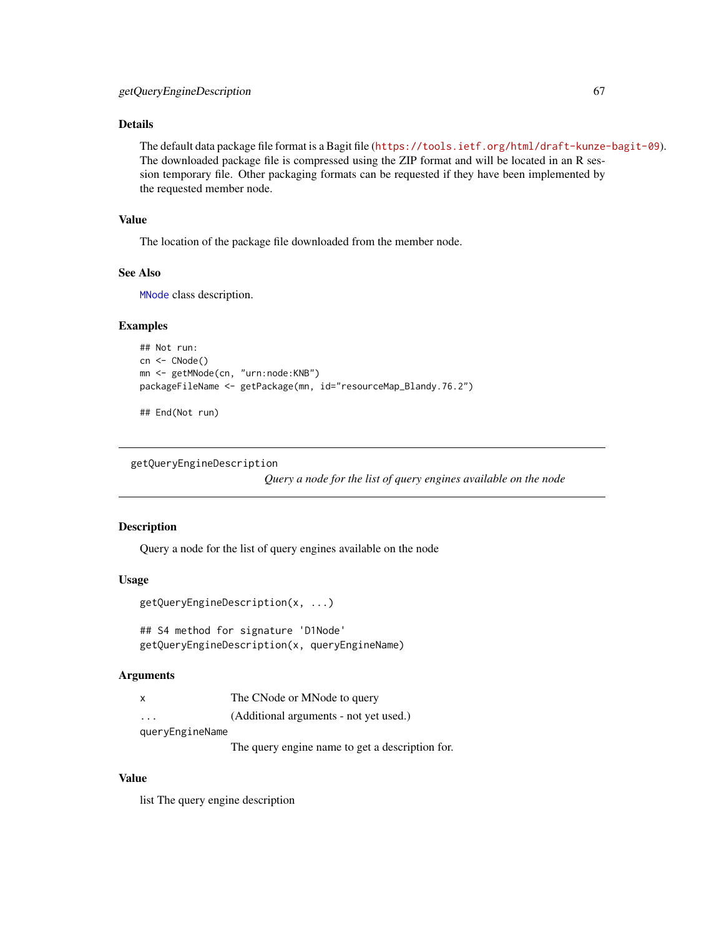# Details

The default data package file format is a Bagit file (<https://tools.ietf.org/html/draft-kunze-bagit-09>). The downloaded package file is compressed using the ZIP format and will be located in an R session temporary file. Other packaging formats can be requested if they have been implemented by the requested member node.

#### Value

The location of the package file downloaded from the member node.

## See Also

[MNode](#page-81-0) class description.

#### Examples

```
## Not run:
cn <- CNode()
mn <- getMNode(cn, "urn:node:KNB")
packageFileName <- getPackage(mn, id="resourceMap_Blandy.76.2")
```
## End(Not run)

getQueryEngineDescription

*Query a node for the list of query engines available on the node*

#### Description

Query a node for the list of query engines available on the node

#### Usage

```
getQueryEngineDescription(x, ...)
```
## S4 method for signature 'D1Node' getQueryEngineDescription(x, queryEngineName)

#### Arguments

| X               | The CNode or MNode to query            |
|-----------------|----------------------------------------|
| $\cdot$         | (Additional arguments - not yet used.) |
| queryEngineName |                                        |

The query engine name to get a description for.

# Value

list The query engine description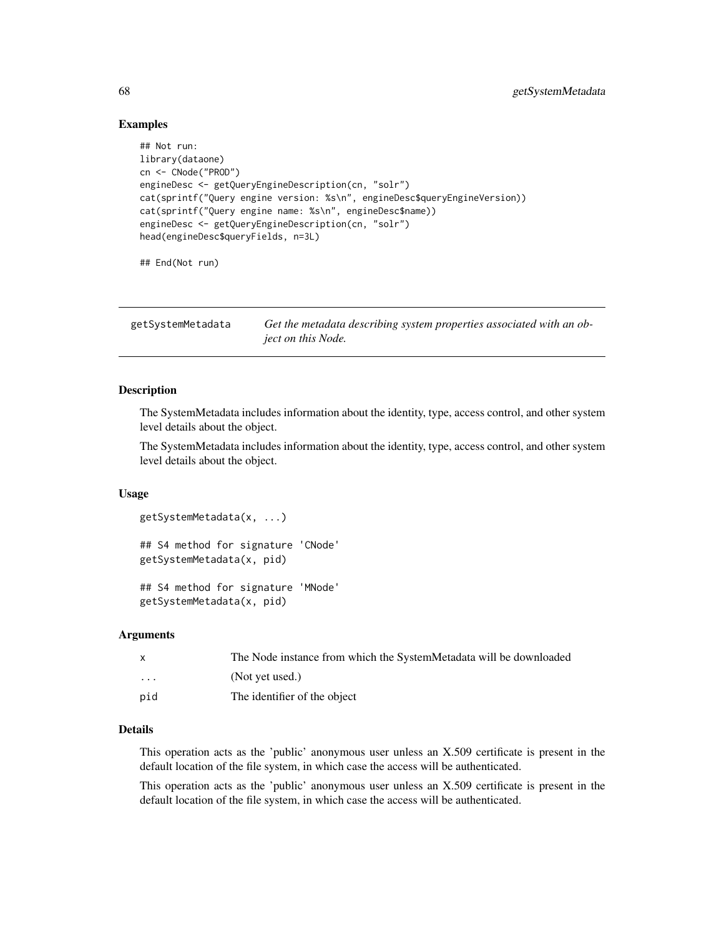### Examples

```
## Not run:
library(dataone)
cn <- CNode("PROD")
engineDesc <- getQueryEngineDescription(cn, "solr")
cat(sprintf("Query engine version: %s\n", engineDesc$queryEngineVersion))
cat(sprintf("Query engine name: %s\n", engineDesc$name))
engineDesc <- getQueryEngineDescription(cn, "solr")
head(engineDesc$queryFields, n=3L)
## End(Not run)
```
getSystemMetadata *Get the metadata describing system properties associated with an object on this Node.*

#### Description

The SystemMetadata includes information about the identity, type, access control, and other system level details about the object.

The SystemMetadata includes information about the identity, type, access control, and other system level details about the object.

#### Usage

```
getSystemMetadata(x, ...)
## S4 method for signature 'CNode'
getSystemMetadata(x, pid)
```
## S4 method for signature 'MNode' getSystemMetadata(x, pid)

### Arguments

| X   | The Node instance from which the SystemMetadata will be downloaded |
|-----|--------------------------------------------------------------------|
| .   | (Not yet used.)                                                    |
| pid | The identifier of the object                                       |

### Details

This operation acts as the 'public' anonymous user unless an X.509 certificate is present in the default location of the file system, in which case the access will be authenticated.

This operation acts as the 'public' anonymous user unless an X.509 certificate is present in the default location of the file system, in which case the access will be authenticated.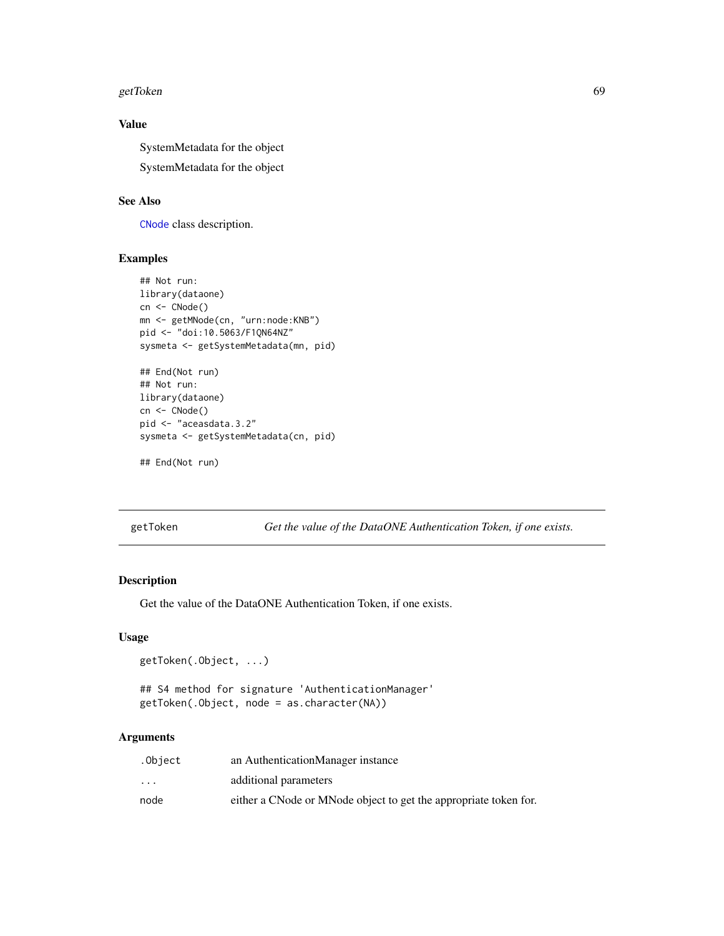#### getToken 69 bis 1999 and 1999 and 1999 and 1999 and 1999 and 1999 and 1999 and 1999 and 1999 and 199

# Value

SystemMetadata for the object SystemMetadata for the object

#### See Also

[CNode](#page-17-0) class description.

#### Examples

```
## Not run:
library(dataone)
cn <- CNode()
mn <- getMNode(cn, "urn:node:KNB")
pid <- "doi:10.5063/F1QN64NZ"
sysmeta <- getSystemMetadata(mn, pid)
## End(Not run)
## Not run:
library(dataone)
cn <- CNode()
pid <- "aceasdata.3.2"
sysmeta <- getSystemMetadata(cn, pid)
```

```
## End(Not run)
```
getToken *Get the value of the DataONE Authentication Token, if one exists.*

### Description

Get the value of the DataONE Authentication Token, if one exists.

# Usage

```
getToken(.Object, ...)
```
## S4 method for signature 'AuthenticationManager' getToken(.Object, node = as.character(NA))

# Arguments

| .Object                 | an AuthenticationManager instance                                |
|-------------------------|------------------------------------------------------------------|
| $\cdot$ $\cdot$ $\cdot$ | additional parameters                                            |
| node                    | either a CNode or MNode object to get the appropriate token for. |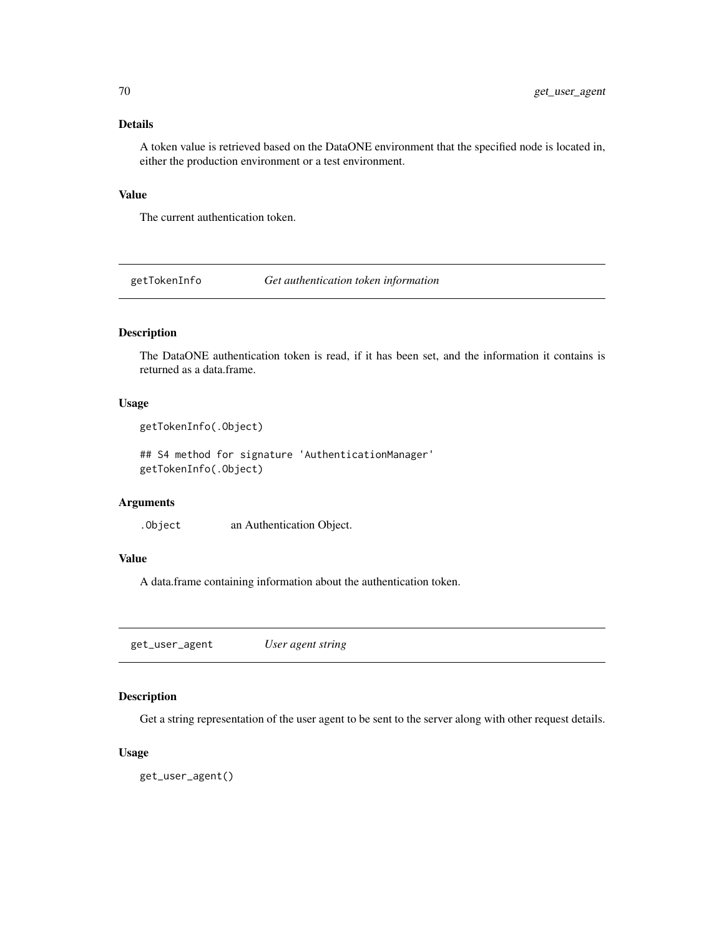### Details

A token value is retrieved based on the DataONE environment that the specified node is located in, either the production environment or a test environment.

# Value

The current authentication token.

getTokenInfo *Get authentication token information*

### Description

The DataONE authentication token is read, if it has been set, and the information it contains is returned as a data.frame.

# Usage

```
getTokenInfo(.Object)
```
## S4 method for signature 'AuthenticationManager' getTokenInfo(.Object)

# Arguments

.Object an Authentication Object.

# Value

A data.frame containing information about the authentication token.

get\_user\_agent *User agent string*

### Description

Get a string representation of the user agent to be sent to the server along with other request details.

### Usage

get\_user\_agent()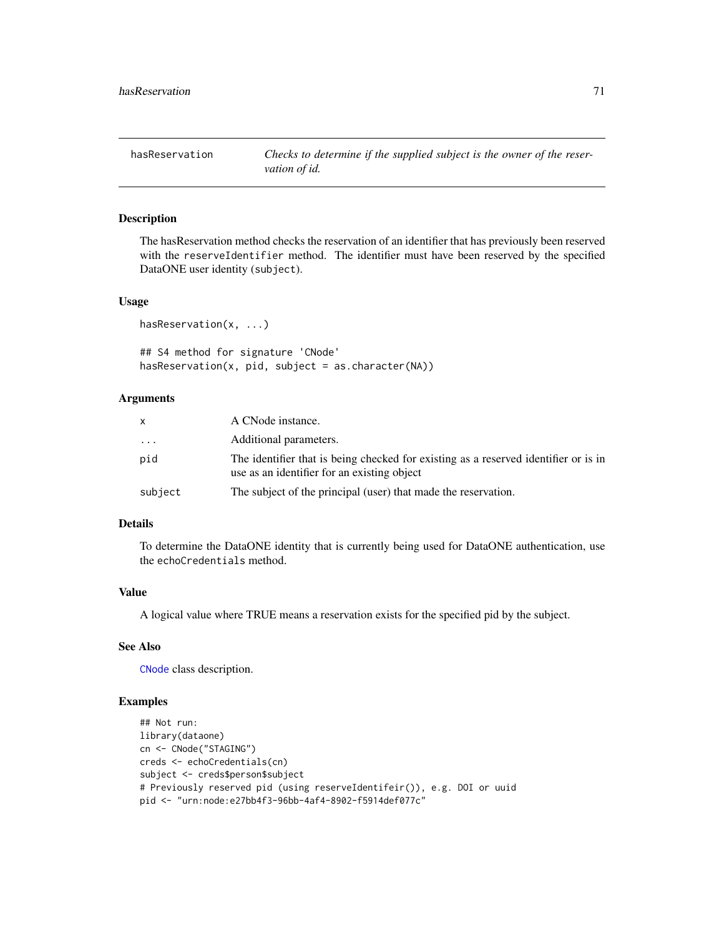The hasReservation method checks the reservation of an identifier that has previously been reserved with the reserveIdentifier method. The identifier must have been reserved by the specified DataONE user identity (subject).

#### Usage

```
hasReservation(x, ...)
```
## S4 method for signature 'CNode'  $hasReservation(x, pid, subject = as.charAtacter(NA))$ 

#### Arguments

| X       | A CNode instance.                                                                                                                  |
|---------|------------------------------------------------------------------------------------------------------------------------------------|
| $\cdot$ | Additional parameters.                                                                                                             |
| pid     | The identifier that is being checked for existing as a reserved identifier or is in<br>use as an identifier for an existing object |
| subject | The subject of the principal (user) that made the reservation.                                                                     |

### Details

To determine the DataONE identity that is currently being used for DataONE authentication, use the echoCredentials method.

#### Value

A logical value where TRUE means a reservation exists for the specified pid by the subject.

#### See Also

[CNode](#page-17-0) class description.

### Examples

```
## Not run:
library(dataone)
cn <- CNode("STAGING")
creds <- echoCredentials(cn)
subject <- creds$person$subject
# Previously reserved pid (using reserveIdentifeir()), e.g. DOI or uuid
pid <- "urn:node:e27bb4f3-96bb-4af4-8902-f5914def077c"
```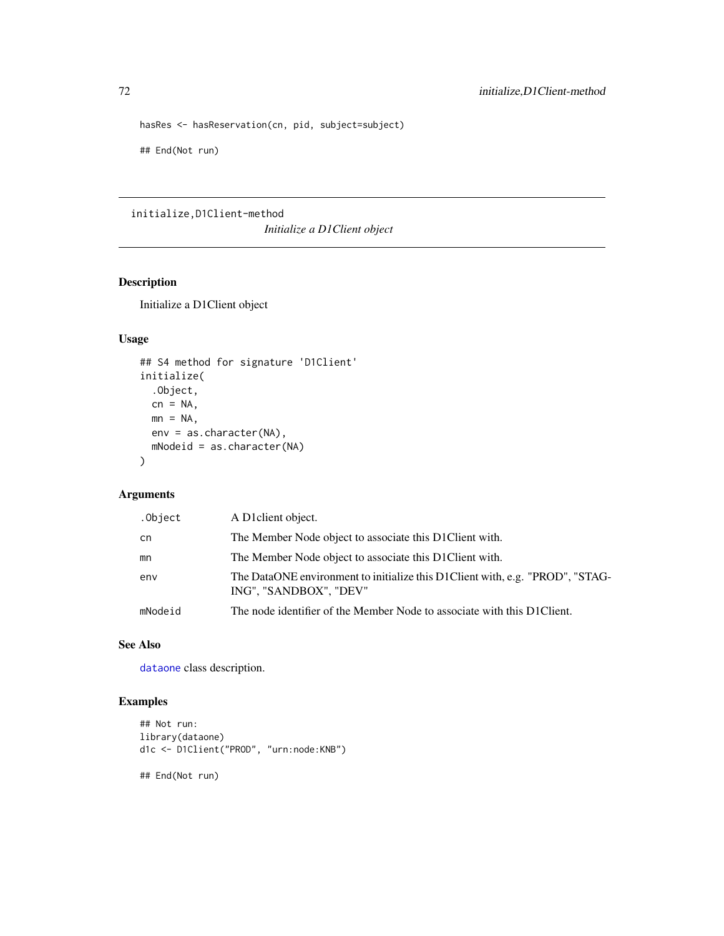```
hasRes <- hasReservation(cn, pid, subject=subject)
## End(Not run)
```
initialize,D1Client-method *Initialize a D1Client object*

# Description

Initialize a D1Client object

# Usage

```
## S4 method for signature 'D1Client'
initialize(
  .Object,
 cn = NA,
 mn = NA,
 env = as.character(NA),
 mNodeid = as.character(NA)
\mathcal{E}
```
# Arguments

| .Object | A D1 client object.                                                                                     |
|---------|---------------------------------------------------------------------------------------------------------|
| cn      | The Member Node object to associate this D1Client with.                                                 |
| mn      | The Member Node object to associate this D1Client with.                                                 |
| env     | The DataONE environment to initialize this D1Client with, e.g. "PROD", "STAG-<br>ING", "SANDBOX", "DEV" |
| mNodeid | The node identifier of the Member Node to associate with this D1Client.                                 |

# See Also

[dataone](#page-23-0) class description.

# Examples

```
## Not run:
library(dataone)
d1c <- D1Client("PROD", "urn:node:KNB")
```
## End(Not run)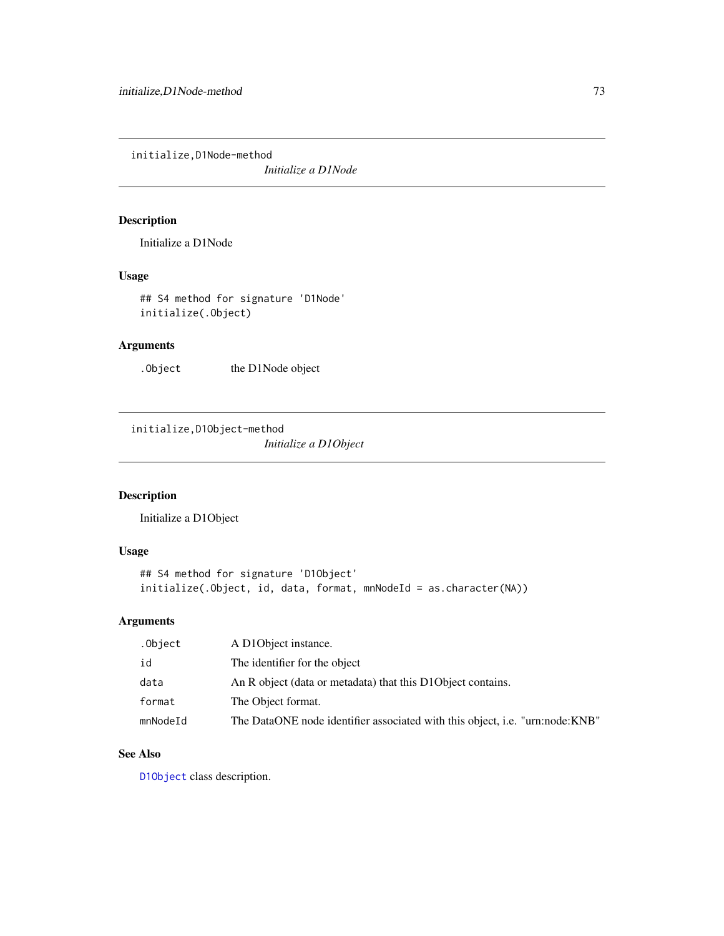<span id="page-72-0"></span>initialize,D1Node-method

*Initialize a D1Node*

## Description

Initialize a D1Node

## Usage

## S4 method for signature 'D1Node' initialize(.Object)

## Arguments

. Object the D1Node object

initialize,D1Object-method *Initialize a D1Object*

## Description

Initialize a D1Object

## Usage

```
## S4 method for signature 'D1Object'
initialize(.Object, id, data, format, mnNodeId = as.character(NA))
```
## Arguments

| .Object  | A D1Object instance.                                                         |
|----------|------------------------------------------------------------------------------|
| id       | The identifier for the object                                                |
| data     | An R object (data or metadata) that this D1Object contains.                  |
| format   | The Object format.                                                           |
| mnNodeId | The DataONE node identifier associated with this object, i.e. "urn:node:KNB" |

## See Also

[D1Object](#page-27-0) class description.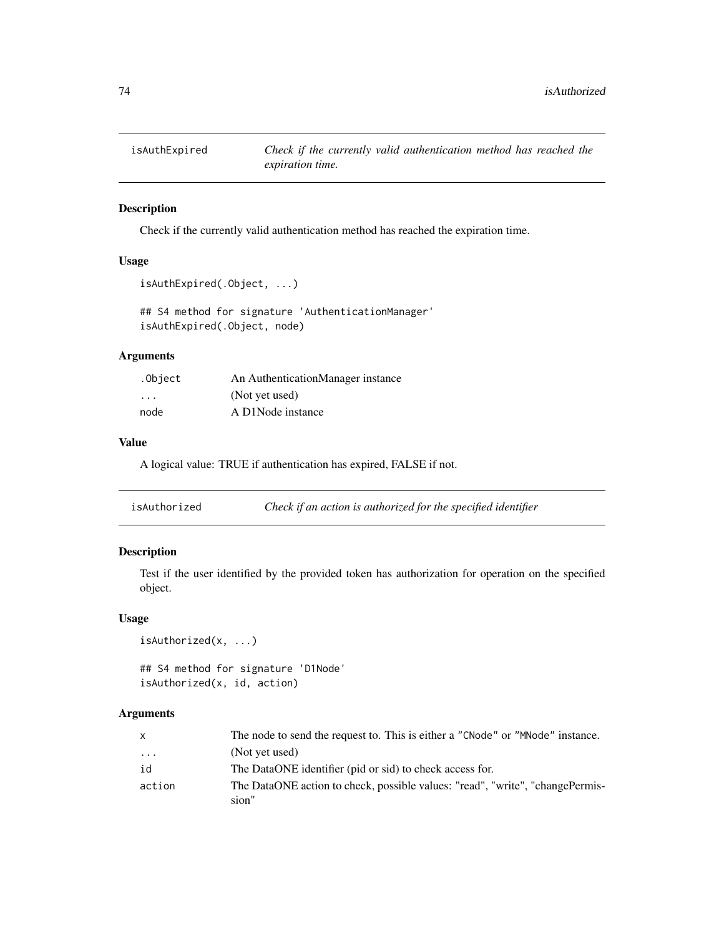<span id="page-73-0"></span>

## Description

Check if the currently valid authentication method has reached the expiration time.

## Usage

```
isAuthExpired(.Object, ...)
```
## S4 method for signature 'AuthenticationManager' isAuthExpired(.Object, node)

#### Arguments

| .Object                 | An AuthenticationManager instance |
|-------------------------|-----------------------------------|
| $\cdot$ $\cdot$ $\cdot$ | (Not yet used)                    |
| node                    | A D1Node instance                 |

#### Value

A logical value: TRUE if authentication has expired, FALSE if not.

| isAuthorized | Check if an action is authorized for the specified identifier |  |
|--------------|---------------------------------------------------------------|--|
|              |                                                               |  |

## Description

Test if the user identified by the provided token has authorization for operation on the specified object.

### Usage

```
isAuthorized(x, ...)
```
## S4 method for signature 'D1Node' isAuthorized(x, id, action)

#### Arguments

| X        | The node to send the request to. This is either a "CNode" or "MNode" instance. |
|----------|--------------------------------------------------------------------------------|
| $\cdots$ | (Not yet used)                                                                 |
| id       | The DataONE identifier (pid or sid) to check access for.                       |
| action   | The DataONE action to check, possible values: "read", "write", "changePermis-  |
|          | sion"                                                                          |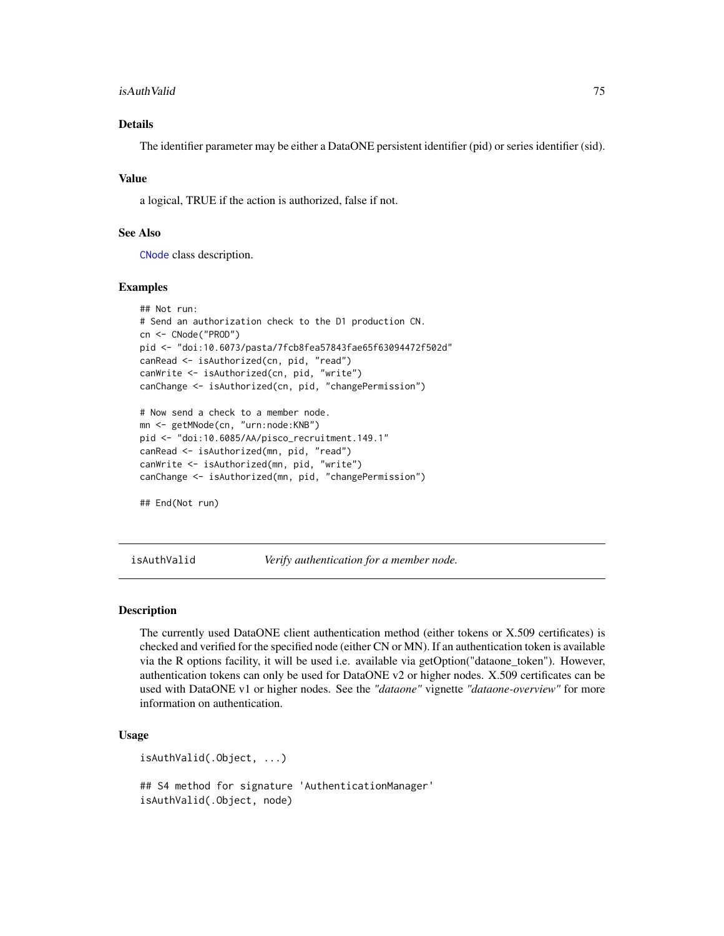#### <span id="page-74-0"></span>isAuthValid 75

## Details

The identifier parameter may be either a DataONE persistent identifier (pid) or series identifier (sid).

#### Value

a logical, TRUE if the action is authorized, false if not.

#### See Also

[CNode](#page-17-0) class description.

#### Examples

```
## Not run:
# Send an authorization check to the D1 production CN.
cn <- CNode("PROD")
pid <- "doi:10.6073/pasta/7fcb8fea57843fae65f63094472f502d"
canRead <- isAuthorized(cn, pid, "read")
canWrite <- isAuthorized(cn, pid, "write")
canChange <- isAuthorized(cn, pid, "changePermission")
# Now send a check to a member node.
mn <- getMNode(cn, "urn:node:KNB")
pid <- "doi:10.6085/AA/pisco_recruitment.149.1"
canRead <- isAuthorized(mn, pid, "read")
canWrite <- isAuthorized(mn, pid, "write")
canChange <- isAuthorized(mn, pid, "changePermission")
```
## End(Not run)

isAuthValid *Verify authentication for a member node.*

#### Description

The currently used DataONE client authentication method (either tokens or X.509 certificates) is checked and verified for the specified node (either CN or MN). If an authentication token is available via the R options facility, it will be used i.e. available via getOption("dataone\_token"). However, authentication tokens can only be used for DataONE v2 or higher nodes. X.509 certificates can be used with DataONE v1 or higher nodes. See the *"dataone"* vignette *"dataone-overview"* for more information on authentication.

#### Usage

```
isAuthValid(.Object, ...)
## S4 method for signature 'AuthenticationManager'
isAuthValid(.Object, node)
```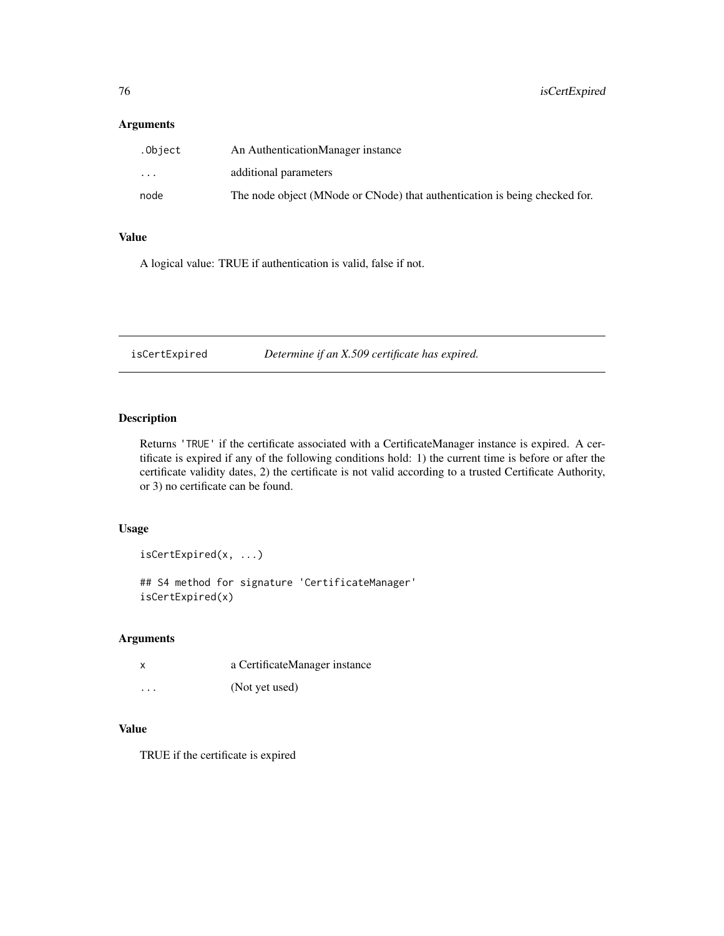## <span id="page-75-0"></span>Arguments

| .Object                 | An AuthenticationManager instance                                          |
|-------------------------|----------------------------------------------------------------------------|
| $\cdot$ $\cdot$ $\cdot$ | additional parameters                                                      |
| node                    | The node object (MNode or CNode) that authentication is being checked for. |

## Value

A logical value: TRUE if authentication is valid, false if not.

isCertExpired *Determine if an X.509 certificate has expired.*

## Description

Returns 'TRUE' if the certificate associated with a CertificateManager instance is expired. A certificate is expired if any of the following conditions hold: 1) the current time is before or after the certificate validity dates, 2) the certificate is not valid according to a trusted Certificate Authority, or 3) no certificate can be found.

## Usage

isCertExpired(x, ...)

## S4 method for signature 'CertificateManager' isCertExpired(x)

## Arguments

| x        | a CertificateManager instance |
|----------|-------------------------------|
| $\cdots$ | (Not yet used)                |

## Value

TRUE if the certificate is expired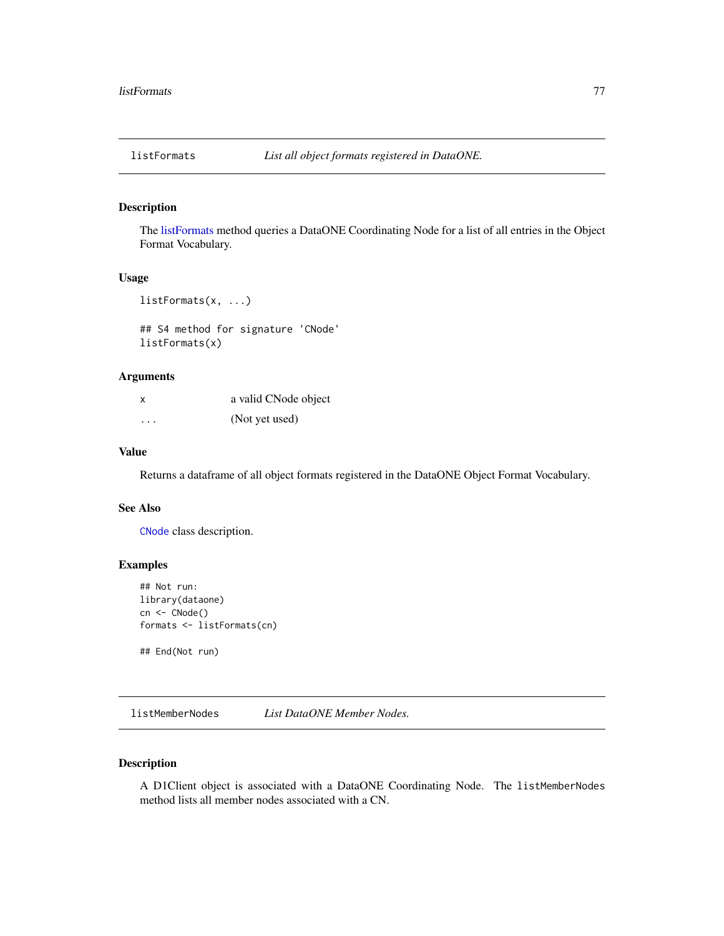<span id="page-76-1"></span><span id="page-76-0"></span>

## Description

The [listFormats](#page-76-0) method queries a DataONE Coordinating Node for a list of all entries in the Object Format Vocabulary.

#### Usage

```
listFormats(x, ...)
```
## S4 method for signature 'CNode' listFormats(x)

## Arguments

| x        | a valid CNode object |
|----------|----------------------|
| $\cdots$ | (Not yet used)       |

#### Value

Returns a dataframe of all object formats registered in the DataONE Object Format Vocabulary.

#### See Also

[CNode](#page-17-0) class description.

## Examples

```
## Not run:
library(dataone)
cn <- CNode()
formats <- listFormats(cn)
```
## End(Not run)

listMemberNodes *List DataONE Member Nodes.*

#### Description

A D1Client object is associated with a DataONE Coordinating Node. The listMemberNodes method lists all member nodes associated with a CN.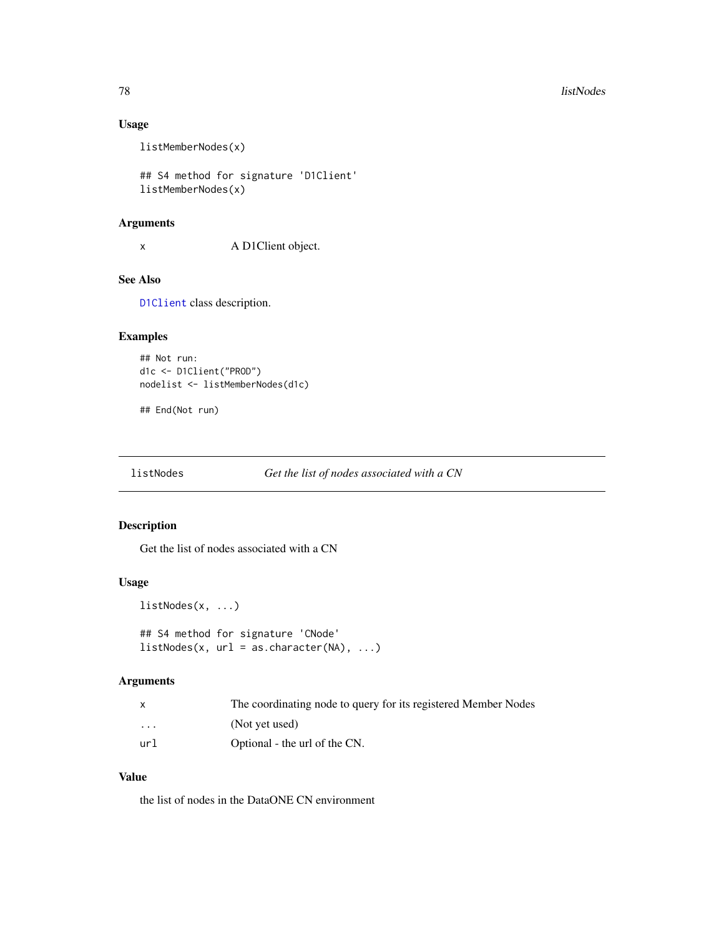## Usage

listMemberNodes(x)

## S4 method for signature 'D1Client' listMemberNodes(x)

#### Arguments

x A D1Client object.

## See Also

[D1Client](#page-23-0) class description.

## Examples

```
## Not run:
d1c <- D1Client("PROD")
nodelist <- listMemberNodes(d1c)
```
## End(Not run)

listNodes *Get the list of nodes associated with a CN*

## Description

Get the list of nodes associated with a CN

#### Usage

```
listNodes(x, ...)
```

```
## S4 method for signature 'CNode'
listNodes(x, url = as.charAt("NA), ...)
```
## Arguments

|                         | The coordinating node to query for its registered Member Nodes |
|-------------------------|----------------------------------------------------------------|
| $\cdot$ $\cdot$ $\cdot$ | (Not yet used)                                                 |
| url                     | Optional - the url of the CN.                                  |

## Value

the list of nodes in the DataONE CN environment

<span id="page-77-0"></span>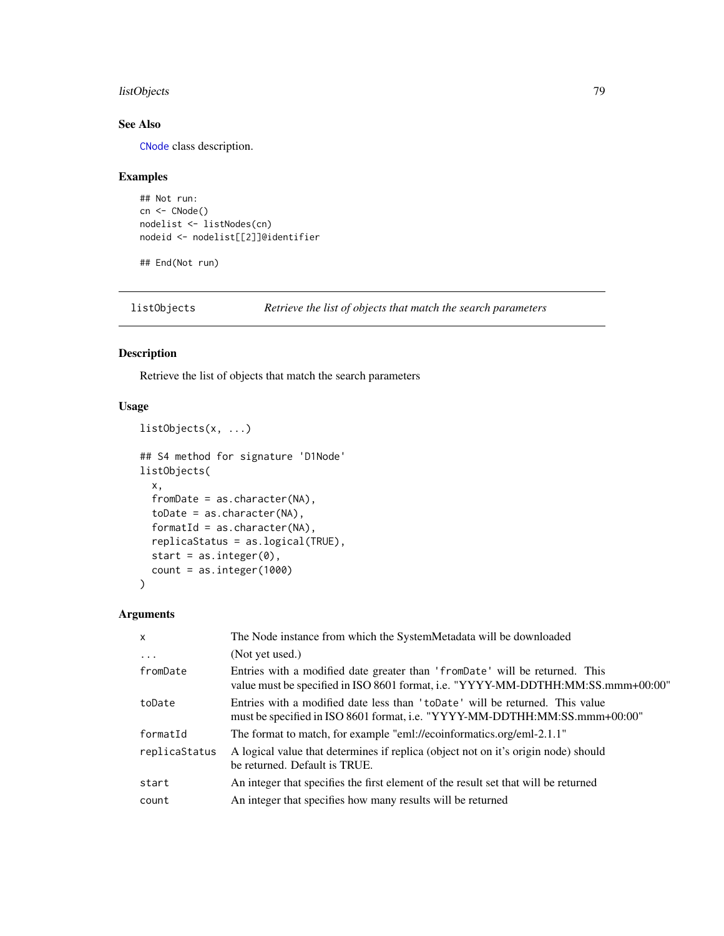## <span id="page-78-0"></span>listObjects 79

## See Also

[CNode](#page-17-0) class description.

## Examples

```
## Not run:
cn <- CNode()
nodelist <- listNodes(cn)
nodeid <- nodelist[[2]]@identifier
```
## End(Not run)

listObjects(x, ...)

listObjects *Retrieve the list of objects that match the search parameters*

## Description

Retrieve the list of objects that match the search parameters

## Usage

```
## S4 method for signature 'D1Node'
listObjects(
  x,
  fromDate = as.character(NA),
  toDate = as.character(NA),
  formatId = as.charAtacter(NA),replicaStatus = as.logical(TRUE),
  start = as.integer(0),
  count = as.integer(1000)
\mathcal{E}
```
## Arguments

| $\mathsf{x}$  | The Node instance from which the SystemMetadata will be downloaded                                                                                               |
|---------------|------------------------------------------------------------------------------------------------------------------------------------------------------------------|
| $\ddots$      | (Not yet used.)                                                                                                                                                  |
| fromDate      | Entries with a modified date greater than 'from Date' will be returned. This<br>value must be specified in ISO 8601 format, i.e. "YYYY-MM-DDTHH:MM:SS.mmm+00:00" |
| toDate        | Entries with a modified date less than 'toDate' will be returned. This value<br>must be specified in ISO 8601 format, i.e. "YYYY-MM-DDTHH:MM:SS.mmm+00:00"       |
| formatId      | The format to match, for example "eml://ecoinformatics.org/eml-2.1.1"                                                                                            |
| replicaStatus | A logical value that determines if replica (object not on it's origin node) should<br>be returned. Default is TRUE.                                              |
| start         | An integer that specifies the first element of the result set that will be returned                                                                              |
| count         | An integer that specifies how many results will be returned                                                                                                      |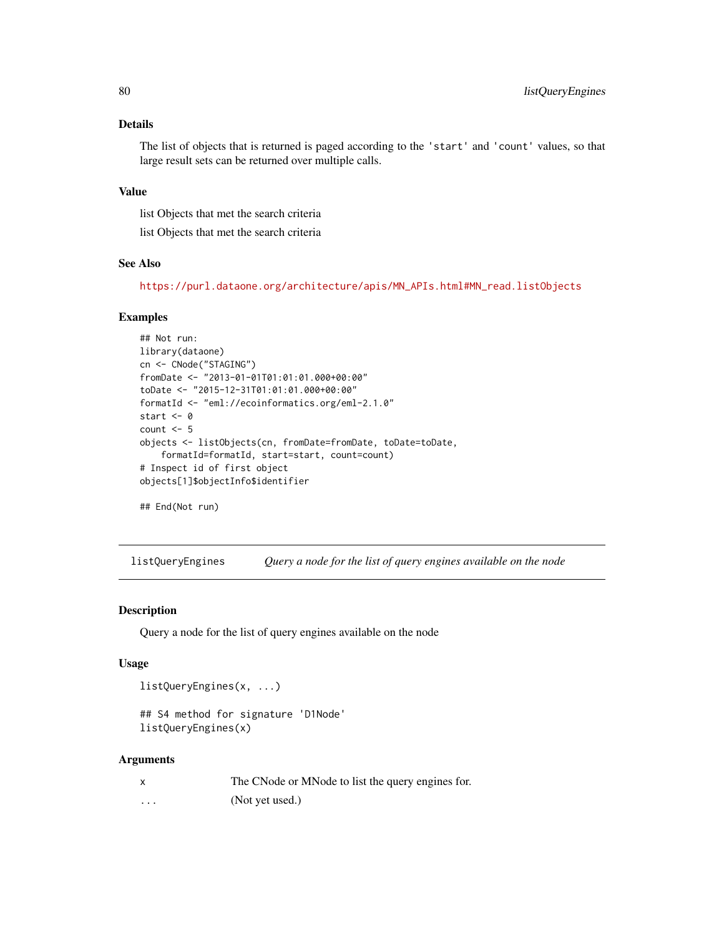## Details

The list of objects that is returned is paged according to the 'start' and 'count' values, so that large result sets can be returned over multiple calls.

#### Value

list Objects that met the search criteria

list Objects that met the search criteria

#### See Also

[https://purl.dataone.org/architecture/apis/MN\\_APIs.html#MN\\_read.listObjects](https://purl.dataone.org/architecture/apis/MN_APIs.html#MN_read.listObjects)

#### Examples

```
## Not run:
library(dataone)
cn <- CNode("STAGING")
fromDate <- "2013-01-01T01:01:01.000+00:00"
toDate <- "2015-12-31T01:01:01.000+00:00"
formatId <- "eml://ecoinformatics.org/eml-2.1.0"
start <- 0
count <-5objects <- listObjects(cn, fromDate=fromDate, toDate=toDate,
    formatId=formatId, start=start, count=count)
# Inspect id of first object
objects[1]$objectInfo$identifier
```
## End(Not run)

listQueryEngines *Query a node for the list of query engines available on the node*

## Description

Query a node for the list of query engines available on the node

#### Usage

```
listQueryEngines(x, ...)
```

```
## S4 method for signature 'D1Node'
listQueryEngines(x)
```
#### Arguments

| $\mathsf{x}$ | The CNode or MNode to list the query engines for. |
|--------------|---------------------------------------------------|
| $\cdots$     | (Not yet used.)                                   |

<span id="page-79-0"></span>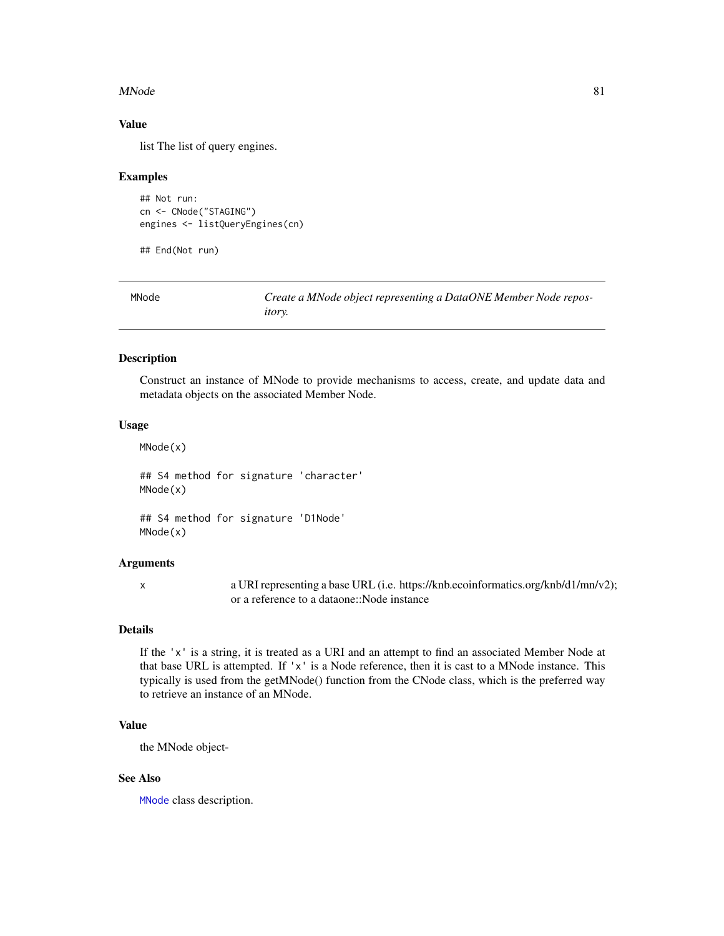#### <span id="page-80-1"></span>MNode 81

#### Value

list The list of query engines.

#### Examples

```
## Not run:
cn <- CNode("STAGING")
engines <- listQueryEngines(cn)
```
## End(Not run)

<span id="page-80-0"></span>

| MNode | Create a MNode object representing a DataONE Member Node repos- |
|-------|-----------------------------------------------------------------|
|       | <i>itory.</i>                                                   |

## Description

Construct an instance of MNode to provide mechanisms to access, create, and update data and metadata objects on the associated Member Node.

#### Usage

MNode(x)

## S4 method for signature 'character' MNode(x)

## S4 method for signature 'D1Node' MNode(x)

## Arguments

x a URI representing a base URL (i.e. https://knb.ecoinformatics.org/knb/d1/mn/v2); or a reference to a dataone::Node instance

## Details

If the 'x' is a string, it is treated as a URI and an attempt to find an associated Member Node at that base URL is attempted. If 'x' is a Node reference, then it is cast to a MNode instance. This typically is used from the getMNode() function from the CNode class, which is the preferred way to retrieve an instance of an MNode.

## Value

the MNode object-

## See Also

[MNode](#page-81-0) class description.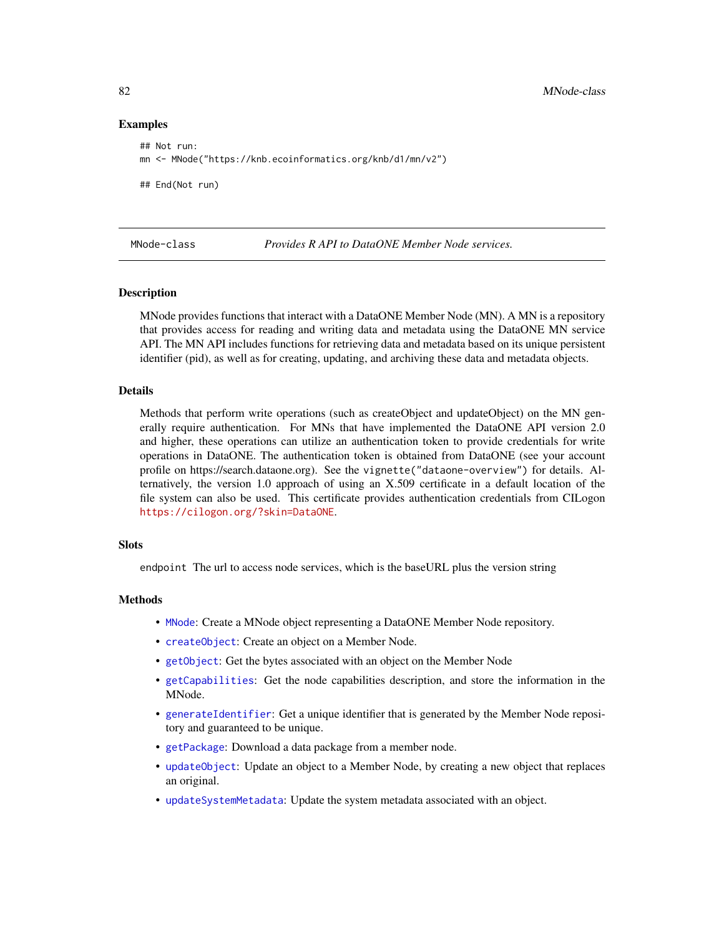#### Examples

```
## Not run:
mn <- MNode("https://knb.ecoinformatics.org/knb/d1/mn/v2")
## End(Not run)
```
<span id="page-81-0"></span>

MNode-class *Provides R API to DataONE Member Node services.*

#### Description

MNode provides functions that interact with a DataONE Member Node (MN). A MN is a repository that provides access for reading and writing data and metadata using the DataONE MN service API. The MN API includes functions for retrieving data and metadata based on its unique persistent identifier (pid), as well as for creating, updating, and archiving these data and metadata objects.

#### Details

Methods that perform write operations (such as createObject and updateObject) on the MN generally require authentication. For MNs that have implemented the DataONE API version 2.0 and higher, these operations can utilize an authentication token to provide credentials for write operations in DataONE. The authentication token is obtained from DataONE (see your account profile on https://search.dataone.org). See the vignette("dataone-overview") for details. Alternatively, the version 1.0 approach of using an X.509 certificate in a default location of the file system can also be used. This certificate provides authentication credentials from CILogon <https://cilogon.org/?skin=DataONE>.

### **Slots**

endpoint The url to access node services, which is the baseURL plus the version string

#### Methods

- [MNode](#page-80-0): Create a MNode object representing a DataONE Member Node repository.
- [createObject](#page-21-0): Create an object on a Member Node.
- [getObject](#page-64-0): Get the bytes associated with an object on the Member Node
- [getCapabilities](#page-49-0): Get the node capabilities description, and store the information in the MNode.
- [generateIdentifier](#page-46-0): Get a unique identifier that is generated by the Member Node repository and guaranteed to be unique.
- [getPackage](#page-65-0): Download a data package from a member node.
- [updateObject](#page-94-0): Update an object to a Member Node, by creating a new object that replaces an original.
- [updateSystemMetadata](#page-95-0): Update the system metadata associated with an object.

<span id="page-81-1"></span>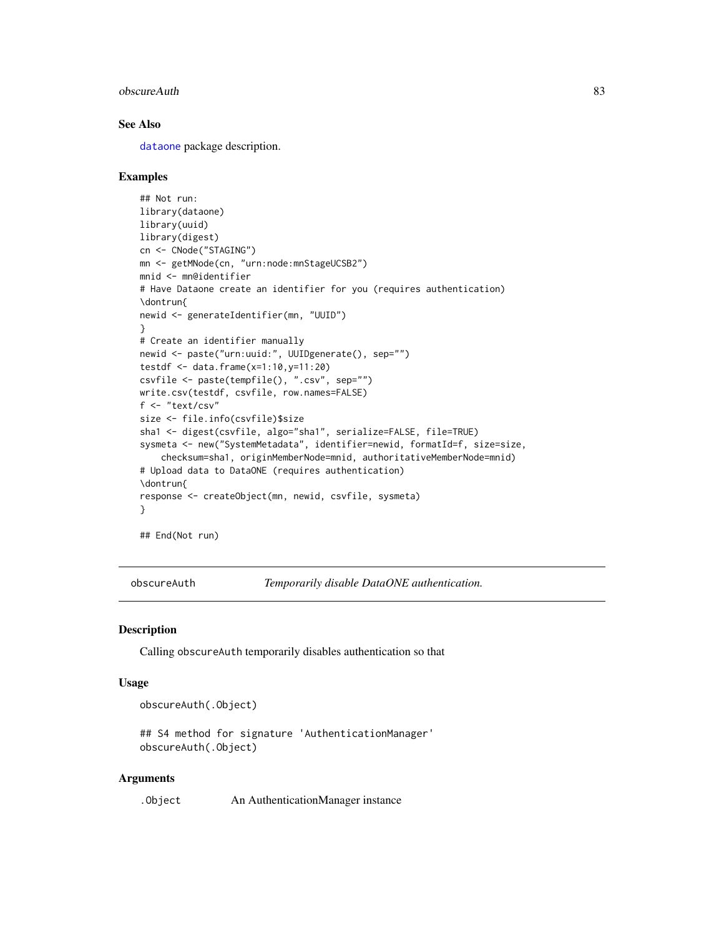#### <span id="page-82-0"></span>obscureAuth 83

## See Also

[dataone](#page-36-0) package description.

#### Examples

```
## Not run:
library(dataone)
library(uuid)
library(digest)
cn <- CNode("STAGING")
mn <- getMNode(cn, "urn:node:mnStageUCSB2")
mnid <- mn@identifier
# Have Dataone create an identifier for you (requires authentication)
\dontrun{
newid <- generateIdentifier(mn, "UUID")
}
# Create an identifier manually
newid <- paste("urn:uuid:", UUIDgenerate(), sep="")
testdf <- data.frame(x=1:10,y=11:20)
csvfile <- paste(tempfile(), ".csv", sep="")
write.csv(testdf, csvfile, row.names=FALSE)
f <- "text/csv"
size <- file.info(csvfile)$size
sha1 <- digest(csvfile, algo="sha1", serialize=FALSE, file=TRUE)
sysmeta <- new("SystemMetadata", identifier=newid, formatId=f, size=size,
    checksum=sha1, originMemberNode=mnid, authoritativeMemberNode=mnid)
# Upload data to DataONE (requires authentication)
\dontrun{
response <- createObject(mn, newid, csvfile, sysmeta)
}
```
## End(Not run)

obscureAuth *Temporarily disable DataONE authentication.*

## Description

Calling obscureAuth temporarily disables authentication so that

#### Usage

obscureAuth(.Object)

## S4 method for signature 'AuthenticationManager' obscureAuth(.Object)

#### Arguments

.Object An AuthenticationManager instance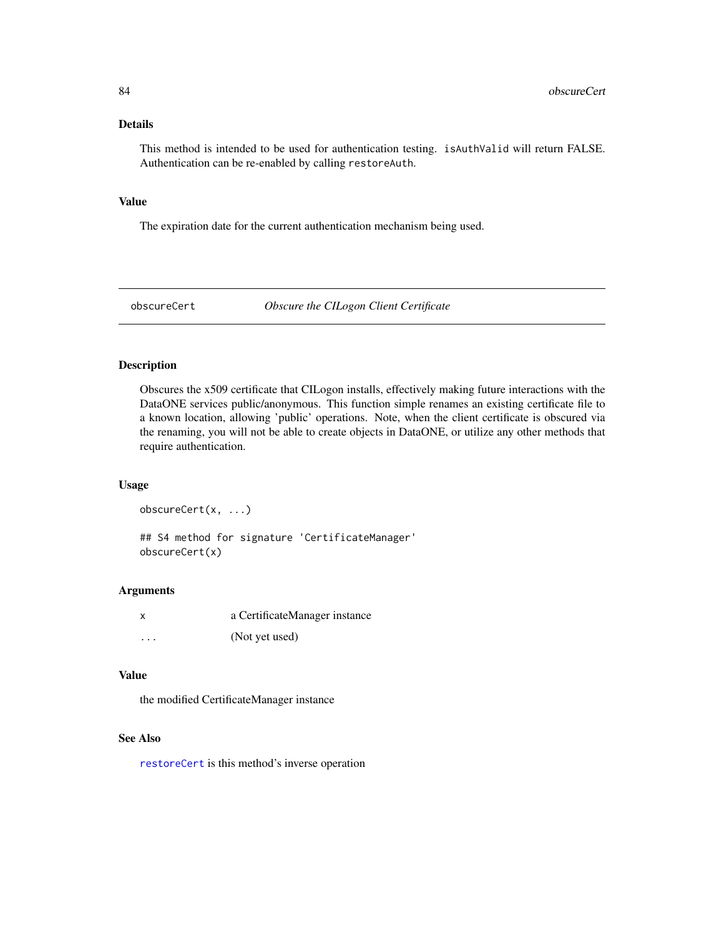#### <span id="page-83-1"></span>Details

This method is intended to be used for authentication testing. isAuthValid will return FALSE. Authentication can be re-enabled by calling restoreAuth.

## Value

The expiration date for the current authentication mechanism being used.

<span id="page-83-0"></span>obscureCert *Obscure the CILogon Client Certificate*

## Description

Obscures the x509 certificate that CILogon installs, effectively making future interactions with the DataONE services public/anonymous. This function simple renames an existing certificate file to a known location, allowing 'public' operations. Note, when the client certificate is obscured via the renaming, you will not be able to create objects in DataONE, or utilize any other methods that require authentication.

#### Usage

obscureCert(x, ...) ## S4 method for signature 'CertificateManager' obscureCert(x)

## Arguments

| X.       | a CertificateManager instance |
|----------|-------------------------------|
| $\cdots$ | (Not yet used)                |

#### Value

the modified CertificateManager instance

#### See Also

[restoreCert](#page-90-0) is this method's inverse operation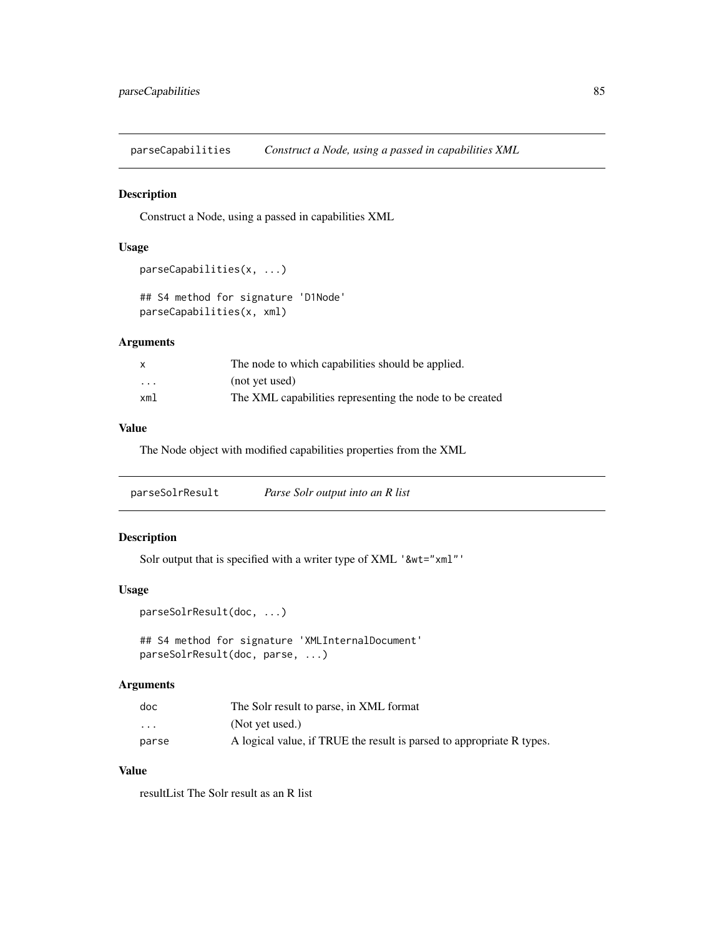<span id="page-84-0"></span>parseCapabilities *Construct a Node, using a passed in capabilities XML*

## Description

Construct a Node, using a passed in capabilities XML

## Usage

```
parseCapabilities(x, ...)
```

```
## S4 method for signature 'D1Node'
parseCapabilities(x, xml)
```
#### Arguments

| x       | The node to which capabilities should be applied.        |
|---------|----------------------------------------------------------|
| $\cdot$ | (not yet used)                                           |
| xml     | The XML capabilities representing the node to be created |

## Value

The Node object with modified capabilities properties from the XML

parseSolrResult *Parse Solr output into an R list*

## Description

Solr output that is specified with a writer type of XML '&wt="xml"'

#### Usage

```
parseSolrResult(doc, ...)
```
## S4 method for signature 'XMLInternalDocument' parseSolrResult(doc, parse, ...)

## Arguments

| doc                     | The Solr result to parse, in XML format                               |
|-------------------------|-----------------------------------------------------------------------|
| $\cdot$ $\cdot$ $\cdot$ | (Not yet used.)                                                       |
| parse                   | A logical value, if TRUE the result is parsed to appropriate R types. |

#### Value

resultList The Solr result as an R list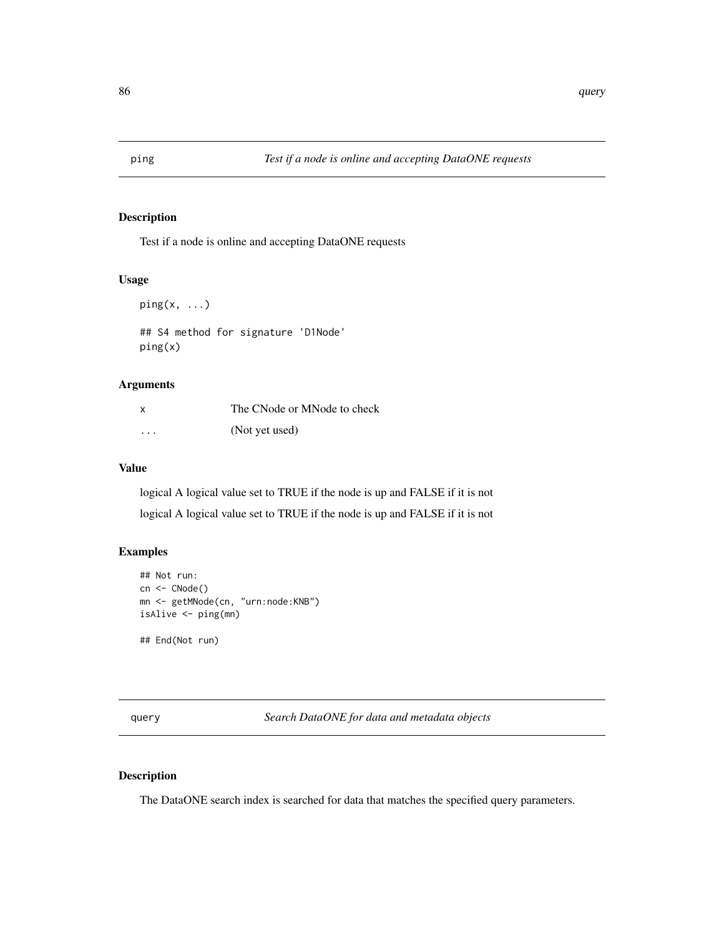<span id="page-85-0"></span>

## Description

Test if a node is online and accepting DataONE requests

## Usage

 $ping(x, \ldots)$ ## S4 method for signature 'D1Node' ping(x)

## Arguments

| X        | The CNode or MNode to check |
|----------|-----------------------------|
| $\cdots$ | (Not yet used)              |

#### Value

logical A logical value set to TRUE if the node is up and FALSE if it is not

logical A logical value set to TRUE if the node is up and FALSE if it is not

## Examples

```
## Not run:
cn <- CNode()
mn <- getMNode(cn, "urn:node:KNB")
isAlive <- ping(mn)
## End(Not run)
```
query *Search DataONE for data and metadata objects*

## Description

The DataONE search index is searched for data that matches the specified query parameters.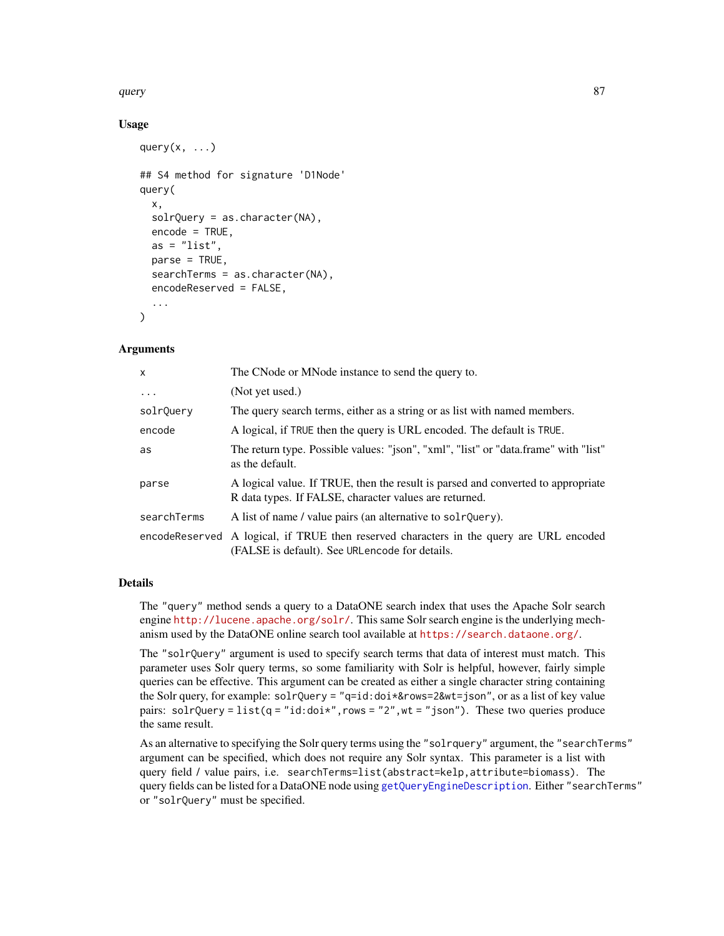#### <span id="page-86-0"></span>query 37 and 387 and 387 and 387 and 387 and 387 and 387 and 387 and 387 and 387 and 387 and 387 and 387 and 3

## Usage

```
query(x, \ldots)## S4 method for signature 'D1Node'
query(
  x,
  solvQuery = as.character(NA),encode = TRUE,as = "list",parse = TRUE,
  searchTerms = as.character(NA),
  encodeReserved = FALSE,
  ...
\lambda
```
#### Arguments

| $\mathsf{x}$ | The CNode or MNode instance to send the query to.                                                                                          |
|--------------|--------------------------------------------------------------------------------------------------------------------------------------------|
| $\cdots$     | (Not yet used.)                                                                                                                            |
| solrQuery    | The query search terms, either as a string or as list with named members.                                                                  |
| encode       | A logical, if TRUE then the query is URL encoded. The default is TRUE.                                                                     |
| as           | The return type. Possible values: "json", "xml", "list" or "data.frame" with "list"<br>as the default.                                     |
| parse        | A logical value. If TRUE, then the result is parsed and converted to appropriate<br>R data types. If FALSE, character values are returned. |
| searchTerms  | A list of name / value pairs (an alternative to solrQuery).                                                                                |
|              | encodeReserved A logical, if TRUE then reserved characters in the query are URL encoded<br>(FALSE is default). See URLencode for details.  |

#### Details

The "query" method sends a query to a DataONE search index that uses the Apache Solr search engine <http://lucene.apache.org/solr/>. This same Solr search engine is the underlying mechanism used by the DataONE online search tool available at <https://search.dataone.org/>.

The "solrQuery" argument is used to specify search terms that data of interest must match. This parameter uses Solr query terms, so some familiarity with Solr is helpful, however, fairly simple queries can be effective. This argument can be created as either a single character string containing the Solr query, for example: solrQuery = "q=id:doi\*&rows=2&wt=json", or as a list of key value pairs: solrQuery = list(q = "id:doi\*", rows = "2", wt = "json"). These two queries produce the same result.

As an alternative to specifying the Solr query terms using the "solrquery" argument, the "searchTerms" argument can be specified, which does not require any Solr syntax. This parameter is a list with query field / value pairs, i.e. searchTerms=list(abstract=kelp,attribute=biomass). The query fields can be listed for a DataONE node using [getQueryEngineDescription](#page-66-0). Either "searchTerms" or "solrQuery" must be specified.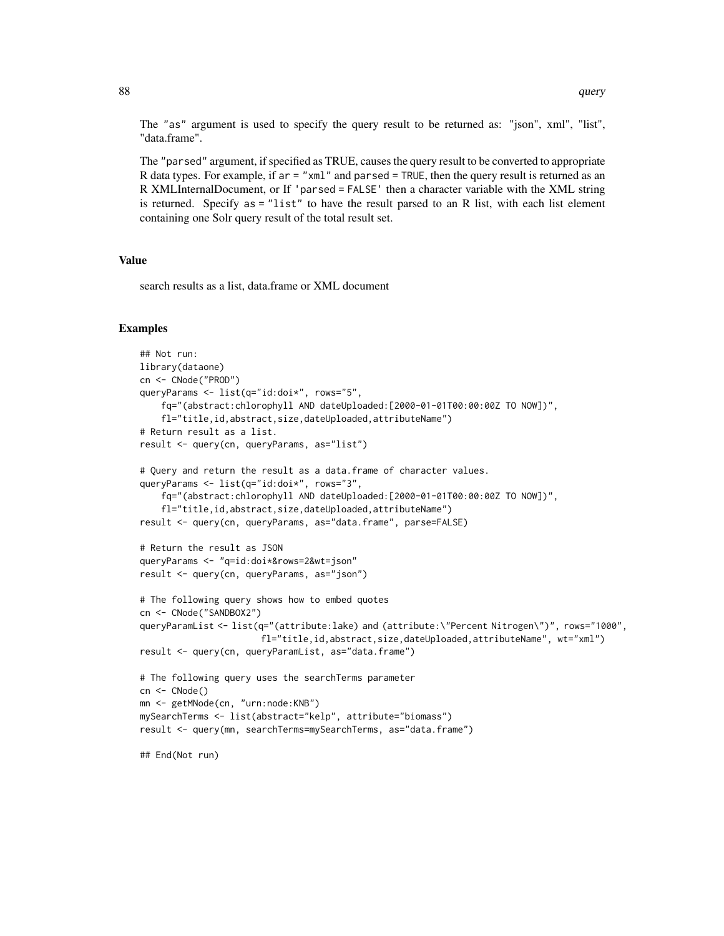The "as" argument is used to specify the query result to be returned as: "json", xml", "list", "data.frame".

The "parsed" argument, if specified as TRUE, causes the query result to be converted to appropriate R data types. For example, if ar = "xml" and parsed = TRUE, then the query result is returned as an R XMLInternalDocument, or If 'parsed = FALSE' then a character variable with the XML string is returned. Specify as = "list" to have the result parsed to an R list, with each list element containing one Solr query result of the total result set.

## Value

search results as a list, data.frame or XML document

#### Examples

```
## Not run:
library(dataone)
cn <- CNode("PROD")
queryParams <- list(q="id:doi*", rows="5",
    fq="(abstract:chlorophyll AND dateUploaded:[2000-01-01T00:00:00Z TO NOW])",
    fl="title,id,abstract,size,dateUploaded,attributeName")
# Return result as a list.
result <- query(cn, queryParams, as="list")
# Query and return the result as a data.frame of character values.
queryParams <- list(q="id:doi*", rows="3",
    fq="(abstract:chlorophyll AND dateUploaded:[2000-01-01T00:00:00Z TO NOW])",
    fl="title,id,abstract,size,dateUploaded,attributeName")
result <- query(cn, queryParams, as="data.frame", parse=FALSE)
# Return the result as JSON
queryParams <- "q=id:doi*&rows=2&wt=json"
result <- query(cn, queryParams, as="json")
# The following query shows how to embed quotes
cn <- CNode("SANDBOX2")
queryParamList <- list(q="(attribute:lake) and (attribute:\"Percent Nitrogen\")", rows="1000",
                       fl="title,id,abstract,size,dateUploaded,attributeName", wt="xml")
result <- query(cn, queryParamList, as="data.frame")
# The following query uses the searchTerms parameter
cn <- CNode()
mn <- getMNode(cn, "urn:node:KNB")
mySearchTerms <- list(abstract="kelp", attribute="biomass")
result <- query(mn, searchTerms=mySearchTerms, as="data.frame")
## End(Not run)
```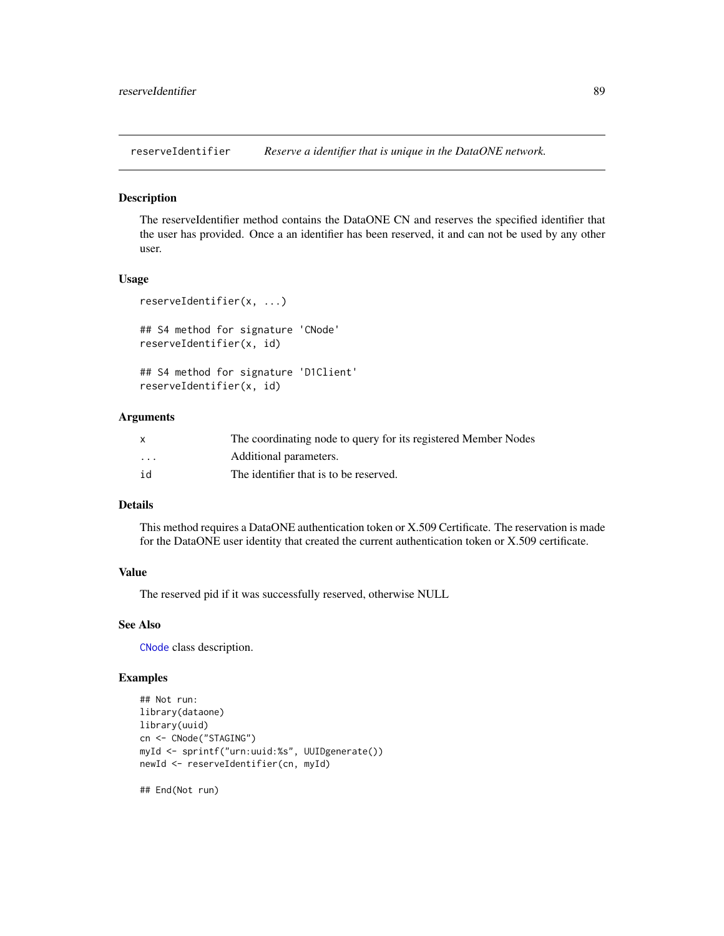<span id="page-88-0"></span>reserveIdentifier *Reserve a identifier that is unique in the DataONE network.*

#### Description

The reserveIdentifier method contains the DataONE CN and reserves the specified identifier that the user has provided. Once a an identifier has been reserved, it and can not be used by any other user.

## Usage

```
reserveIdentifier(x, ...)
## S4 method for signature 'CNode'
reserveIdentifier(x, id)
## S4 method for signature 'D1Client'
reserveIdentifier(x, id)
```
#### Arguments

|                         | The coordinating node to query for its registered Member Nodes |
|-------------------------|----------------------------------------------------------------|
| $\cdot$ $\cdot$ $\cdot$ | Additional parameters.                                         |
| id                      | The identifier that is to be reserved.                         |

#### Details

This method requires a DataONE authentication token or X.509 Certificate. The reservation is made for the DataONE user identity that created the current authentication token or X.509 certificate.

## Value

The reserved pid if it was successfully reserved, otherwise NULL

## See Also

[CNode](#page-17-0) class description.

## Examples

```
## Not run:
library(dataone)
library(uuid)
cn <- CNode("STAGING")
myId <- sprintf("urn:uuid:%s", UUIDgenerate())
newId <- reserveIdentifier(cn, myId)
```
## End(Not run)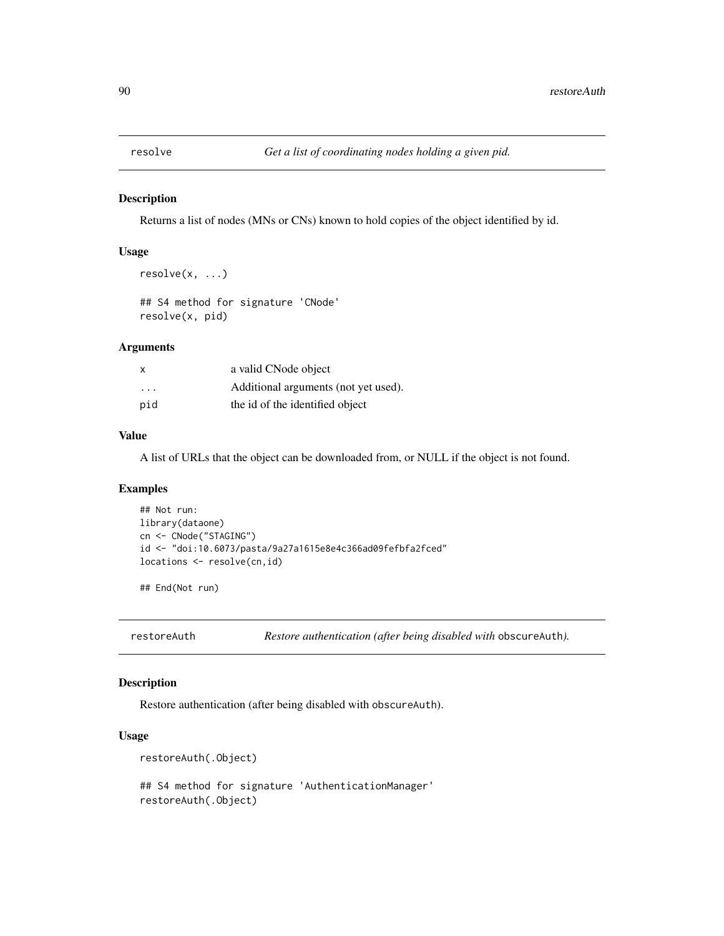<span id="page-89-0"></span>

#### Description

Returns a list of nodes (MNs or CNs) known to hold copies of the object identified by id.

#### Usage

```
resolve(x, ...)
```
## S4 method for signature 'CNode' resolve(x, pid)

## Arguments

| $\mathsf{x}$ | a valid CNode object                 |
|--------------|--------------------------------------|
| .            | Additional arguments (not yet used). |
| pid          | the id of the identified object      |

## Value

A list of URLs that the object can be downloaded from, or NULL if the object is not found.

## Examples

```
## Not run:
library(dataone)
cn <- CNode("STAGING")
id <- "doi:10.6073/pasta/9a27a1615e8e4c366ad09fefbfa2fced"
locations <- resolve(cn,id)
```
## End(Not run)

restoreAuth *Restore authentication (after being disabled with* obscureAuth*).*

## Description

Restore authentication (after being disabled with obscureAuth).

## Usage

```
restoreAuth(.Object)
```

```
## S4 method for signature 'AuthenticationManager'
restoreAuth(.Object)
```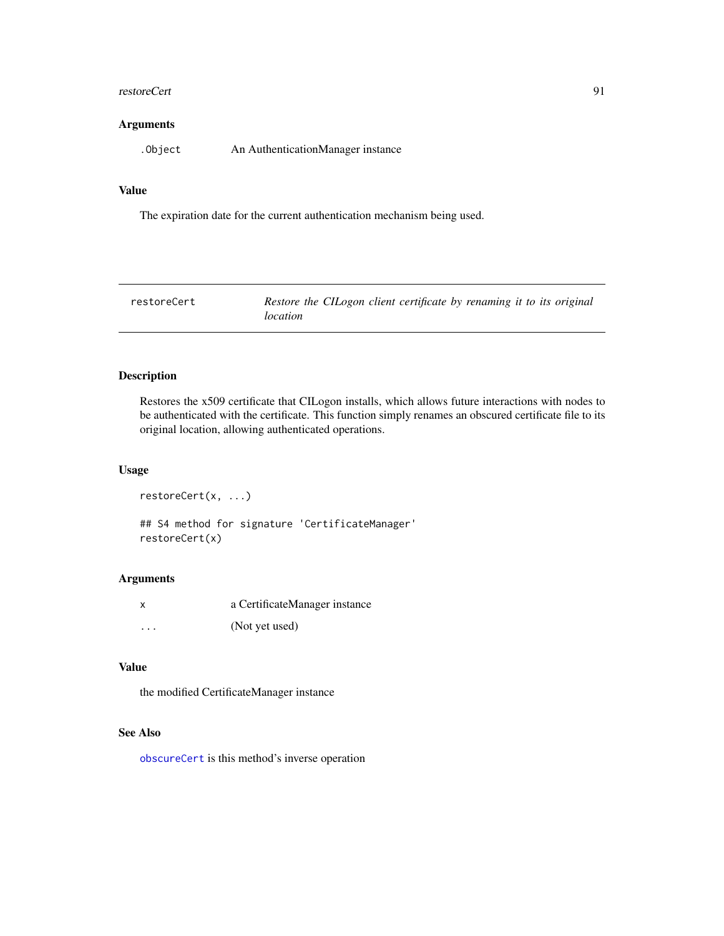#### <span id="page-90-1"></span>restoreCert 91

## Arguments

.Object An AuthenticationManager instance

### Value

The expiration date for the current authentication mechanism being used.

<span id="page-90-0"></span>

| restoreCert | Restore the CILogon client certificate by renaming it to its original |
|-------------|-----------------------------------------------------------------------|
|             | location                                                              |

## Description

Restores the x509 certificate that CILogon installs, which allows future interactions with nodes to be authenticated with the certificate. This function simply renames an obscured certificate file to its original location, allowing authenticated operations.

#### Usage

```
restoreCert(x, ...)
## S4 method for signature 'CertificateManager'
restoreCert(x)
```
## Arguments

| x       | a CertificateManager instance |
|---------|-------------------------------|
| $\cdot$ | (Not yet used)                |

#### Value

the modified CertificateManager instance

## See Also

[obscureCert](#page-83-0) is this method's inverse operation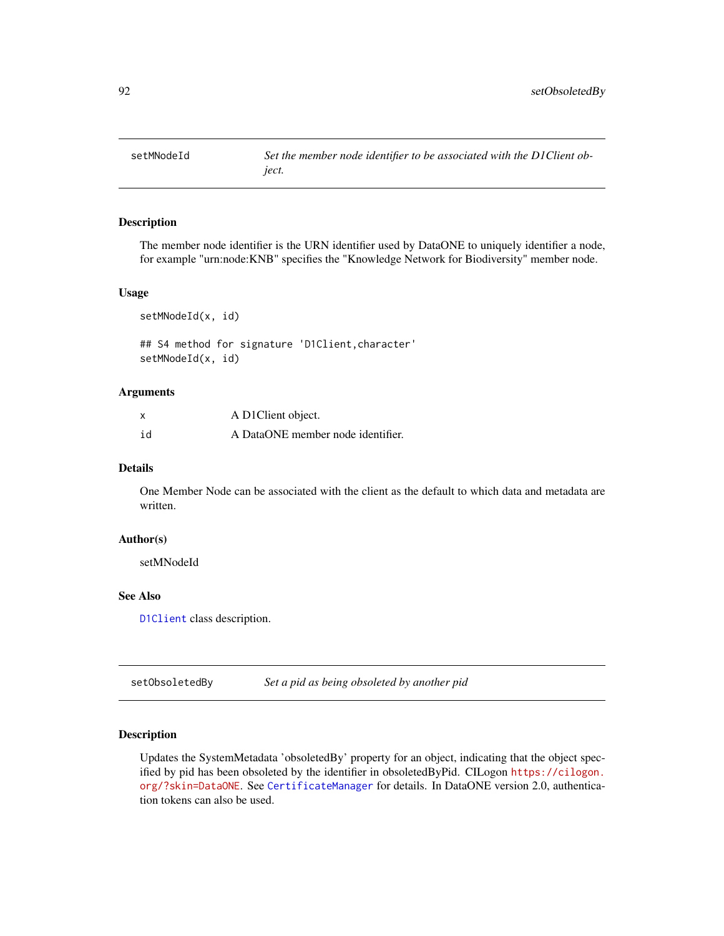<span id="page-91-0"></span>

## Description

The member node identifier is the URN identifier used by DataONE to uniquely identifier a node, for example "urn:node:KNB" specifies the "Knowledge Network for Biodiversity" member node.

#### Usage

setMNodeId(x, id)

## S4 method for signature 'D1Client,character' setMNodeId(x, id)

#### Arguments

| x  | A D1Client object.                |
|----|-----------------------------------|
| id | A DataONE member node identifier. |

## Details

One Member Node can be associated with the client as the default to which data and metadata are written.

#### Author(s)

setMNodeId

#### See Also

[D1Client](#page-23-0) class description.

setObsoletedBy *Set a pid as being obsoleted by another pid*

## **Description**

Updates the SystemMetadata 'obsoletedBy' property for an object, indicating that the object specified by pid has been obsoleted by the identifier in obsoletedByPid. CILogon [https://cilogon.](https://cilogon.org/?skin=DataONE) [org/?skin=DataONE](https://cilogon.org/?skin=DataONE). See [CertificateManager](#page-14-0) for details. In DataONE version 2.0, authentication tokens can also be used.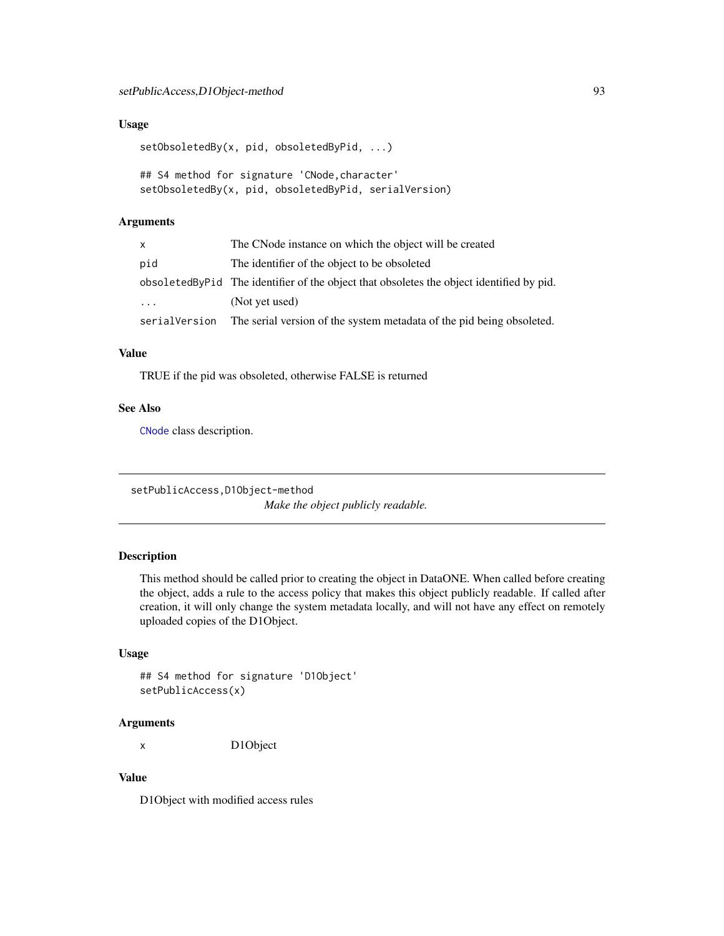### <span id="page-92-0"></span>Usage

```
setObsoletedBy(x, pid, obsoletedByPid, ...)
```

```
## S4 method for signature 'CNode,character'
setObsoletedBy(x, pid, obsoletedByPid, serialVersion)
```
## Arguments

| x        | The CNode instance on which the object will be created                                     |
|----------|--------------------------------------------------------------------------------------------|
| pid      | The identifier of the object to be obsoleted                                               |
|          | obsoleted By Pid The identifier of the object that obsoletes the object identified by pid. |
| $\cdots$ | (Not yet used)                                                                             |
|          | serial Version The serial version of the system metadata of the pid being obsoleted.       |

## Value

TRUE if the pid was obsoleted, otherwise FALSE is returned

## See Also

[CNode](#page-17-0) class description.

setPublicAccess,D1Object-method

*Make the object publicly readable.*

## Description

This method should be called prior to creating the object in DataONE. When called before creating the object, adds a rule to the access policy that makes this object publicly readable. If called after creation, it will only change the system metadata locally, and will not have any effect on remotely uploaded copies of the D1Object.

## Usage

```
## S4 method for signature 'D1Object'
setPublicAccess(x)
```
#### Arguments

x D1Object

## Value

D1Object with modified access rules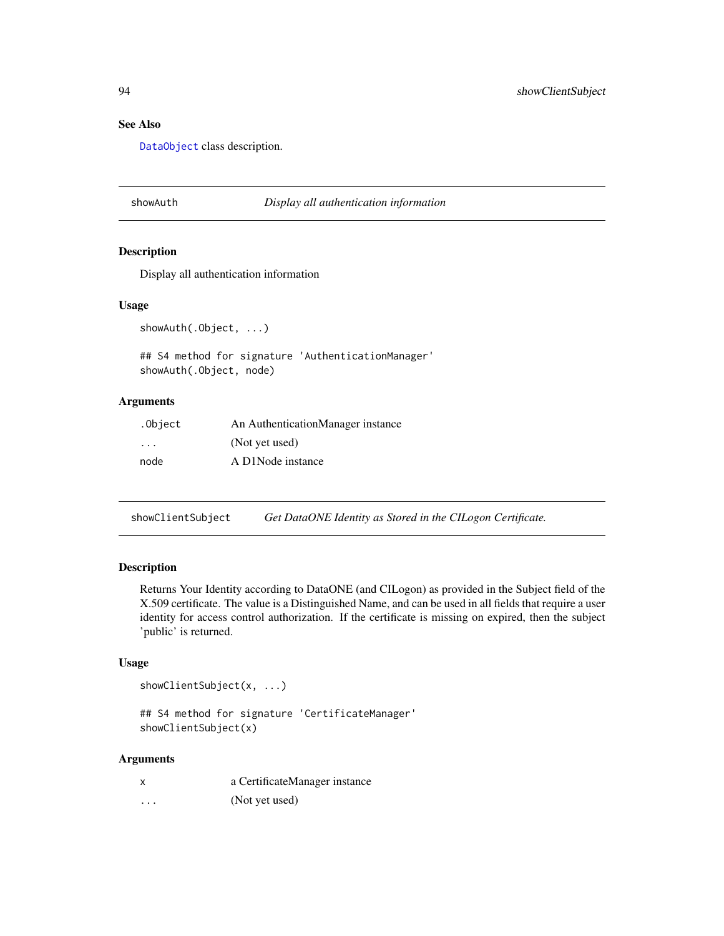## See Also

[DataObject](#page-0-0) class description.

#### showAuth *Display all authentication information*

## Description

Display all authentication information

#### Usage

```
showAuth(.Object, ...)
```
## S4 method for signature 'AuthenticationManager' showAuth(.Object, node)

## Arguments

| .Object                 | An AuthenticationManager instance |
|-------------------------|-----------------------------------|
| $\cdot$ $\cdot$ $\cdot$ | (Not yet used)                    |
| node                    | A D1Node instance                 |

showClientSubject *Get DataONE Identity as Stored in the CILogon Certificate.*

## Description

Returns Your Identity according to DataONE (and CILogon) as provided in the Subject field of the X.509 certificate. The value is a Distinguished Name, and can be used in all fields that require a user identity for access control authorization. If the certificate is missing on expired, then the subject 'public' is returned.

## Usage

```
showClientSubject(x, ...)
```
## S4 method for signature 'CertificateManager' showClientSubject(x)

#### Arguments

|          | a CertificateManager instance |
|----------|-------------------------------|
| $\cdots$ | (Not yet used)                |

<span id="page-93-0"></span>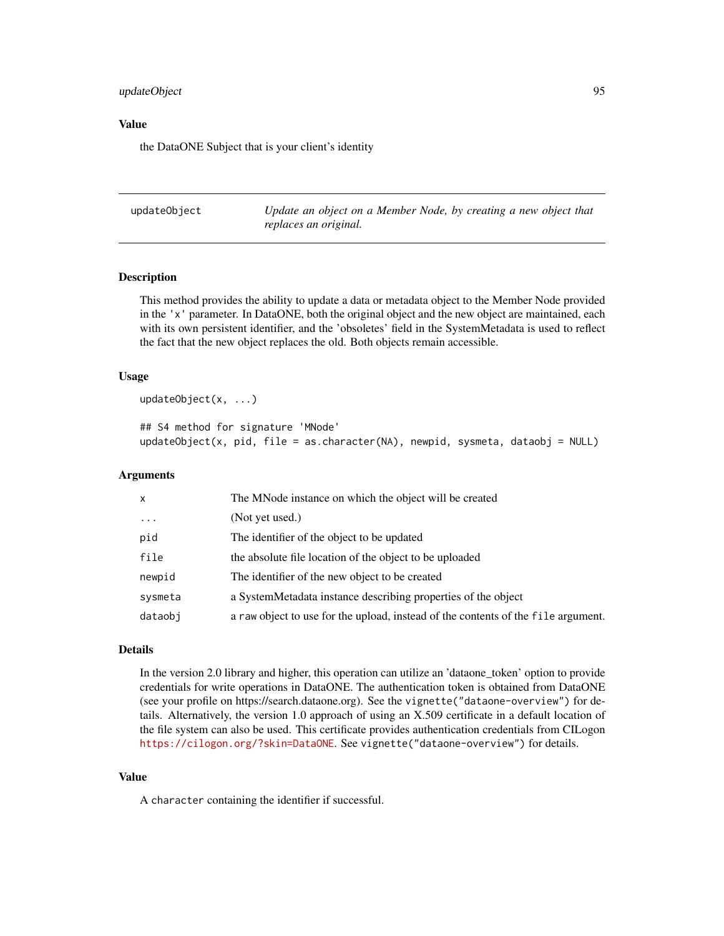## <span id="page-94-1"></span>updateObject 95

#### Value

the DataONE Subject that is your client's identity

<span id="page-94-0"></span>updateObject *Update an object on a Member Node, by creating a new object that replaces an original.*

#### Description

This method provides the ability to update a data or metadata object to the Member Node provided in the 'x' parameter. In DataONE, both the original object and the new object are maintained, each with its own persistent identifier, and the 'obsoletes' field in the SystemMetadata is used to reflect the fact that the new object replaces the old. Both objects remain accessible.

#### Usage

```
updateObject(x, ...)
```

```
## S4 method for signature 'MNode'
updateObject(x, pid, file = as.character(NA), newpid, sysmeta, dataobj = NULL)
```
## Arguments

| x        | The MNode instance on which the object will be created                            |
|----------|-----------------------------------------------------------------------------------|
| $\cdots$ | (Not yet used.)                                                                   |
| pid      | The identifier of the object to be updated                                        |
| file     | the absolute file location of the object to be uploaded                           |
| newpid   | The identifier of the new object to be created                                    |
| sysmeta  | a SystemMetadata instance describing properties of the object                     |
| dataobi  | a raw object to use for the upload, instead of the contents of the file argument. |

## Details

In the version 2.0 library and higher, this operation can utilize an 'dataone\_token' option to provide credentials for write operations in DataONE. The authentication token is obtained from DataONE (see your profile on https://search.dataone.org). See the vignette("dataone-overview") for details. Alternatively, the version 1.0 approach of using an X.509 certificate in a default location of the file system can also be used. This certificate provides authentication credentials from CILogon <https://cilogon.org/?skin=DataONE>. See vignette("dataone-overview") for details.

#### Value

A character containing the identifier if successful.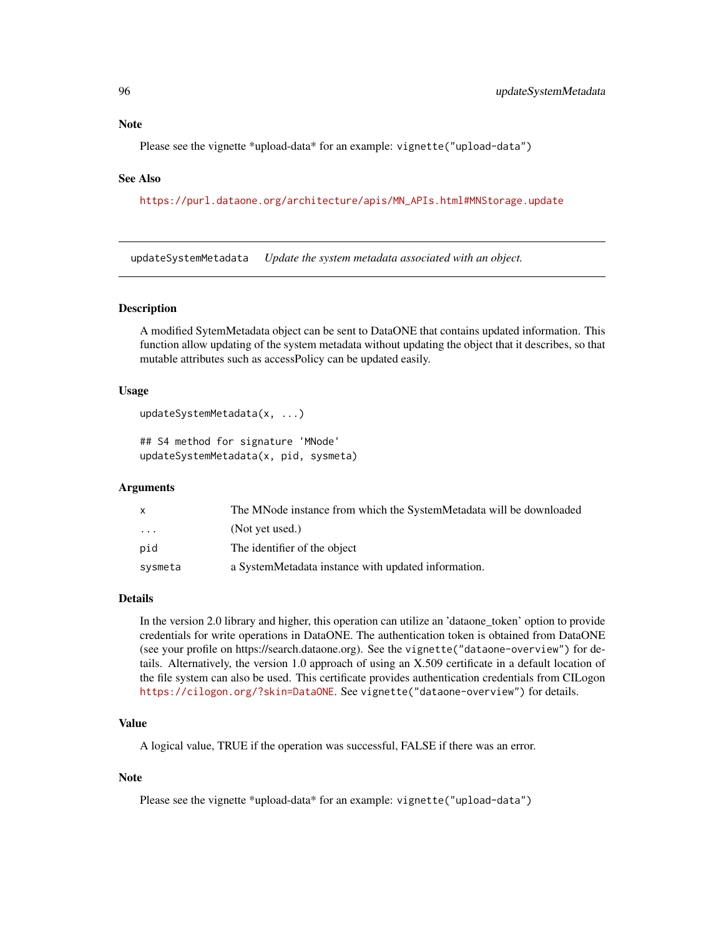### <span id="page-95-1"></span>**Note**

Please see the vignette \*upload-data\* for an example: vignette("upload-data")

#### See Also

[https://purl.dataone.org/architecture/apis/MN\\_APIs.html#MNStorage.update](https://purl.dataone.org/architecture/apis/MN_APIs.html#MNStorage.update)

<span id="page-95-0"></span>updateSystemMetadata *Update the system metadata associated with an object.*

#### Description

A modified SytemMetadata object can be sent to DataONE that contains updated information. This function allow updating of the system metadata without updating the object that it describes, so that mutable attributes such as accessPolicy can be updated easily.

#### Usage

```
updateSystemMetadata(x, ...)
```
## S4 method for signature 'MNode' updateSystemMetadata(x, pid, sysmeta)

## Arguments

| X       | The MNode instance from which the SystemMetadata will be downloaded |
|---------|---------------------------------------------------------------------|
| .       | (Not yet used.)                                                     |
| pid     | The identifier of the object                                        |
| sysmeta | a SystemMetadata instance with updated information.                 |

#### Details

In the version 2.0 library and higher, this operation can utilize an 'dataone\_token' option to provide credentials for write operations in DataONE. The authentication token is obtained from DataONE (see your profile on https://search.dataone.org). See the vignette("dataone-overview") for details. Alternatively, the version 1.0 approach of using an X.509 certificate in a default location of the file system can also be used. This certificate provides authentication credentials from CILogon <https://cilogon.org/?skin=DataONE>. See vignette("dataone-overview") for details.

#### Value

A logical value, TRUE if the operation was successful, FALSE if there was an error.

#### Note

Please see the vignette \*upload-data\* for an example: vignette("upload-data")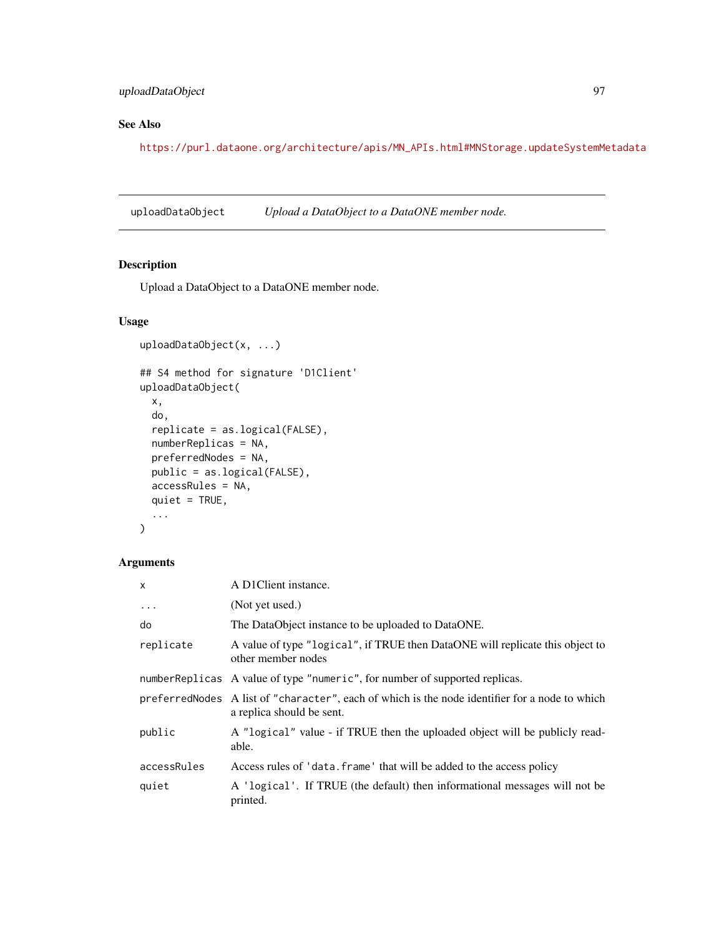## <span id="page-96-1"></span>uploadDataObject 97

## See Also

[https://purl.dataone.org/architecture/apis/MN\\_APIs.html#MNStorage.updateSystemMetadata](https://purl.dataone.org/architecture/apis/MN_APIs.html#MNStorage.updateSystemMetadata)

<span id="page-96-0"></span>uploadDataObject *Upload a DataObject to a DataONE member node.*

## Description

Upload a DataObject to a DataONE member node.

## Usage

```
uploadDataObject(x, ...)
## S4 method for signature 'D1Client'
uploadDataObject(
  x,
  do,
  replicate = as.logical(FALSE),
 numberReplicas = NA,
 preferredNodes = NA,
 public = as.logical(FALSE),
 accessRules = NA,
 quiet = TRUE,
  ...
\mathcal{L}
```
## Arguments

| $\mathsf{x}$ | A D1Client instance.                                                                                                        |
|--------------|-----------------------------------------------------------------------------------------------------------------------------|
| $\cdots$     | (Not yet used.)                                                                                                             |
| do           | The DataObject instance to be uploaded to DataONE.                                                                          |
| replicate    | A value of type "logical", if TRUE then DataONE will replicate this object to<br>other member nodes                         |
|              | number Replicas A value of type "numeric", for number of supported replicas.                                                |
|              | preferredNodes A list of "character", each of which is the node identifier for a node to which<br>a replica should be sent. |
| public       | A "logical" value - if TRUE then the uploaded object will be publicly read-<br>able.                                        |
| accessRules  | Access rules of 'data. frame' that will be added to the access policy                                                       |
| quiet        | A 'logical'. If TRUE (the default) then informational messages will not be<br>printed.                                      |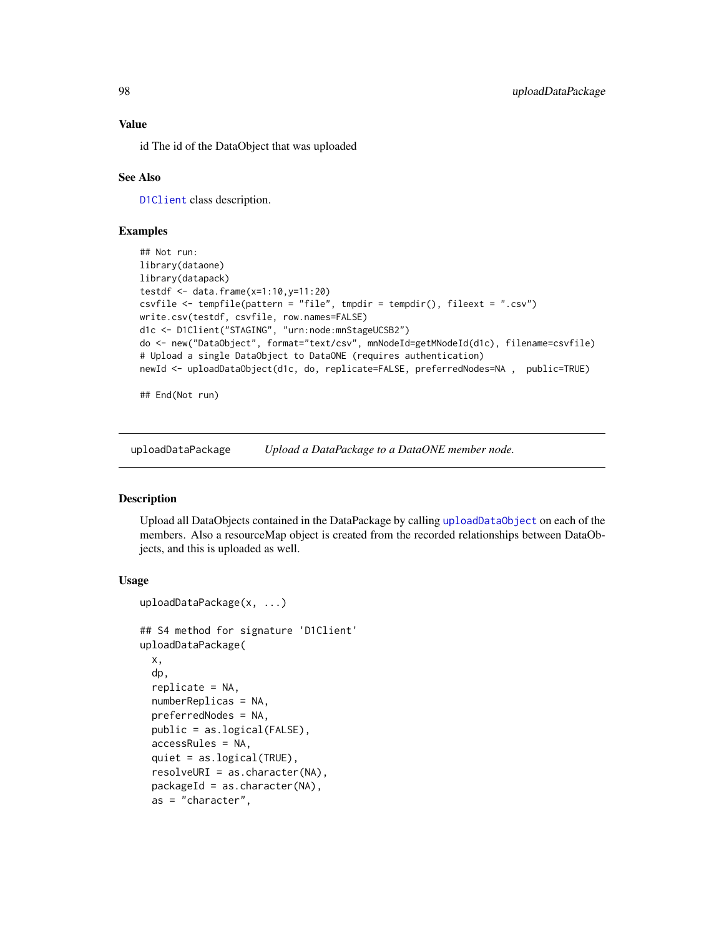#### Value

id The id of the DataObject that was uploaded

## See Also

[D1Client](#page-23-0) class description.

## Examples

```
## Not run:
library(dataone)
library(datapack)
testdf \leq - data.frame(x=1:10,y=11:20)
csvfile <- tempfile(pattern = "file", tmpdir = tempdir(), fileext = ".csv")
write.csv(testdf, csvfile, row.names=FALSE)
d1c <- D1Client("STAGING", "urn:node:mnStageUCSB2")
do <- new("DataObject", format="text/csv", mnNodeId=getMNodeId(d1c), filename=csvfile)
# Upload a single DataObject to DataONE (requires authentication)
newId <- uploadDataObject(d1c, do, replicate=FALSE, preferredNodes=NA , public=TRUE)
```
## End(Not run)

uploadDataPackage *Upload a DataPackage to a DataONE member node.*

#### Description

Upload all DataObjects contained in the DataPackage by calling [uploadDataObject](#page-96-0) on each of the members. Also a resourceMap object is created from the recorded relationships between DataObjects, and this is uploaded as well.

#### Usage

```
uploadDataPackage(x, ...)
## S4 method for signature 'D1Client'
uploadDataPackage(
  x,
  dp,
  replicate = NA,
  numberReplicas = NA,
 preferredNodes = NA,
 public = as.logical(FALSE),
  accessRules = NA,
  quiet = as.logical(TRUE),
  resolveURI = as.character(NA),
  packageId = as.charAter(NA),as = "character",
```
<span id="page-97-0"></span>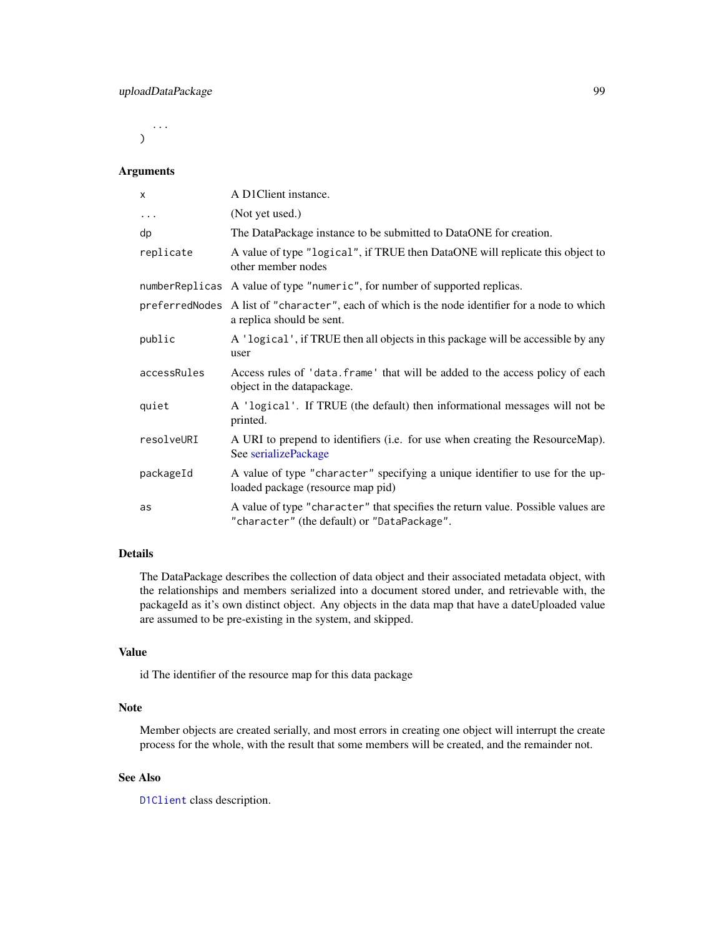<span id="page-98-0"></span>... )

#### Arguments

| X           | A D1Client instance.                                                                                                            |
|-------------|---------------------------------------------------------------------------------------------------------------------------------|
| $\cdots$    | (Not yet used.)                                                                                                                 |
| dp          | The DataPackage instance to be submitted to DataONE for creation.                                                               |
| replicate   | A value of type "logical", if TRUE then DataONE will replicate this object to<br>other member nodes                             |
|             | numberReplicas A value of type "numeric", for number of supported replicas.                                                     |
|             | preferredNodes A list of "character", each of which is the node identifier for a node to which<br>a replica should be sent.     |
| public      | A 'logical', if TRUE then all objects in this package will be accessible by any<br>user                                         |
| accessRules | Access rules of 'data. frame' that will be added to the access policy of each<br>object in the datapackage.                     |
| quiet       | A 'logical'. If TRUE (the default) then informational messages will not be<br>printed.                                          |
| resolveURI  | A URI to prepend to identifiers (i.e. for use when creating the ResourceMap).<br>See serializePackage                           |
| packageId   | A value of type "character" specifying a unique identifier to use for the up-<br>loaded package (resource map pid)              |
| as          | A value of type "character" that specifies the return value. Possible values are<br>"character" (the default) or "DataPackage". |

## Details

The DataPackage describes the collection of data object and their associated metadata object, with the relationships and members serialized into a document stored under, and retrievable with, the packageId as it's own distinct object. Any objects in the data map that have a dateUploaded value are assumed to be pre-existing in the system, and skipped.

## Value

id The identifier of the resource map for this data package

## Note

Member objects are created serially, and most errors in creating one object will interrupt the create process for the whole, with the result that some members will be created, and the remainder not.

## See Also

[D1Client](#page-23-0) class description.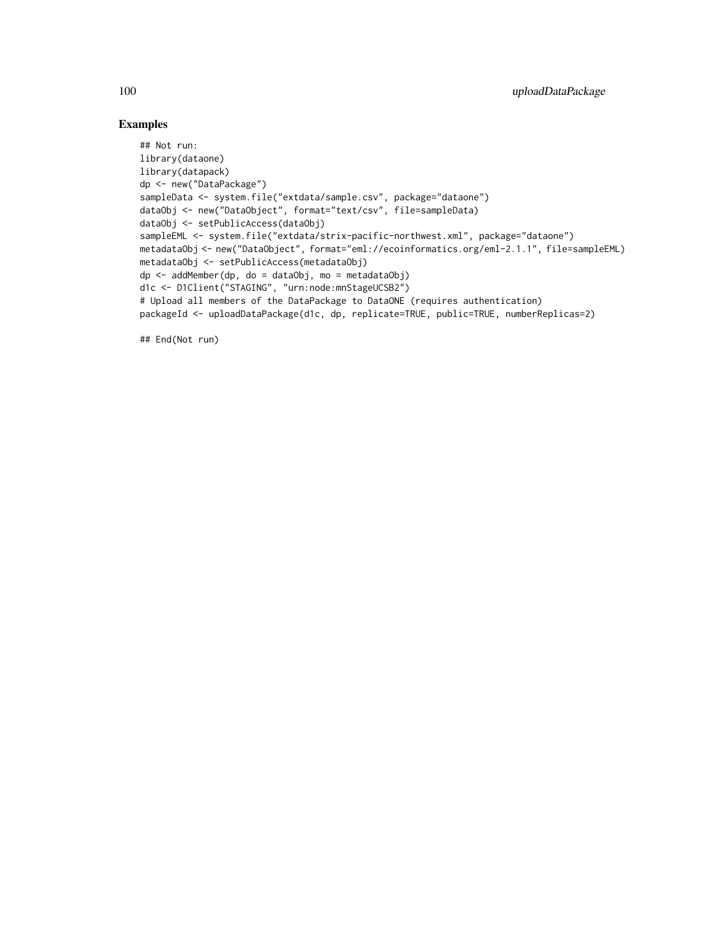## Examples

```
## Not run:
library(dataone)
library(datapack)
dp <- new("DataPackage")
sampleData <- system.file("extdata/sample.csv", package="dataone")
dataObj <- new("DataObject", format="text/csv", file=sampleData)
dataObj <- setPublicAccess(dataObj)
sampleEML <- system.file("extdata/strix-pacific-northwest.xml", package="dataone")
metadataObj <- new("DataObject", format="eml://ecoinformatics.org/eml-2.1.1", file=sampleEML)
metadataObj <- setPublicAccess(metadataObj)
dp <- addMember(dp, do = dataObj, mo = metadataObj)
d1c <- D1Client("STAGING", "urn:node:mnStageUCSB2")
# Upload all members of the DataPackage to DataONE (requires authentication)
packageId <- uploadDataPackage(d1c, dp, replicate=TRUE, public=TRUE, numberReplicas=2)
```
## End(Not run)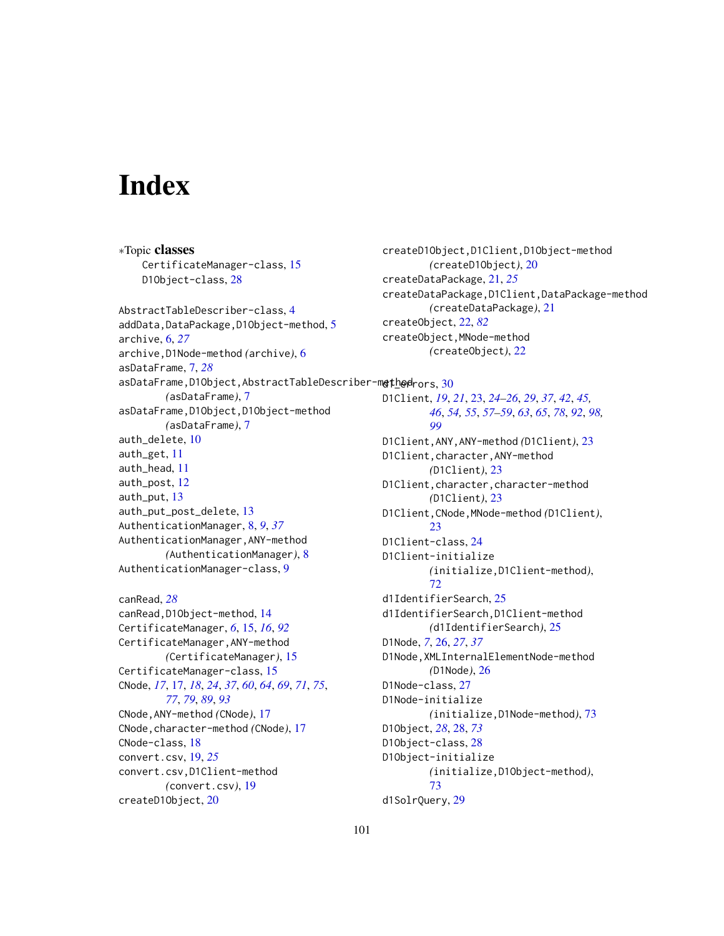# **Index**

∗Topic classes CertificateManager-class, [15](#page-14-1) D1Object-class, [28](#page-27-1) AbstractTableDescriber-class, [4](#page-3-0) addData,DataPackage,D10bject-method, [5](#page-4-0) archive, [6,](#page-5-0) *[27](#page-26-0)* archive,D1Node-method *(*archive*)*, [6](#page-5-0) asDataFrame, [7,](#page-6-0) *[28](#page-27-1)* <code>asDataFrame,D1Object,AbstractTableDescriber-m</code>e<code>th</code>o<code>d $\mathsf{rors, 30}$  $\mathsf{rors, 30}$  $\mathsf{rors, 30}$ </code> *(*asDataFrame*)*, [7](#page-6-0) asDataFrame,D1Object,D1Object-method *(*asDataFrame*)*, [7](#page-6-0) auth\_delete, [10](#page-9-0) auth\_get, [11](#page-10-0) auth\_head, [11](#page-10-0) auth\_post, [12](#page-11-0) auth\_put, [13](#page-12-0) auth\_put\_post\_delete, [13](#page-12-0) AuthenticationManager, [8,](#page-7-0) *[9](#page-8-0)*, *[37](#page-36-1)* AuthenticationManager,ANY-method *(*AuthenticationManager*)*, [8](#page-7-0) AuthenticationManager-class, [9](#page-8-0) canRead, *[28](#page-27-1)* canRead,D1Object-method, [14](#page-13-0) CertificateManager, *[6](#page-5-0)*, [15,](#page-14-1) *[16](#page-15-0)*, *[92](#page-91-0)* CertificateManager,ANY-method *(*CertificateManager*)*, [15](#page-14-1) CertificateManager-class, [15](#page-14-1) CNode, *[17](#page-16-0)*, [17,](#page-16-0) *[18](#page-17-1)*, *[24](#page-23-1)*, *[37](#page-36-1)*, *[60](#page-59-0)*, *[64](#page-63-0)*, *[69](#page-68-0)*, *[71](#page-70-0)*, *[75](#page-74-0)*, D1Client, *[19](#page-18-0)*, *[21](#page-20-0)*, [23,](#page-22-0) *[24](#page-23-1)[–26](#page-25-0)*, *[29](#page-28-0)*, *[37](#page-36-1)*, *[42](#page-41-0)*, *[45,](#page-44-0)* D1Client,ANY,ANY-method *(*D1Client*)*, [23](#page-22-0) D1Client,character,ANY-method D1Client,character,character-method D1Client,CNode,MNode-method *(*D1Client*)*, D1Client-class, [24](#page-23-1) D1Client-initialize

*[77](#page-76-1)*, *[79](#page-78-0)*, *[89](#page-88-0)*, *[93](#page-92-0)*

*(*convert.csv*)*, [19](#page-18-0)

CNode-class, [18](#page-17-1) convert.csv, [19,](#page-18-0) *[25](#page-24-0)*

createD1Object, [20](#page-19-0)

CNode,ANY-method *(*CNode*)*, [17](#page-16-0) CNode,character-method *(*CNode*)*, [17](#page-16-0) convert.csv,D1Client-method d1IdentifierSearch, [25](#page-24-0) d1IdentifierSearch,D1Client-method *(*d1IdentifierSearch*)*, [25](#page-24-0) D1Node, *[7](#page-6-0)*, [26,](#page-25-0) *[27](#page-26-0)*, *[37](#page-36-1)* D1Node,XMLInternalElementNode-method *(*D1Node*)*, [26](#page-25-0) D1Node-class, [27](#page-26-0) D1Node-initialize *(*initialize,D1Node-method*)*, [73](#page-72-0) D1Object, *[28](#page-27-1)*, [28,](#page-27-1) *[73](#page-72-0)* D1Object-class, [28](#page-27-1) D1Object-initialize *(*initialize,D1Object-method*)*, [73](#page-72-0)

d1SolrQuery, [29](#page-28-0)

createD1Object,D1Client,D1Object-method *(*createD1Object*)*, [20](#page-19-0) createDataPackage, [21,](#page-20-0) *[25](#page-24-0)* createDataPackage,D1Client,DataPackage-method *(*createDataPackage*)*, [21](#page-20-0) createObject, [22,](#page-21-1) *[82](#page-81-1)* createObject,MNode-method *(*createObject*)*, [22](#page-21-1)

*[46](#page-45-0)*, *[54,](#page-53-0) [55](#page-54-0)*, *[57](#page-56-0)[–59](#page-58-0)*, *[63](#page-62-0)*, *[65](#page-64-1)*, *[78](#page-77-0)*, *[92](#page-91-0)*, *[98,](#page-97-0)*

*(*initialize,D1Client-method*)*,

*[99](#page-98-0)*

[23](#page-22-0)

[72](#page-71-0)

*(*D1Client*)*, [23](#page-22-0)

*(*D1Client*)*, [23](#page-22-0)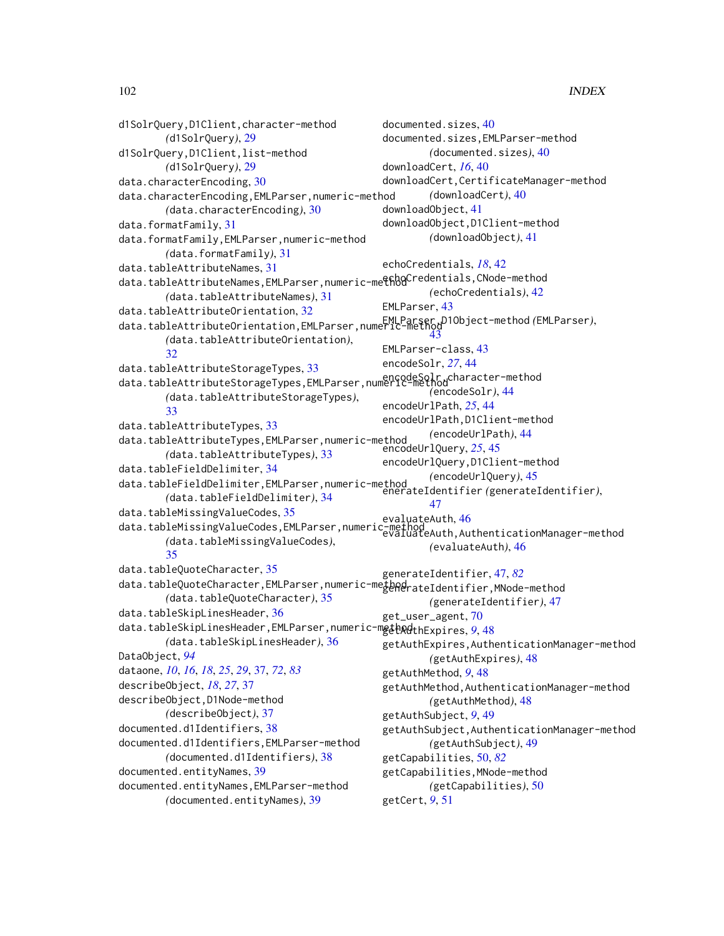d1SolrQuery,D1Client,character-method *(*d1SolrQuery*)*, [29](#page-28-0) d1SolrQuery,D1Client,list-method *(*d1SolrQuery*)*, [29](#page-28-0) data.characterEncoding, [30](#page-29-0) data.characterEncoding,EMLParser,numeric-method *(*data.characterEncoding*)*, [30](#page-29-0) data.formatFamily, [31](#page-30-0) data.formatFamily,EMLParser,numeric-method *(*data.formatFamily*)*, [31](#page-30-0) data.tableAttributeNames, [31](#page-30-0) data.tableAttributeNames,EMLParser,numeric-methodCredentials,CNode-method *(*data.tableAttributeNames*)*, [31](#page-30-0) data.tableAttributeOrientation, [32](#page-31-0) data.tableAttributeOrientation,EMLParser,numeric-method EMLParser,D1Object-method *(*EMLParser*)*, *(*data.tableAttributeOrientation*)*, [32](#page-31-0) data.tableAttributeStorageTypes, [33](#page-32-0) data.tableAttributeStorageTypes,EMLParser,numeric-method encodeSolr,character-method *(*data.tableAttributeStorageTypes*)*, [33](#page-32-0) data.tableAttributeTypes, [33](#page-32-0) data.tableAttributeTypes,EMLParser,numeric-method *(*data.tableAttributeTypes*)*, [33](#page-32-0) data.tableFieldDelimiter, [34](#page-33-0) data.tableFieldDelimiter,EMLParser,numeric-method *(*data.tableFieldDelimiter*)*, [34](#page-33-0) data.tableMissingValueCodes, [35](#page-34-0) data.tableMissingValueCodes,EMLParser,numeric-method evaluateAuth,AuthenticationManager-method *(*data.tableMissingValueCodes*)*, [35](#page-34-0) data.tableQuoteCharacter, [35](#page-34-0) data.tableQuoteCharacter,EMLParser,numeric-methodrateIdentifier,MNode-method *(*data.tableQuoteCharacter*)*, [35](#page-34-0) data.tableSkipLinesHeader, [36](#page-35-0) data.tableSkipLinesHeader,EMLParser,numeric-m**ethod**thExpires,*[9](#page-8-0)*,[48](#page-47-0) *(*data.tableSkipLinesHeader*)*, [36](#page-35-0) DataObject, *[94](#page-93-0)* dataone, *[10](#page-9-0)*, *[16](#page-15-0)*, *[18](#page-17-1)*, *[25](#page-24-0)*, *[29](#page-28-0)*, [37,](#page-36-1) *[72](#page-71-0)*, *[83](#page-82-0)* describeObject, *[18](#page-17-1)*, *[27](#page-26-0)*, [37](#page-36-1) describeObject,D1Node-method *(*describeObject*)*, [37](#page-36-1) documented.d1Identifiers, [38](#page-37-0) documented.d1Identifiers,EMLParser-method *(*documented.d1Identifiers*)*, [38](#page-37-0) documented.entityNames, [39](#page-38-0) documented.entityNames,EMLParser-method *(*documented.entityNames*)*, [39](#page-38-0) documented.sizes, [40](#page-39-0) documented.sizes,EMLParser-method *(*documented.sizes*)*, [40](#page-39-0) downloadCert, *[16](#page-15-0)*, [40](#page-39-0) downloadCert,CertificateManager-method *(*downloadCert*)*, [40](#page-39-0) downloadObject, [41](#page-40-0) downloadObject,D1Client-method *(*downloadObject*)*, [41](#page-40-0) echoCredentials, *[18](#page-17-1)*, [42](#page-41-0) *(*echoCredentials*)*, [42](#page-41-0) EMLParser, [43](#page-42-0) [43](#page-42-0) EMLParser-class, [43](#page-42-0) encodeSolr, *[27](#page-26-0)*, [44](#page-43-0) *(*encodeSolr*)*, [44](#page-43-0) encodeUrlPath, *[25](#page-24-0)*, [44](#page-43-0) encodeUrlPath,D1Client-method *(*encodeUrlPath*)*, [44](#page-43-0) encodeUrlQuery, *[25](#page-24-0)*, [45](#page-44-0) encodeUrlQuery,D1Client-method *(*encodeUrlQuery*)*, [45](#page-44-0) enerateIdentifier *(*generateIdentifier*)*, [47](#page-46-1) evaluateAuth, [46](#page-45-0) *(*evaluateAuth*)*, [46](#page-45-0) generateIdentifier, [47,](#page-46-1) *[82](#page-81-1) (*generateIdentifier*)*, [47](#page-46-1) get\_user\_agent, [70](#page-69-0) getAuthExpires,AuthenticationManager-method *(*getAuthExpires*)*, [48](#page-47-0) getAuthMethod, *[9](#page-8-0)*, [48](#page-47-0) getAuthMethod,AuthenticationManager-method *(*getAuthMethod*)*, [48](#page-47-0) getAuthSubject, *[9](#page-8-0)*, [49](#page-48-0) getAuthSubject,AuthenticationManager-method *(*getAuthSubject*)*, [49](#page-48-0) getCapabilities, [50,](#page-49-1) *[82](#page-81-1)* getCapabilities,MNode-method *(*getCapabilities*)*, [50](#page-49-1) getCert, *[9](#page-8-0)*, [51](#page-50-0)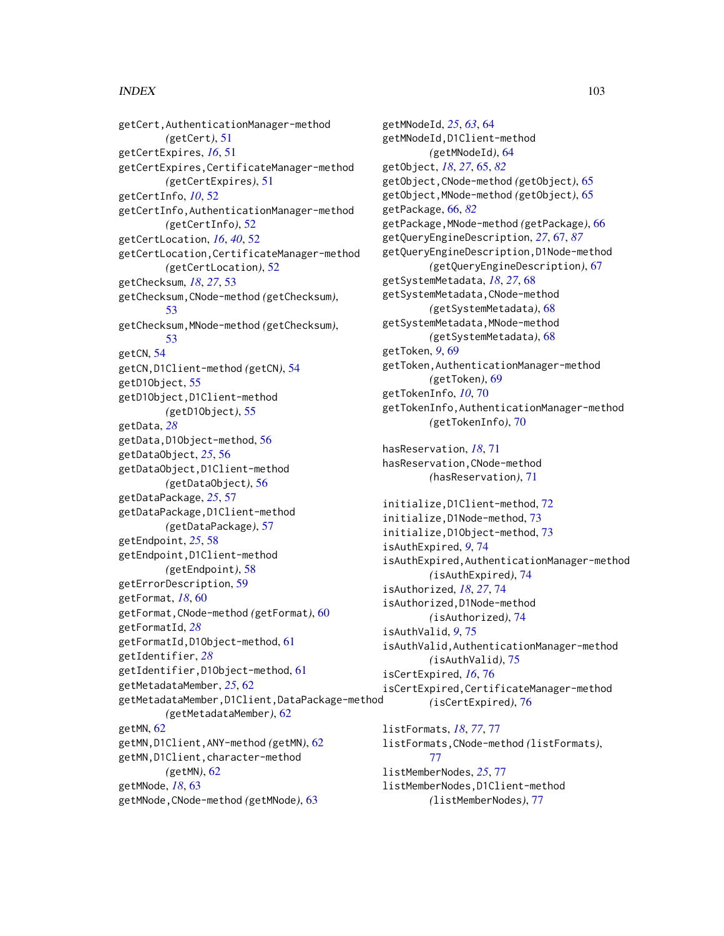#### INDEX  $103$

getCert,AuthenticationManager-method *(*getCert*)*, [51](#page-50-0) getCertExpires, *[16](#page-15-0)*, [51](#page-50-0) getCertExpires,CertificateManager-method *(*getCertExpires*)*, [51](#page-50-0) getCertInfo, *[10](#page-9-0)*, [52](#page-51-0) getCertInfo,AuthenticationManager-method *(*getCertInfo*)*, [52](#page-51-0) getCertLocation, *[16](#page-15-0)*, *[40](#page-39-0)*, [52](#page-51-0) getCertLocation,CertificateManager-method *(*getCertLocation*)*, [52](#page-51-0) getChecksum, *[18](#page-17-1)*, *[27](#page-26-0)*, [53](#page-52-0) getChecksum,CNode-method *(*getChecksum*)*, [53](#page-52-0) getChecksum,MNode-method *(*getChecksum*)*, [53](#page-52-0) getCN, [54](#page-53-0) getCN,D1Client-method *(*getCN*)*, [54](#page-53-0) getD1Object, [55](#page-54-0) getD1Object,D1Client-method *(*getD1Object*)*, [55](#page-54-0) getData, *[28](#page-27-1)* getData,D1Object-method, [56](#page-55-0) getDataObject, *[25](#page-24-0)*, [56](#page-55-0) getDataObject,D1Client-method *(*getDataObject*)*, [56](#page-55-0) getDataPackage, *[25](#page-24-0)*, [57](#page-56-0) getDataPackage,D1Client-method *(*getDataPackage*)*, [57](#page-56-0) getEndpoint, *[25](#page-24-0)*, [58](#page-57-0) getEndpoint,D1Client-method *(*getEndpoint*)*, [58](#page-57-0) getErrorDescription, [59](#page-58-0) getFormat, *[18](#page-17-1)*, [60](#page-59-0) getFormat,CNode-method *(*getFormat*)*, [60](#page-59-0) getFormatId, *[28](#page-27-1)* getFormatId,D1Object-method, [61](#page-60-0) getIdentifier, *[28](#page-27-1)* getIdentifier,D1Object-method, [61](#page-60-0) getMetadataMember, *[25](#page-24-0)*, [62](#page-61-0) getMetadataMember,D1Client,DataPackage-method *(*getMetadataMember*)*, [62](#page-61-0) getMN, [62](#page-61-0) getMN,D1Client,ANY-method *(*getMN*)*, [62](#page-61-0) getMN,D1Client,character-method *(*getMN*)*, [62](#page-61-0) getMNode, *[18](#page-17-1)*, [63](#page-62-0) getMNode,CNode-method *(*getMNode*)*, [63](#page-62-0)

getMNodeId, *[25](#page-24-0)*, *[63](#page-62-0)*, [64](#page-63-0) getMNodeId,D1Client-method *(*getMNodeId*)*, [64](#page-63-0) getObject, *[18](#page-17-1)*, *[27](#page-26-0)*, [65,](#page-64-1) *[82](#page-81-1)* getObject,CNode-method *(*getObject*)*, [65](#page-64-1) getObject,MNode-method *(*getObject*)*, [65](#page-64-1) getPackage, [66,](#page-65-1) *[82](#page-81-1)* getPackage,MNode-method *(*getPackage*)*, [66](#page-65-1) getQueryEngineDescription, *[27](#page-26-0)*, [67,](#page-66-1) *[87](#page-86-0)* getQueryEngineDescription,D1Node-method *(*getQueryEngineDescription*)*, [67](#page-66-1) getSystemMetadata, *[18](#page-17-1)*, *[27](#page-26-0)*, [68](#page-67-0) getSystemMetadata,CNode-method *(*getSystemMetadata*)*, [68](#page-67-0) getSystemMetadata,MNode-method *(*getSystemMetadata*)*, [68](#page-67-0) getToken, *[9](#page-8-0)*, [69](#page-68-0) getToken,AuthenticationManager-method *(*getToken*)*, [69](#page-68-0) getTokenInfo, *[10](#page-9-0)*, [70](#page-69-0) getTokenInfo,AuthenticationManager-method *(*getTokenInfo*)*, [70](#page-69-0) hasReservation, *[18](#page-17-1)*, [71](#page-70-0) hasReservation,CNode-method *(*hasReservation*)*, [71](#page-70-0) initialize,D1Client-method, [72](#page-71-0) initialize,D1Node-method, [73](#page-72-0) initialize,D1Object-method, [73](#page-72-0) isAuthExpired, *[9](#page-8-0)*, [74](#page-73-0) isAuthExpired,AuthenticationManager-method *(*isAuthExpired*)*, [74](#page-73-0) isAuthorized, *[18](#page-17-1)*, *[27](#page-26-0)*, [74](#page-73-0) isAuthorized,D1Node-method *(*isAuthorized*)*, [74](#page-73-0) isAuthValid, *[9](#page-8-0)*, [75](#page-74-0) isAuthValid,AuthenticationManager-method *(*isAuthValid*)*, [75](#page-74-0) isCertExpired, *[16](#page-15-0)*, [76](#page-75-0) isCertExpired,CertificateManager-method *(*isCertExpired*)*, [76](#page-75-0) listFormats, *[18](#page-17-1)*, *[77](#page-76-1)*, [77](#page-76-1) listFormats,CNode-method *(*listFormats*)*, [77](#page-76-1)

listMemberNodes, *[25](#page-24-0)*, [77](#page-76-1) listMemberNodes,D1Client-method *(*listMemberNodes*)*, [77](#page-76-1)